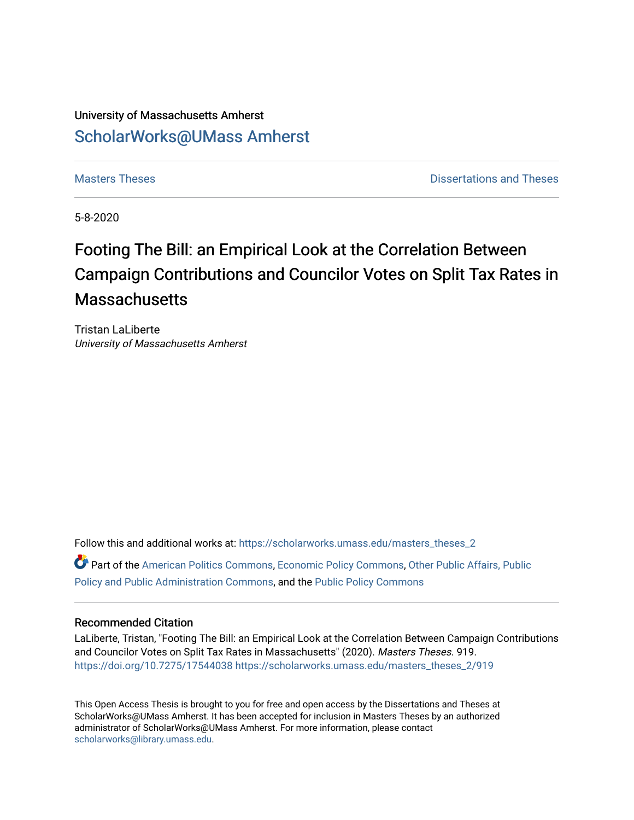## University of Massachusetts Amherst [ScholarWorks@UMass Amherst](https://scholarworks.umass.edu/)

**[Masters Theses](https://scholarworks.umass.edu/masters_theses_2) Contract Contract Contract Contract Contract Contract Contract Contract Contract Contract Contract Contract Contract Contract Contract Contract Contract Contract Contract Contract Contract Contract Contra** 

5-8-2020

# Footing The Bill: an Empirical Look at the Correlation Between Campaign Contributions and Councilor Votes on Split Tax Rates in **Massachusetts**

Tristan LaLiberte University of Massachusetts Amherst

Follow this and additional works at: [https://scholarworks.umass.edu/masters\\_theses\\_2](https://scholarworks.umass.edu/masters_theses_2?utm_source=scholarworks.umass.edu%2Fmasters_theses_2%2F919&utm_medium=PDF&utm_campaign=PDFCoverPages)  Part of the [American Politics Commons,](http://network.bepress.com/hgg/discipline/387?utm_source=scholarworks.umass.edu%2Fmasters_theses_2%2F919&utm_medium=PDF&utm_campaign=PDFCoverPages) [Economic Policy Commons](http://network.bepress.com/hgg/discipline/1025?utm_source=scholarworks.umass.edu%2Fmasters_theses_2%2F919&utm_medium=PDF&utm_campaign=PDFCoverPages), [Other Public Affairs, Public](http://network.bepress.com/hgg/discipline/403?utm_source=scholarworks.umass.edu%2Fmasters_theses_2%2F919&utm_medium=PDF&utm_campaign=PDFCoverPages) [Policy and Public Administration Commons](http://network.bepress.com/hgg/discipline/403?utm_source=scholarworks.umass.edu%2Fmasters_theses_2%2F919&utm_medium=PDF&utm_campaign=PDFCoverPages), and the [Public Policy Commons](http://network.bepress.com/hgg/discipline/400?utm_source=scholarworks.umass.edu%2Fmasters_theses_2%2F919&utm_medium=PDF&utm_campaign=PDFCoverPages) 

### Recommended Citation

LaLiberte, Tristan, "Footing The Bill: an Empirical Look at the Correlation Between Campaign Contributions and Councilor Votes on Split Tax Rates in Massachusetts" (2020). Masters Theses. 919. <https://doi.org/10.7275/17544038> [https://scholarworks.umass.edu/masters\\_theses\\_2/919](https://scholarworks.umass.edu/masters_theses_2/919?utm_source=scholarworks.umass.edu%2Fmasters_theses_2%2F919&utm_medium=PDF&utm_campaign=PDFCoverPages) 

This Open Access Thesis is brought to you for free and open access by the Dissertations and Theses at ScholarWorks@UMass Amherst. It has been accepted for inclusion in Masters Theses by an authorized administrator of ScholarWorks@UMass Amherst. For more information, please contact [scholarworks@library.umass.edu.](mailto:scholarworks@library.umass.edu)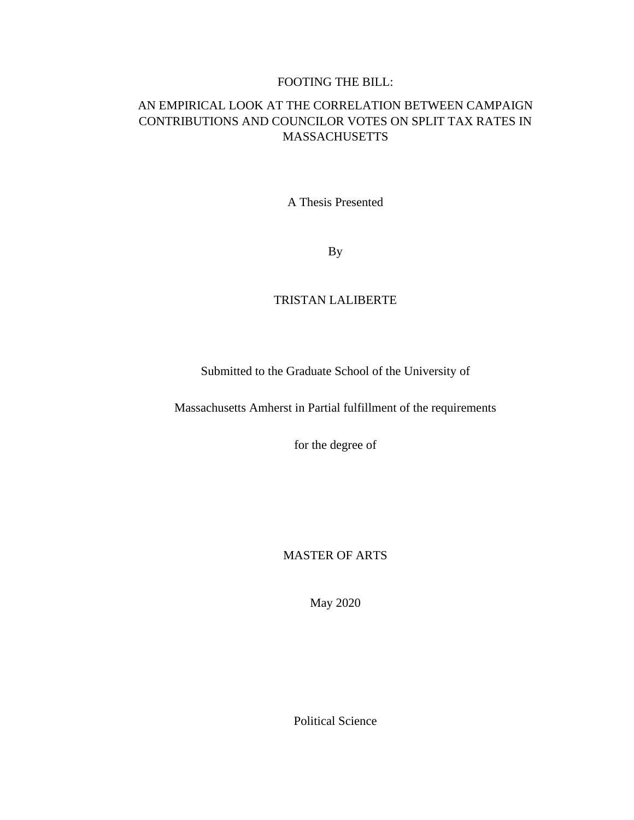### FOOTING THE BILL:

### AN EMPIRICAL LOOK AT THE CORRELATION BETWEEN CAMPAIGN CONTRIBUTIONS AND COUNCILOR VOTES ON SPLIT TAX RATES IN MASSACHUSETTS

A Thesis Presented

By

### TRISTAN LALIBERTE

Submitted to the Graduate School of the University of

Massachusetts Amherst in Partial fulfillment of the requirements

for the degree of

MASTER OF ARTS

May 2020

Political Science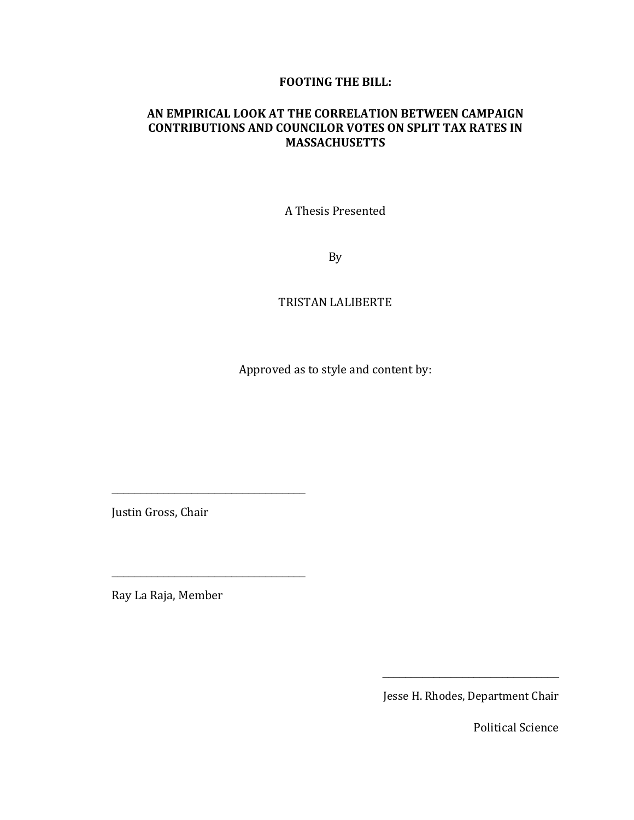### **FOOTING THE BILL:**

### **AN EMPIRICAL LOOK AT THE CORRELATION BETWEEN CAMPAIGN CONTRIBUTIONS AND COUNCILOR VOTES ON SPLIT TAX RATES IN MASSACHUSETTS**

A Thesis Presented

By

### TRISTAN LALIBERTE

Approved as to style and content by:

Justin Gross, Chair

\_\_\_\_\_\_\_\_\_\_\_\_\_\_\_\_\_\_\_\_\_\_\_\_\_\_\_\_\_\_\_\_\_\_

\_\_\_\_\_\_\_\_\_\_\_\_\_\_\_\_\_\_\_\_\_\_\_\_\_\_\_\_\_\_\_\_\_\_

Ray La Raja, Member

Jesse H. Rhodes, Department Chair

\_\_\_\_\_\_\_\_\_\_\_\_\_\_\_\_\_\_\_\_\_\_\_\_\_\_\_\_\_\_\_

Political Science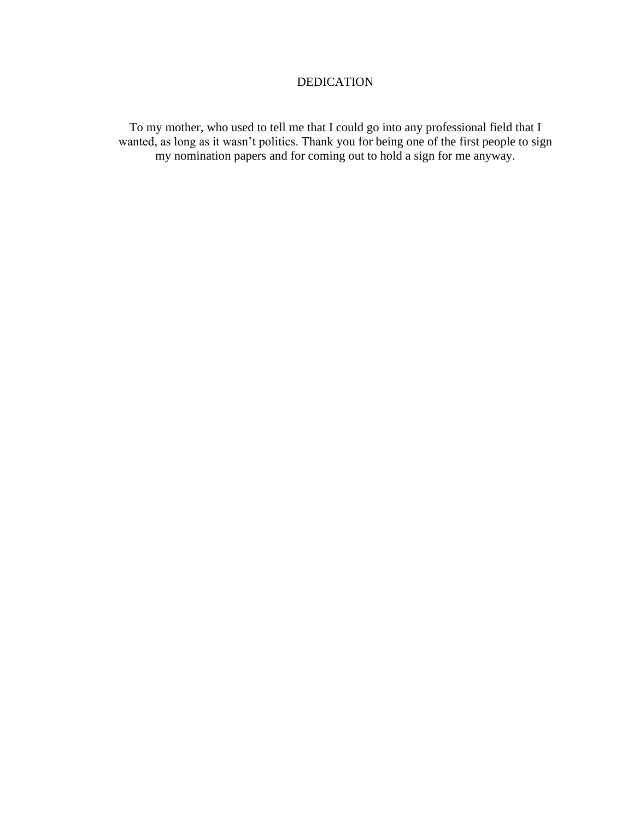### DEDICATION

To my mother, who used to tell me that I could go into any professional field that I wanted, as long as it wasn't politics. Thank you for being one of the first people to sign my nomination papers and for coming out to hold a sign for me anyway.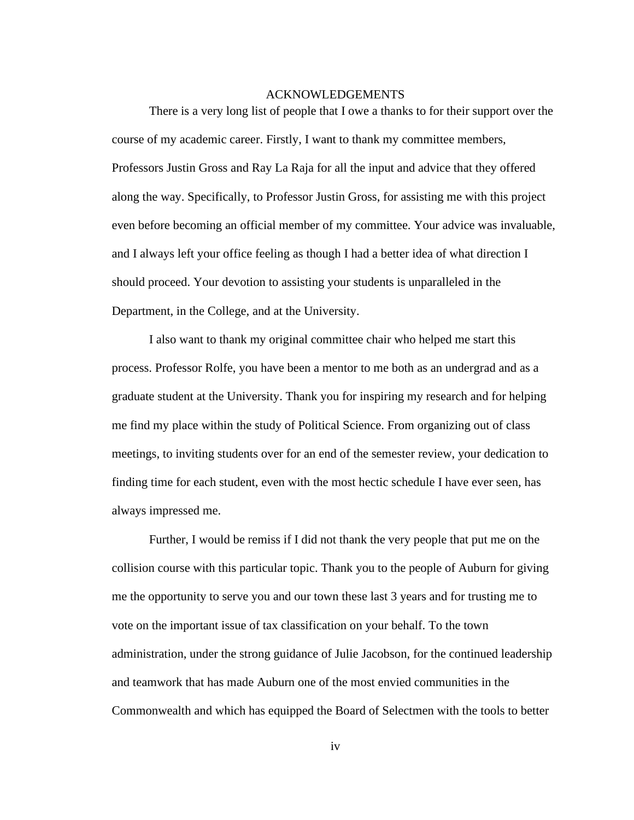### ACKNOWLEDGEMENTS

<span id="page-4-0"></span>There is a very long list of people that I owe a thanks to for their support over the course of my academic career. Firstly, I want to thank my committee members, Professors Justin Gross and Ray La Raja for all the input and advice that they offered along the way. Specifically, to Professor Justin Gross, for assisting me with this project even before becoming an official member of my committee. Your advice was invaluable, and I always left your office feeling as though I had a better idea of what direction I should proceed. Your devotion to assisting your students is unparalleled in the Department, in the College, and at the University.

I also want to thank my original committee chair who helped me start this process. Professor Rolfe, you have been a mentor to me both as an undergrad and as a graduate student at the University. Thank you for inspiring my research and for helping me find my place within the study of Political Science. From organizing out of class meetings, to inviting students over for an end of the semester review, your dedication to finding time for each student, even with the most hectic schedule I have ever seen, has always impressed me.

Further, I would be remiss if I did not thank the very people that put me on the collision course with this particular topic. Thank you to the people of Auburn for giving me the opportunity to serve you and our town these last 3 years and for trusting me to vote on the important issue of tax classification on your behalf. To the town administration, under the strong guidance of Julie Jacobson, for the continued leadership and teamwork that has made Auburn one of the most envied communities in the Commonwealth and which has equipped the Board of Selectmen with the tools to better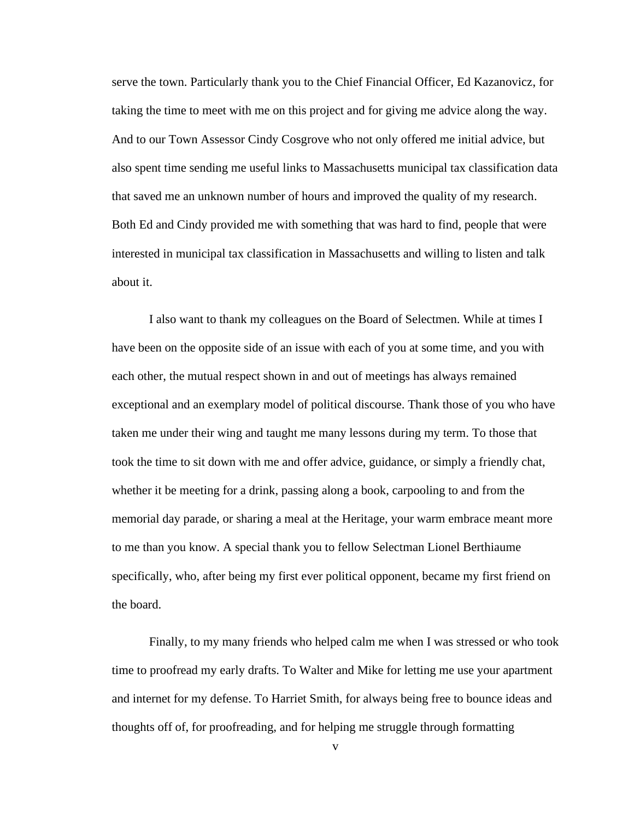serve the town. Particularly thank you to the Chief Financial Officer, Ed Kazanovicz, for taking the time to meet with me on this project and for giving me advice along the way. And to our Town Assessor Cindy Cosgrove who not only offered me initial advice, but also spent time sending me useful links to Massachusetts municipal tax classification data that saved me an unknown number of hours and improved the quality of my research. Both Ed and Cindy provided me with something that was hard to find, people that were interested in municipal tax classification in Massachusetts and willing to listen and talk about it.

I also want to thank my colleagues on the Board of Selectmen. While at times I have been on the opposite side of an issue with each of you at some time, and you with each other, the mutual respect shown in and out of meetings has always remained exceptional and an exemplary model of political discourse. Thank those of you who have taken me under their wing and taught me many lessons during my term. To those that took the time to sit down with me and offer advice, guidance, or simply a friendly chat, whether it be meeting for a drink, passing along a book, carpooling to and from the memorial day parade, or sharing a meal at the Heritage, your warm embrace meant more to me than you know. A special thank you to fellow Selectman Lionel Berthiaume specifically, who, after being my first ever political opponent, became my first friend on the board.

Finally, to my many friends who helped calm me when I was stressed or who took time to proofread my early drafts. To Walter and Mike for letting me use your apartment and internet for my defense. To Harriet Smith, for always being free to bounce ideas and thoughts off of, for proofreading, and for helping me struggle through formatting

v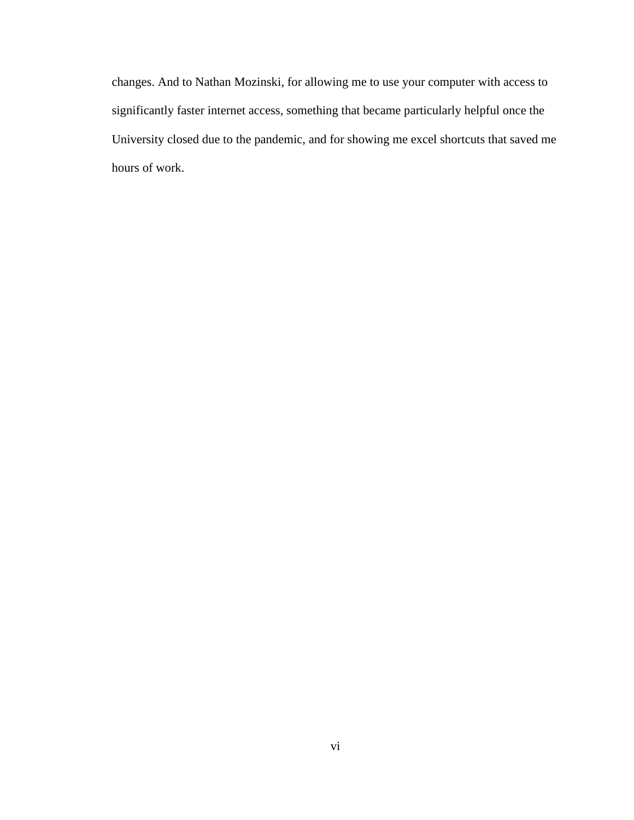changes. And to Nathan Mozinski, for allowing me to use your computer with access to significantly faster internet access, something that became particularly helpful once the University closed due to the pandemic, and for showing me excel shortcuts that saved me hours of work.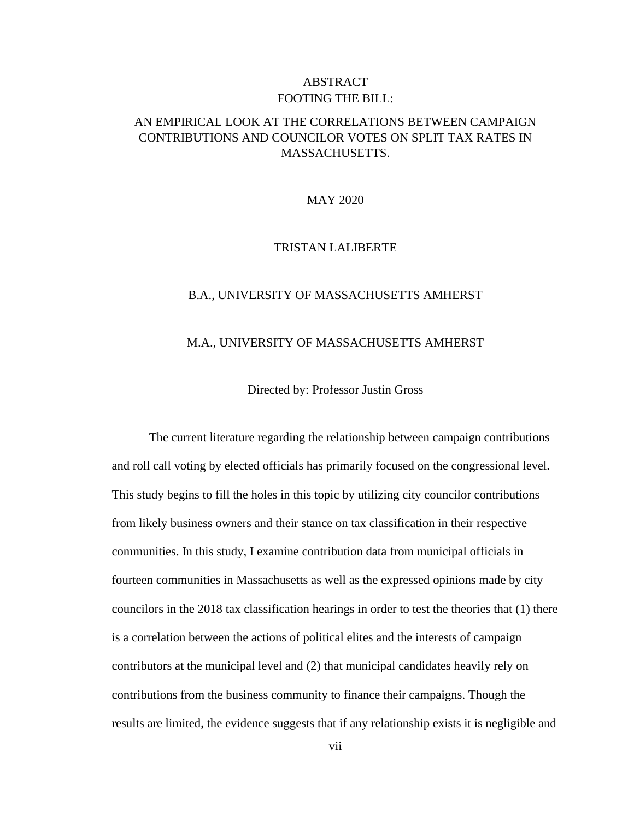### ABSTRACT FOOTING THE BILL:

### <span id="page-7-0"></span>AN EMPIRICAL LOOK AT THE CORRELATIONS BETWEEN CAMPAIGN CONTRIBUTIONS AND COUNCILOR VOTES ON SPLIT TAX RATES IN MASSACHUSETTS.

### MAY 2020

### TRISTAN LALIBERTE

#### B.A., UNIVERSITY OF MASSACHUSETTS AMHERST

#### M.A., UNIVERSITY OF MASSACHUSETTS AMHERST

Directed by: Professor Justin Gross

The current literature regarding the relationship between campaign contributions and roll call voting by elected officials has primarily focused on the congressional level. This study begins to fill the holes in this topic by utilizing city councilor contributions from likely business owners and their stance on tax classification in their respective communities. In this study, I examine contribution data from municipal officials in fourteen communities in Massachusetts as well as the expressed opinions made by city councilors in the 2018 tax classification hearings in order to test the theories that (1) there is a correlation between the actions of political elites and the interests of campaign contributors at the municipal level and (2) that municipal candidates heavily rely on contributions from the business community to finance their campaigns. Though the results are limited, the evidence suggests that if any relationship exists it is negligible and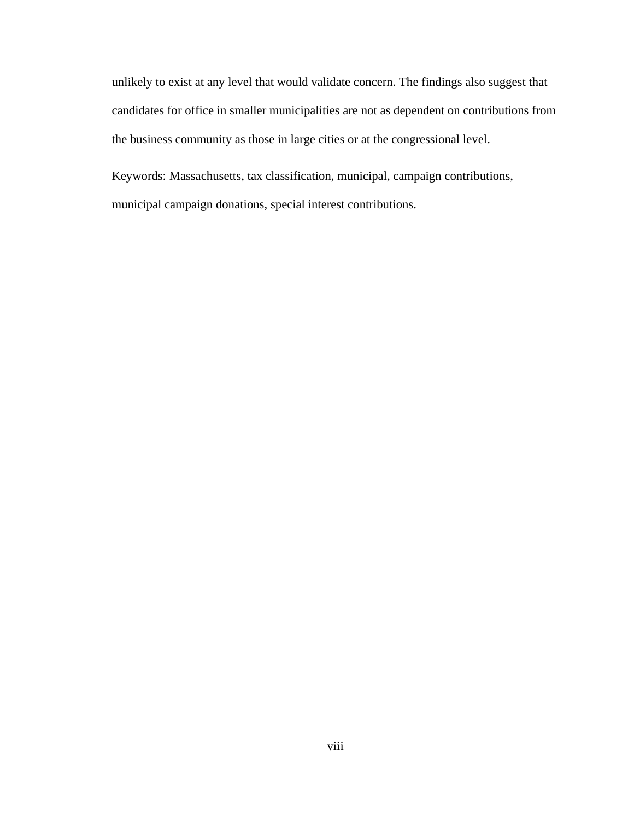unlikely to exist at any level that would validate concern. The findings also suggest that candidates for office in smaller municipalities are not as dependent on contributions from the business community as those in large cities or at the congressional level.

Keywords: Massachusetts, tax classification, municipal, campaign contributions, municipal campaign donations, special interest contributions.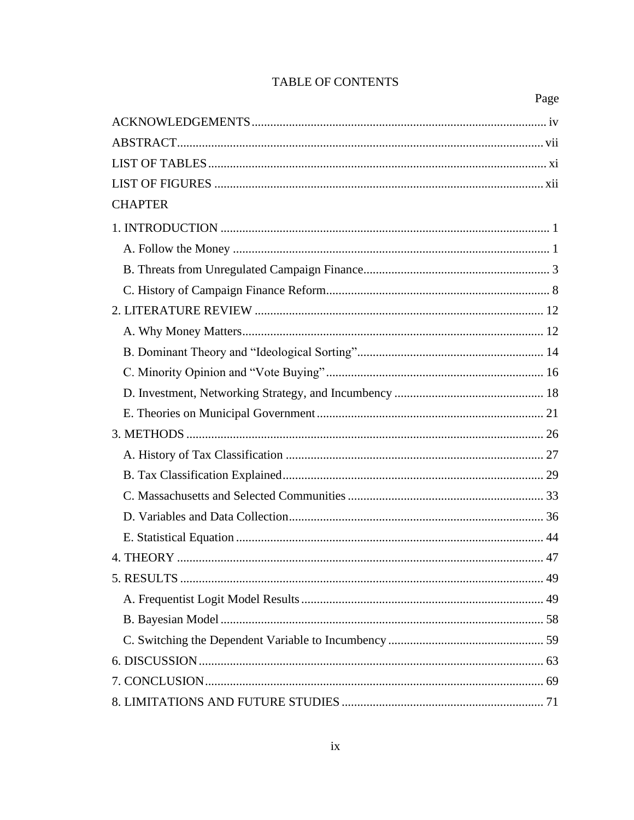### TABLE OF CONTENTS

| <b>CHAPTER</b> |
|----------------|
|                |
|                |
|                |
|                |
|                |
|                |
|                |
|                |
|                |
|                |
|                |
|                |
|                |
|                |
|                |
|                |
|                |
|                |
|                |
|                |
|                |
|                |
|                |
|                |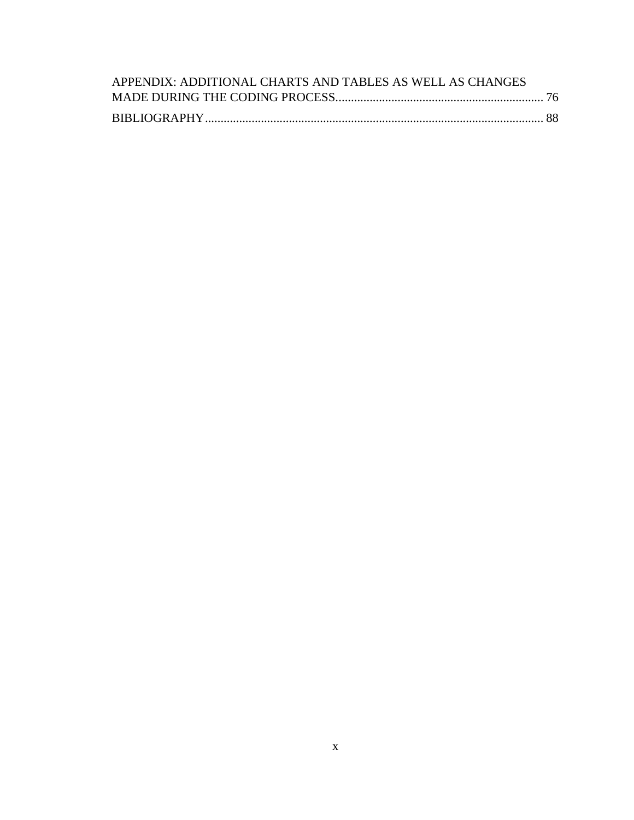<span id="page-10-0"></span>

| APPENDIX: ADDITIONAL CHARTS AND TABLES AS WELL AS CHANGES |  |
|-----------------------------------------------------------|--|
|                                                           |  |
|                                                           |  |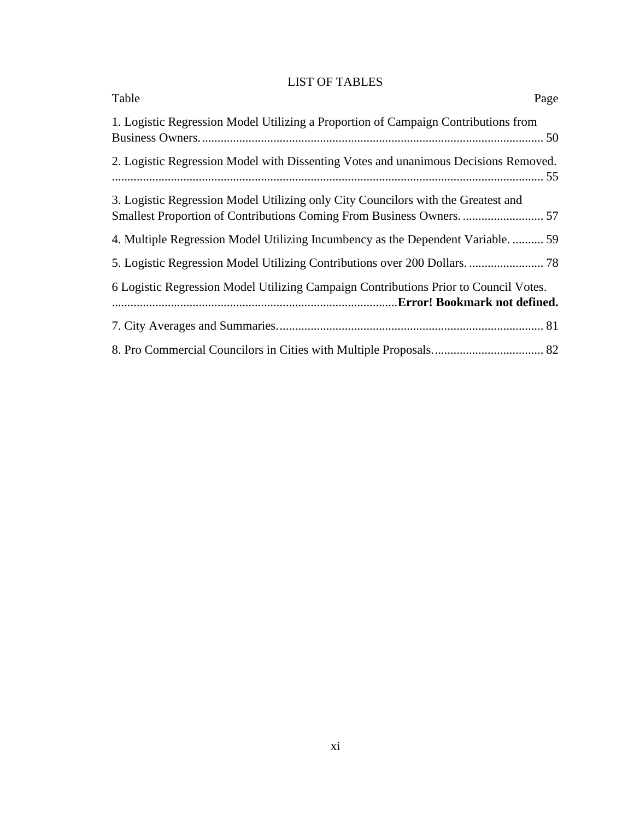### LIST OF TABLES

| Table<br>Page                                                                                                                                              |
|------------------------------------------------------------------------------------------------------------------------------------------------------------|
| 1. Logistic Regression Model Utilizing a Proportion of Campaign Contributions from                                                                         |
| 2. Logistic Regression Model with Dissenting Votes and unanimous Decisions Removed.                                                                        |
| 3. Logistic Regression Model Utilizing only City Councilors with the Greatest and<br>Smallest Proportion of Contributions Coming From Business Owners.  57 |
| 4. Multiple Regression Model Utilizing Incumbency as the Dependent Variable.  59                                                                           |
|                                                                                                                                                            |
| 6 Logistic Regression Model Utilizing Campaign Contributions Prior to Council Votes.                                                                       |
|                                                                                                                                                            |
|                                                                                                                                                            |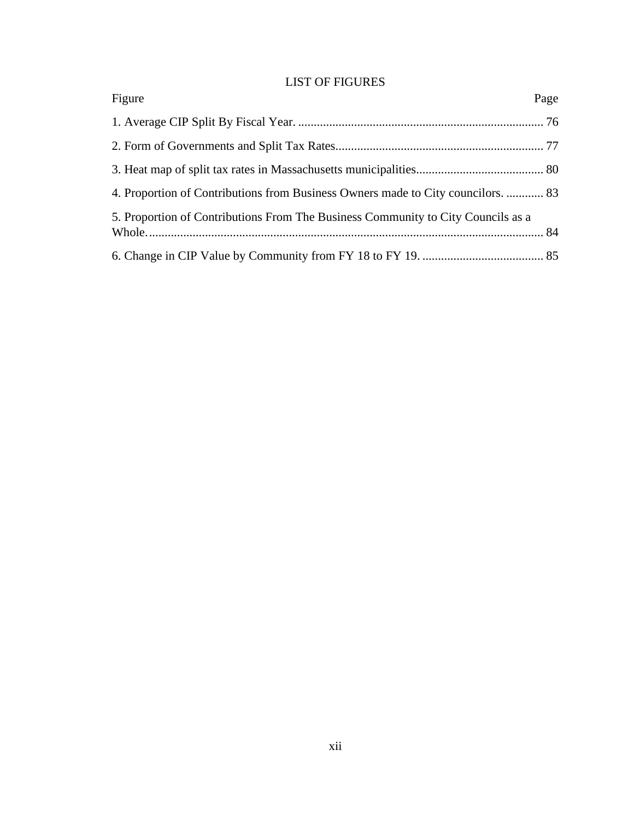### LIST OF FIGURES

<span id="page-12-0"></span>

| Figure                                                                           | Page |
|----------------------------------------------------------------------------------|------|
|                                                                                  |      |
|                                                                                  |      |
|                                                                                  |      |
| 4. Proportion of Contributions from Business Owners made to City councilors.  83 |      |
| 5. Proportion of Contributions From The Business Community to City Councils as a |      |
|                                                                                  |      |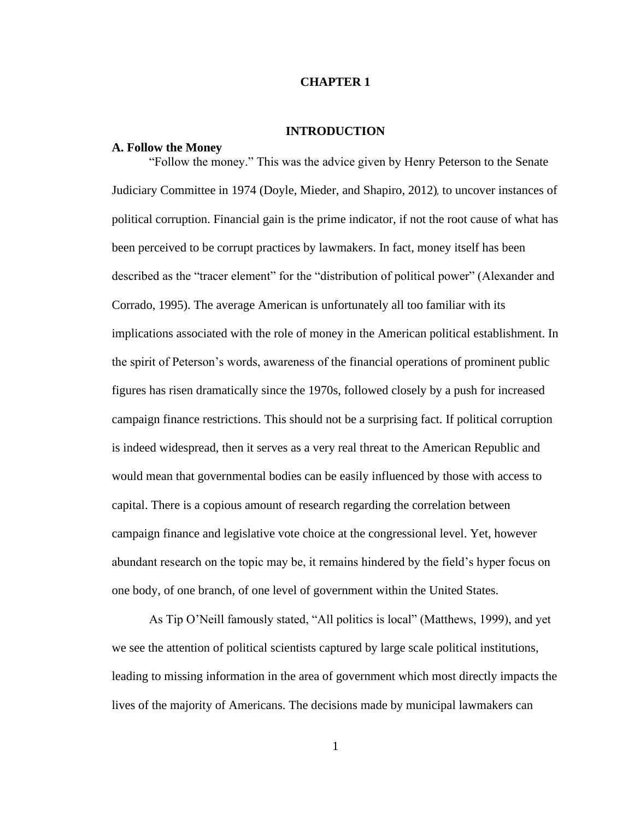#### **CHAPTER 1**

#### **INTRODUCTION**

#### <span id="page-13-1"></span><span id="page-13-0"></span>**A. Follow the Money**

"Follow the money." This was the advice given by Henry Peterson to the Senate Judiciary Committee in 1974 (Doyle, Mieder, and Shapiro, 2012), to uncover instances of political corruption. Financial gain is the prime indicator, if not the root cause of what has been perceived to be corrupt practices by lawmakers. In fact, money itself has been described as the "tracer element" for the "distribution of political power" (Alexander and Corrado, 1995). The average American is unfortunately all too familiar with its implications associated with the role of money in the American political establishment. In the spirit of Peterson's words, awareness of the financial operations of prominent public figures has risen dramatically since the 1970s, followed closely by a push for increased campaign finance restrictions. This should not be a surprising fact. If political corruption is indeed widespread, then it serves as a very real threat to the American Republic and would mean that governmental bodies can be easily influenced by those with access to capital. There is a copious amount of research regarding the correlation between campaign finance and legislative vote choice at the congressional level. Yet, however abundant research on the topic may be, it remains hindered by the field's hyper focus on one body, of one branch, of one level of government within the United States.

As Tip O'Neill famously stated, "All politics is local" (Matthews, 1999), and yet we see the attention of political scientists captured by large scale political institutions, leading to missing information in the area of government which most directly impacts the lives of the majority of Americans. The decisions made by municipal lawmakers can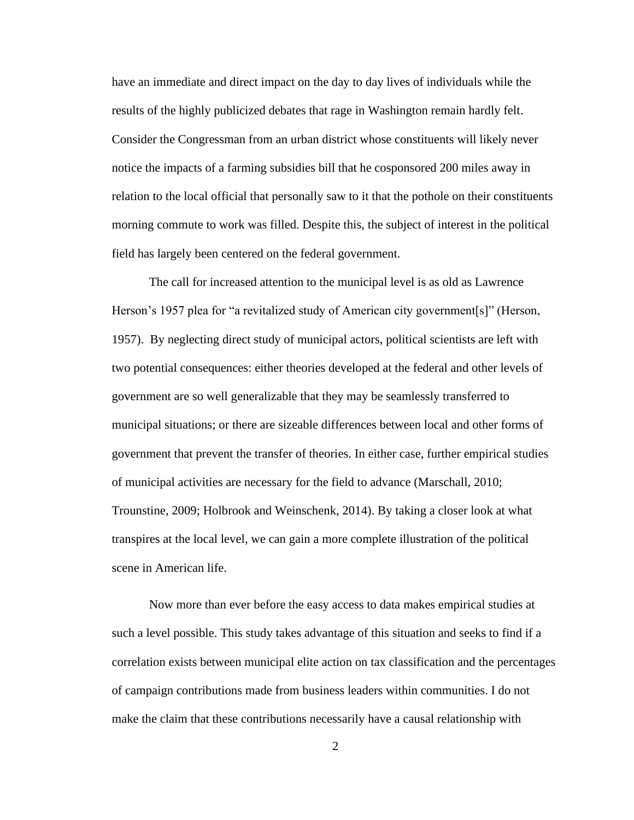have an immediate and direct impact on the day to day lives of individuals while the results of the highly publicized debates that rage in Washington remain hardly felt. Consider the Congressman from an urban district whose constituents will likely never notice the impacts of a farming subsidies bill that he cosponsored 200 miles away in relation to the local official that personally saw to it that the pothole on their constituents morning commute to work was filled. Despite this, the subject of interest in the political field has largely been centered on the federal government.

The call for increased attention to the municipal level is as old as Lawrence Herson's 1957 plea for "a revitalized study of American city government[s]" (Herson, 1957). By neglecting direct study of municipal actors, political scientists are left with two potential consequences: either theories developed at the federal and other levels of government are so well generalizable that they may be seamlessly transferred to municipal situations; or there are sizeable differences between local and other forms of government that prevent the transfer of theories. In either case, further empirical studies of municipal activities are necessary for the field to advance (Marschall, 2010; Trounstine, 2009; Holbrook and Weinschenk, 2014). By taking a closer look at what transpires at the local level, we can gain a more complete illustration of the political scene in American life.

Now more than ever before the easy access to data makes empirical studies at such a level possible. This study takes advantage of this situation and seeks to find if a correlation exists between municipal elite action on tax classification and the percentages of campaign contributions made from business leaders within communities. I do not make the claim that these contributions necessarily have a causal relationship with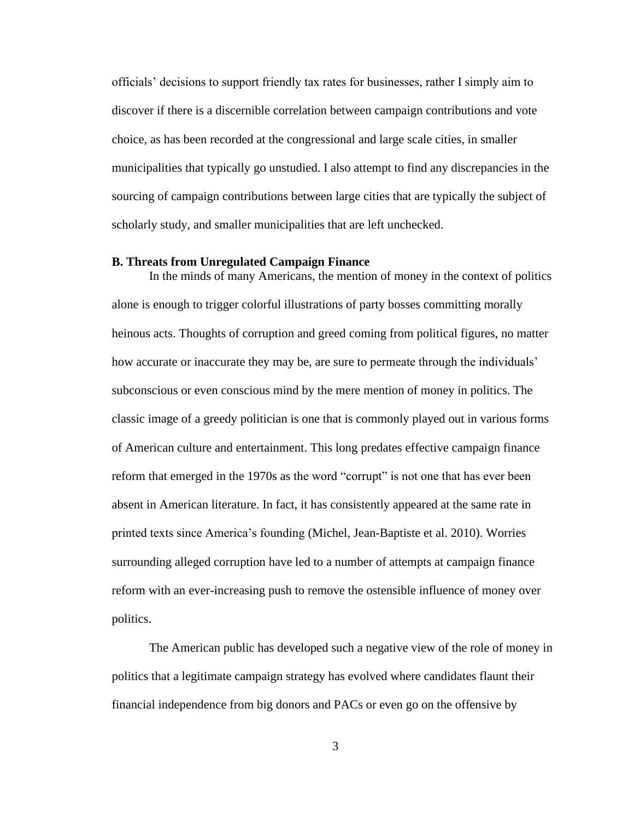officials' decisions to support friendly tax rates for businesses, rather I simply aim to discover if there is a discernible correlation between campaign contributions and vote choice, as has been recorded at the congressional and large scale cities, in smaller municipalities that typically go unstudied. I also attempt to find any discrepancies in the sourcing of campaign contributions between large cities that are typically the subject of scholarly study, and smaller municipalities that are left unchecked.

### <span id="page-15-0"></span>**B. Threats from Unregulated Campaign Finance**

In the minds of many Americans, the mention of money in the context of politics alone is enough to trigger colorful illustrations of party bosses committing morally heinous acts. Thoughts of corruption and greed coming from political figures, no matter how accurate or inaccurate they may be, are sure to permeate through the individuals' subconscious or even conscious mind by the mere mention of money in politics. The classic image of a greedy politician is one that is commonly played out in various forms of American culture and entertainment. This long predates effective campaign finance reform that emerged in the 1970s as the word "corrupt" is not one that has ever been absent in American literature. In fact, it has consistently appeared at the same rate in printed texts since America's founding (Michel, Jean-Baptiste et al. 2010). Worries surrounding alleged corruption have led to a number of attempts at campaign finance reform with an ever-increasing push to remove the ostensible influence of money over politics.

The American public has developed such a negative view of the role of money in politics that a legitimate campaign strategy has evolved where candidates flaunt their financial independence from big donors and PACs or even go on the offensive by

3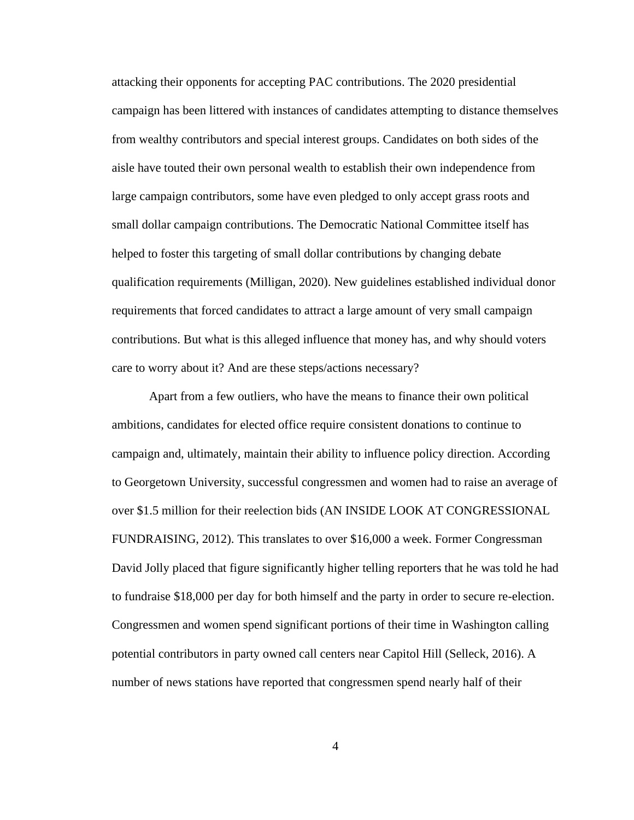attacking their opponents for accepting PAC contributions. The 2020 presidential campaign has been littered with instances of candidates attempting to distance themselves from wealthy contributors and special interest groups. Candidates on both sides of the aisle have touted their own personal wealth to establish their own independence from large campaign contributors, some have even pledged to only accept grass roots and small dollar campaign contributions. The Democratic National Committee itself has helped to foster this targeting of small dollar contributions by changing debate qualification requirements (Milligan, 2020). New guidelines established individual donor requirements that forced candidates to attract a large amount of very small campaign contributions. But what is this alleged influence that money has, and why should voters care to worry about it? And are these steps/actions necessary?

Apart from a few outliers, who have the means to finance their own political ambitions, candidates for elected office require consistent donations to continue to campaign and, ultimately, maintain their ability to influence policy direction. According to Georgetown University, successful congressmen and women had to raise an average of over \$1.5 million for their reelection bids (AN INSIDE LOOK AT CONGRESSIONAL FUNDRAISING, 2012). This translates to over \$16,000 a week. Former Congressman David Jolly placed that figure significantly higher telling reporters that he was told he had to fundraise \$18,000 per day for both himself and the party in order to secure re-election. Congressmen and women spend significant portions of their time in Washington calling potential contributors in party owned call centers near Capitol Hill (Selleck, 2016). A number of news stations have reported that congressmen spend nearly half of their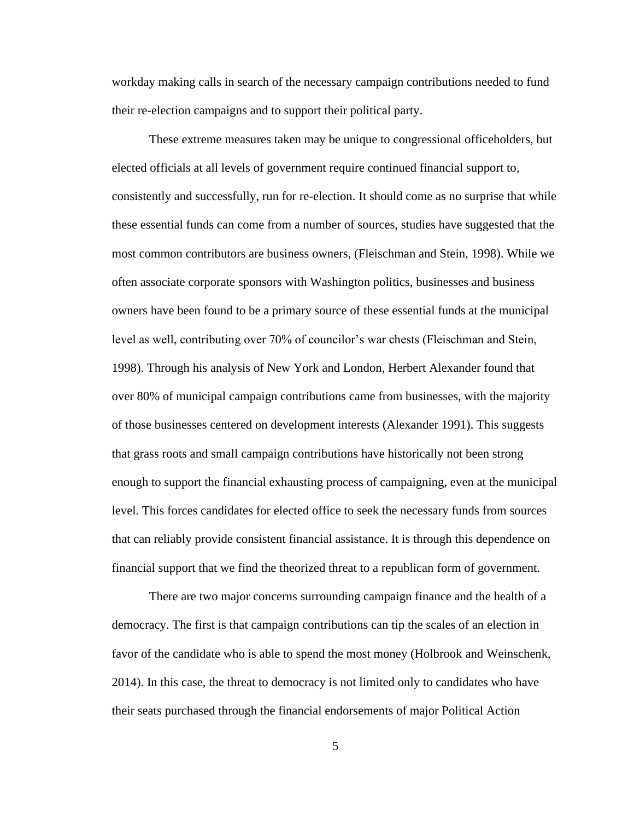workday making calls in search of the necessary campaign contributions needed to fund their re-election campaigns and to support their political party.

These extreme measures taken may be unique to congressional officeholders, but elected officials at all levels of government require continued financial support to, consistently and successfully, run for re-election. It should come as no surprise that while these essential funds can come from a number of sources, studies have suggested that the most common contributors are business owners, (Fleischman and Stein, 1998). While we often associate corporate sponsors with Washington politics, businesses and business owners have been found to be a primary source of these essential funds at the municipal level as well, contributing over 70% of councilor's war chests (Fleischman and Stein, 1998). Through his analysis of New York and London, Herbert Alexander found that over 80% of municipal campaign contributions came from businesses, with the majority of those businesses centered on development interests (Alexander 1991). This suggests that grass roots and small campaign contributions have historically not been strong enough to support the financial exhausting process of campaigning, even at the municipal level. This forces candidates for elected office to seek the necessary funds from sources that can reliably provide consistent financial assistance. It is through this dependence on financial support that we find the theorized threat to a republican form of government.

There are two major concerns surrounding campaign finance and the health of a democracy. The first is that campaign contributions can tip the scales of an election in favor of the candidate who is able to spend the most money (Holbrook and Weinschenk, 2014). In this case, the threat to democracy is not limited only to candidates who have their seats purchased through the financial endorsements of major Political Action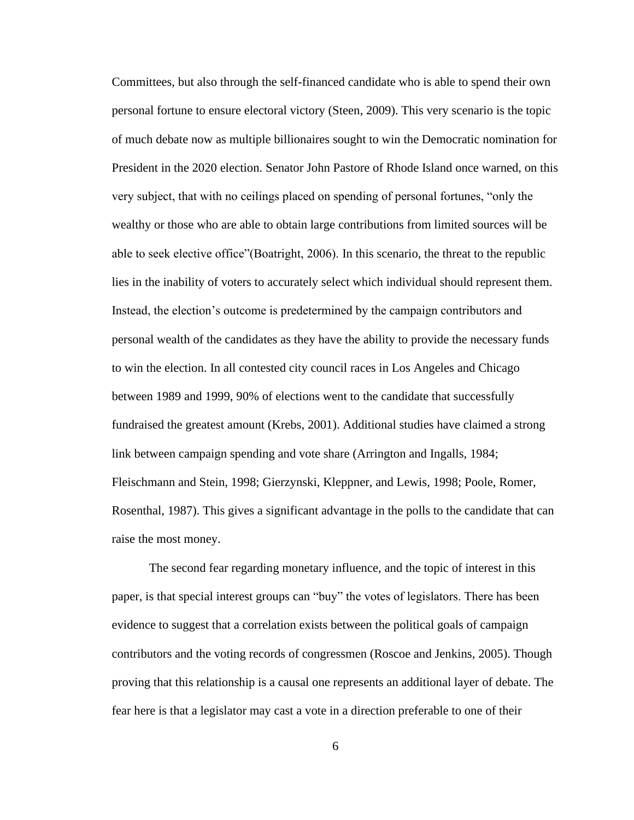Committees, but also through the self-financed candidate who is able to spend their own personal fortune to ensure electoral victory (Steen, 2009). This very scenario is the topic of much debate now as multiple billionaires sought to win the Democratic nomination for President in the 2020 election. Senator John Pastore of Rhode Island once warned, on this very subject, that with no ceilings placed on spending of personal fortunes, "only the wealthy or those who are able to obtain large contributions from limited sources will be able to seek elective office"(Boatright, 2006). In this scenario, the threat to the republic lies in the inability of voters to accurately select which individual should represent them. Instead, the election's outcome is predetermined by the campaign contributors and personal wealth of the candidates as they have the ability to provide the necessary funds to win the election. In all contested city council races in Los Angeles and Chicago between 1989 and 1999, 90% of elections went to the candidate that successfully fundraised the greatest amount (Krebs, 2001). Additional studies have claimed a strong link between campaign spending and vote share (Arrington and Ingalls, 1984; Fleischmann and Stein, 1998; Gierzynski, Kleppner, and Lewis, 1998; Poole, Romer, Rosenthal, 1987). This gives a significant advantage in the polls to the candidate that can raise the most money.

The second fear regarding monetary influence, and the topic of interest in this paper, is that special interest groups can "buy" the votes of legislators. There has been evidence to suggest that a correlation exists between the political goals of campaign contributors and the voting records of congressmen (Roscoe and Jenkins, 2005). Though proving that this relationship is a causal one represents an additional layer of debate. The fear here is that a legislator may cast a vote in a direction preferable to one of their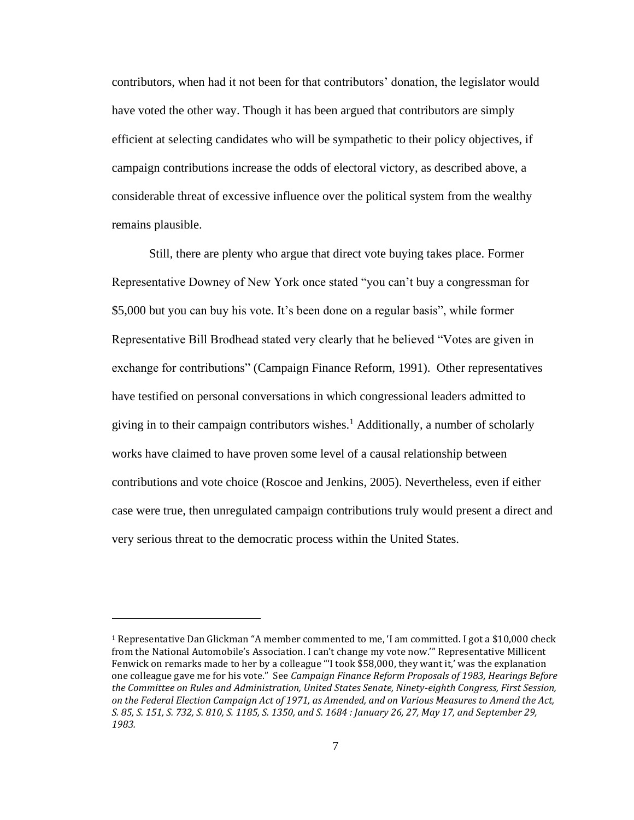contributors, when had it not been for that contributors' donation, the legislator would have voted the other way. Though it has been argued that contributors are simply efficient at selecting candidates who will be sympathetic to their policy objectives, if campaign contributions increase the odds of electoral victory, as described above, a considerable threat of excessive influence over the political system from the wealthy remains plausible.

Still, there are plenty who argue that direct vote buying takes place. Former Representative Downey of New York once stated "you can't buy a congressman for \$5,000 but you can buy his vote. It's been done on a regular basis", while former Representative Bill Brodhead stated very clearly that he believed "Votes are given in exchange for contributions" (Campaign Finance Reform, 1991). Other representatives have testified on personal conversations in which congressional leaders admitted to giving in to their campaign contributors wishes.<sup>1</sup> Additionally, a number of scholarly works have claimed to have proven some level of a causal relationship between contributions and vote choice (Roscoe and Jenkins, 2005). Nevertheless, even if either case were true, then unregulated campaign contributions truly would present a direct and very serious threat to the democratic process within the United States.

<sup>&</sup>lt;sup>1</sup> Representative Dan Glickman "A member commented to me, 'I am committed. I got a \$10,000 check from the National Automobile's Association. I can't change my vote now.'" Representative Millicent Fenwick on remarks made to her by a colleague "'I took \$58,000, they want it,' was the explanation one colleague gave me for his vote." See *Campaign Finance Reform Proposals of 1983, Hearings Before the Committee on Rules and Administration, United States Senate, Ninety-eighth Congress, First Session, on the Federal Election Campaign Act of 1971, as Amended, and on Various Measures to Amend the Act, S. 85, S. 151, S. 732, S. 810, S. 1185, S. 1350, and S. 1684 : January 26, 27, May 17, and September 29, 1983.*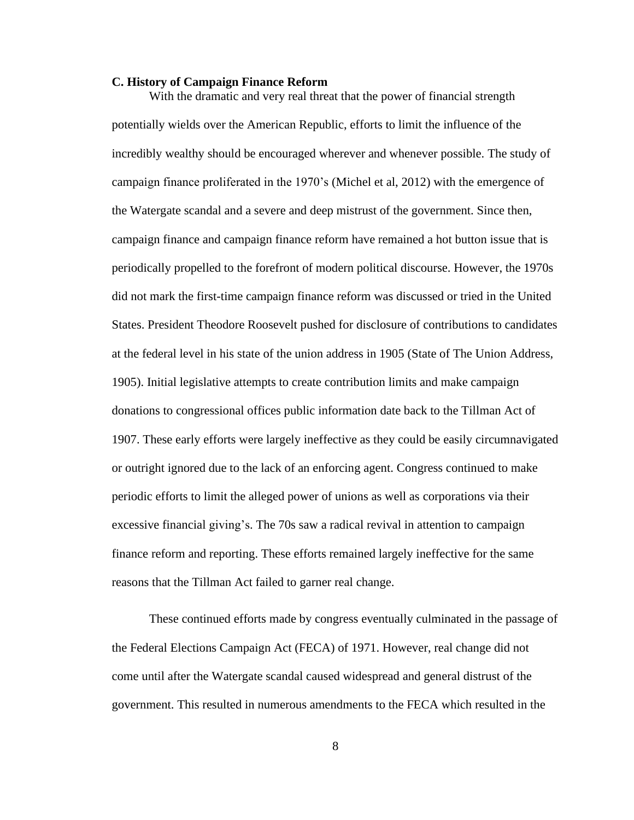#### <span id="page-20-0"></span>**C. History of Campaign Finance Reform**

With the dramatic and very real threat that the power of financial strength potentially wields over the American Republic, efforts to limit the influence of the incredibly wealthy should be encouraged wherever and whenever possible. The study of campaign finance proliferated in the 1970's (Michel et al, 2012) with the emergence of the Watergate scandal and a severe and deep mistrust of the government. Since then, campaign finance and campaign finance reform have remained a hot button issue that is periodically propelled to the forefront of modern political discourse. However, the 1970s did not mark the first-time campaign finance reform was discussed or tried in the United States. President Theodore Roosevelt pushed for disclosure of contributions to candidates at the federal level in his state of the union address in 1905 (State of The Union Address, 1905). Initial legislative attempts to create contribution limits and make campaign donations to congressional offices public information date back to the Tillman Act of 1907. These early efforts were largely ineffective as they could be easily circumnavigated or outright ignored due to the lack of an enforcing agent. Congress continued to make periodic efforts to limit the alleged power of unions as well as corporations via their excessive financial giving's. The 70s saw a radical revival in attention to campaign finance reform and reporting. These efforts remained largely ineffective for the same reasons that the Tillman Act failed to garner real change.

These continued efforts made by congress eventually culminated in the passage of the Federal Elections Campaign Act (FECA) of 1971. However, real change did not come until after the Watergate scandal caused widespread and general distrust of the government. This resulted in numerous amendments to the FECA which resulted in the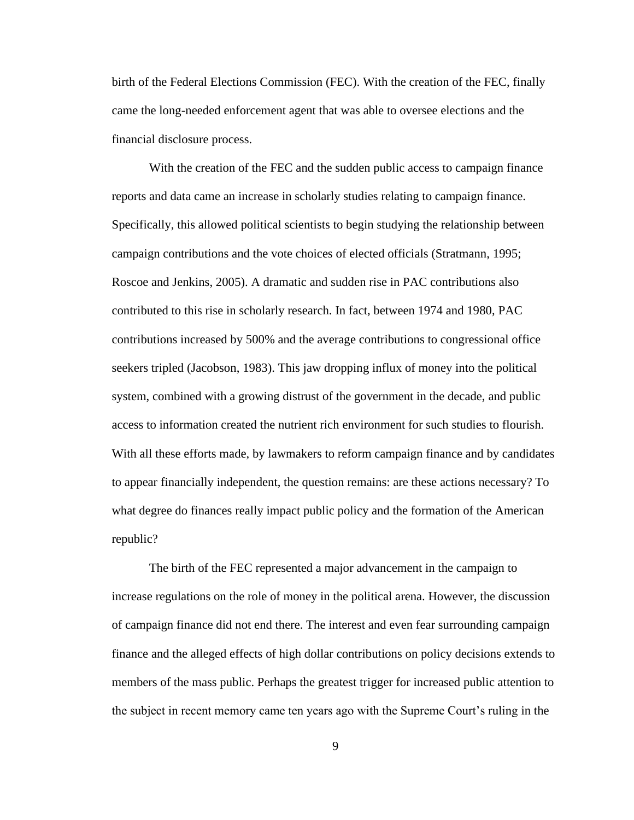birth of the Federal Elections Commission (FEC). With the creation of the FEC, finally came the long-needed enforcement agent that was able to oversee elections and the financial disclosure process.

With the creation of the FEC and the sudden public access to campaign finance reports and data came an increase in scholarly studies relating to campaign finance. Specifically, this allowed political scientists to begin studying the relationship between campaign contributions and the vote choices of elected officials (Stratmann, 1995; Roscoe and Jenkins, 2005). A dramatic and sudden rise in PAC contributions also contributed to this rise in scholarly research. In fact, between 1974 and 1980, PAC contributions increased by 500% and the average contributions to congressional office seekers tripled (Jacobson, 1983). This jaw dropping influx of money into the political system, combined with a growing distrust of the government in the decade, and public access to information created the nutrient rich environment for such studies to flourish. With all these efforts made, by lawmakers to reform campaign finance and by candidates to appear financially independent, the question remains: are these actions necessary? To what degree do finances really impact public policy and the formation of the American republic?

The birth of the FEC represented a major advancement in the campaign to increase regulations on the role of money in the political arena. However, the discussion of campaign finance did not end there. The interest and even fear surrounding campaign finance and the alleged effects of high dollar contributions on policy decisions extends to members of the mass public. Perhaps the greatest trigger for increased public attention to the subject in recent memory came ten years ago with the Supreme Court's ruling in the

9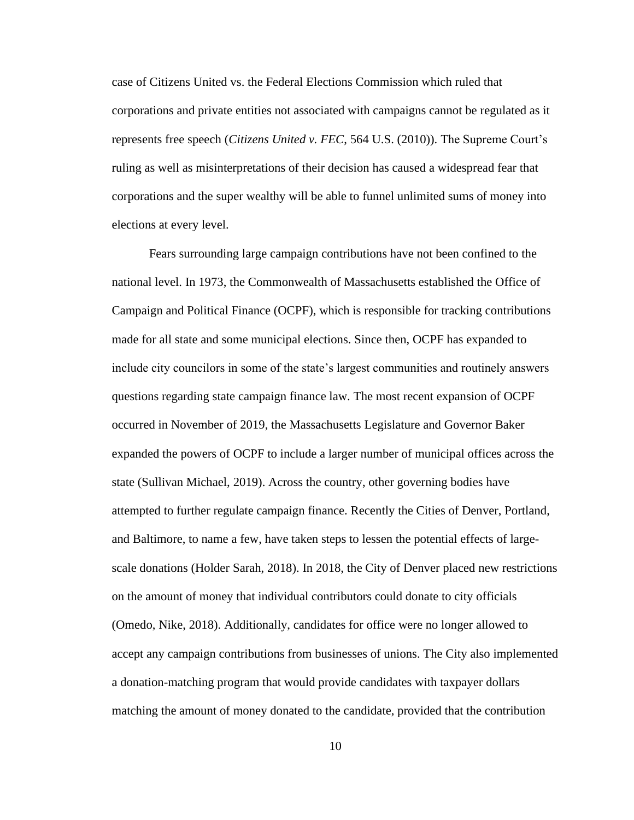case of Citizens United vs. the Federal Elections Commission which ruled that corporations and private entities not associated with campaigns cannot be regulated as it represents free speech (*Citizens United v. FEC*, 564 U.S. (2010)). The Supreme Court's ruling as well as misinterpretations of their decision has caused a widespread fear that corporations and the super wealthy will be able to funnel unlimited sums of money into elections at every level.

Fears surrounding large campaign contributions have not been confined to the national level. In 1973, the Commonwealth of Massachusetts established the Office of Campaign and Political Finance (OCPF), which is responsible for tracking contributions made for all state and some municipal elections. Since then, OCPF has expanded to include city councilors in some of the state's largest communities and routinely answers questions regarding state campaign finance law. The most recent expansion of OCPF occurred in November of 2019, the Massachusetts Legislature and Governor Baker expanded the powers of OCPF to include a larger number of municipal offices across the state (Sullivan Michael, 2019). Across the country, other governing bodies have attempted to further regulate campaign finance. Recently the Cities of Denver, Portland, and Baltimore, to name a few, have taken steps to lessen the potential effects of largescale donations (Holder Sarah, 2018). In 2018, the City of Denver placed new restrictions on the amount of money that individual contributors could donate to city officials (Omedo, Nike, 2018). Additionally, candidates for office were no longer allowed to accept any campaign contributions from businesses of unions. The City also implemented a donation-matching program that would provide candidates with taxpayer dollars matching the amount of money donated to the candidate, provided that the contribution

10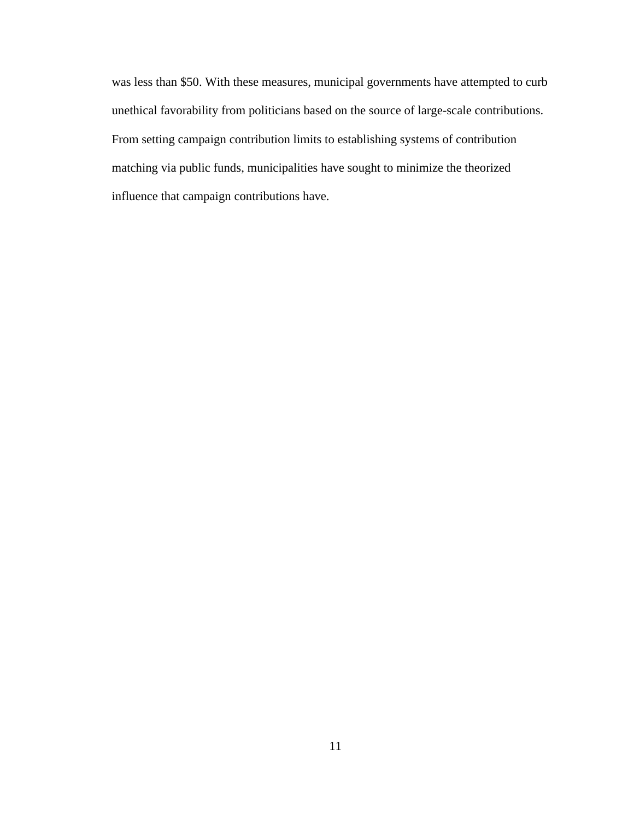was less than \$50. With these measures, municipal governments have attempted to curb unethical favorability from politicians based on the source of large-scale contributions. From setting campaign contribution limits to establishing systems of contribution matching via public funds, municipalities have sought to minimize the theorized influence that campaign contributions have.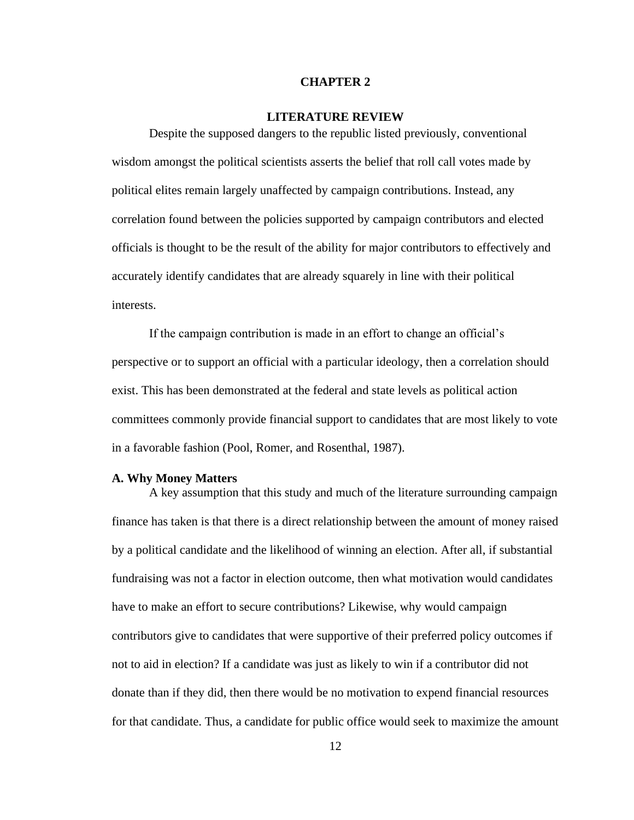### **CHAPTER 2**

### **LITERATURE REVIEW**

<span id="page-24-0"></span>Despite the supposed dangers to the republic listed previously, conventional wisdom amongst the political scientists asserts the belief that roll call votes made by political elites remain largely unaffected by campaign contributions. Instead, any correlation found between the policies supported by campaign contributors and elected officials is thought to be the result of the ability for major contributors to effectively and accurately identify candidates that are already squarely in line with their political interests.

If the campaign contribution is made in an effort to change an official's perspective or to support an official with a particular ideology, then a correlation should exist. This has been demonstrated at the federal and state levels as political action committees commonly provide financial support to candidates that are most likely to vote in a favorable fashion (Pool, Romer, and Rosenthal, 1987).

#### <span id="page-24-1"></span>**A. Why Money Matters**

A key assumption that this study and much of the literature surrounding campaign finance has taken is that there is a direct relationship between the amount of money raised by a political candidate and the likelihood of winning an election. After all, if substantial fundraising was not a factor in election outcome, then what motivation would candidates have to make an effort to secure contributions? Likewise, why would campaign contributors give to candidates that were supportive of their preferred policy outcomes if not to aid in election? If a candidate was just as likely to win if a contributor did not donate than if they did, then there would be no motivation to expend financial resources for that candidate. Thus, a candidate for public office would seek to maximize the amount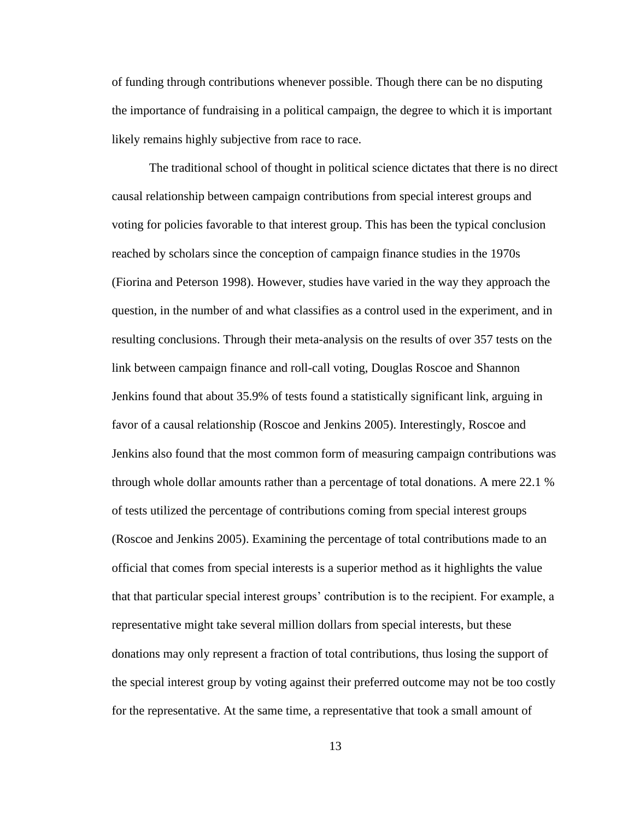of funding through contributions whenever possible. Though there can be no disputing the importance of fundraising in a political campaign, the degree to which it is important likely remains highly subjective from race to race.

The traditional school of thought in political science dictates that there is no direct causal relationship between campaign contributions from special interest groups and voting for policies favorable to that interest group. This has been the typical conclusion reached by scholars since the conception of campaign finance studies in the 1970s (Fiorina and Peterson 1998). However, studies have varied in the way they approach the question, in the number of and what classifies as a control used in the experiment, and in resulting conclusions. Through their meta-analysis on the results of over 357 tests on the link between campaign finance and roll-call voting, Douglas Roscoe and Shannon Jenkins found that about 35.9% of tests found a statistically significant link, arguing in favor of a causal relationship (Roscoe and Jenkins 2005). Interestingly, Roscoe and Jenkins also found that the most common form of measuring campaign contributions was through whole dollar amounts rather than a percentage of total donations. A mere 22.1 % of tests utilized the percentage of contributions coming from special interest groups (Roscoe and Jenkins 2005). Examining the percentage of total contributions made to an official that comes from special interests is a superior method as it highlights the value that that particular special interest groups' contribution is to the recipient. For example, a representative might take several million dollars from special interests, but these donations may only represent a fraction of total contributions, thus losing the support of the special interest group by voting against their preferred outcome may not be too costly for the representative. At the same time, a representative that took a small amount of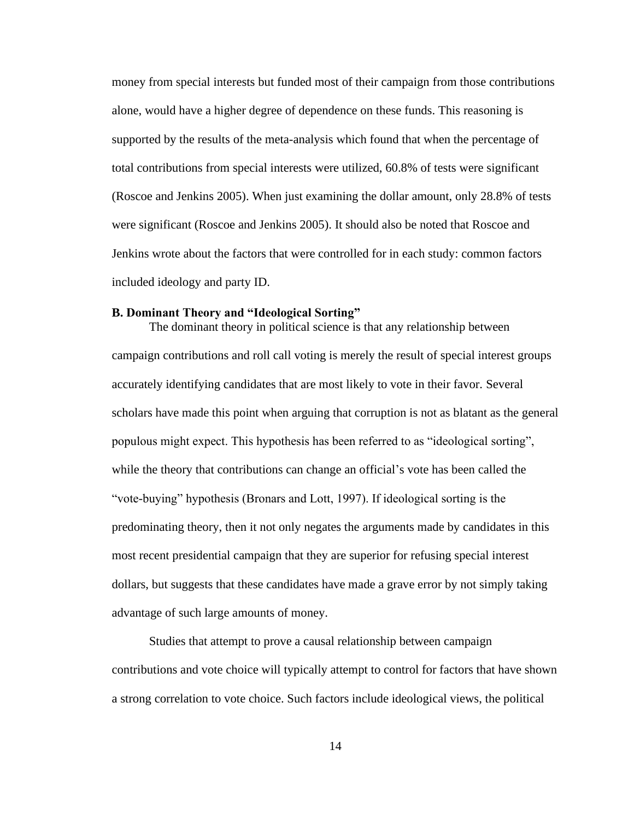money from special interests but funded most of their campaign from those contributions alone, would have a higher degree of dependence on these funds. This reasoning is supported by the results of the meta-analysis which found that when the percentage of total contributions from special interests were utilized, 60.8% of tests were significant (Roscoe and Jenkins 2005). When just examining the dollar amount, only 28.8% of tests were significant (Roscoe and Jenkins 2005). It should also be noted that Roscoe and Jenkins wrote about the factors that were controlled for in each study: common factors included ideology and party ID.

#### <span id="page-26-0"></span>**B. Dominant Theory and "Ideological Sorting"**

The dominant theory in political science is that any relationship between campaign contributions and roll call voting is merely the result of special interest groups accurately identifying candidates that are most likely to vote in their favor. Several scholars have made this point when arguing that corruption is not as blatant as the general populous might expect. This hypothesis has been referred to as "ideological sorting", while the theory that contributions can change an official's vote has been called the "vote-buying" hypothesis (Bronars and Lott, 1997). If ideological sorting is the predominating theory, then it not only negates the arguments made by candidates in this most recent presidential campaign that they are superior for refusing special interest dollars, but suggests that these candidates have made a grave error by not simply taking advantage of such large amounts of money.

Studies that attempt to prove a causal relationship between campaign contributions and vote choice will typically attempt to control for factors that have shown a strong correlation to vote choice. Such factors include ideological views, the political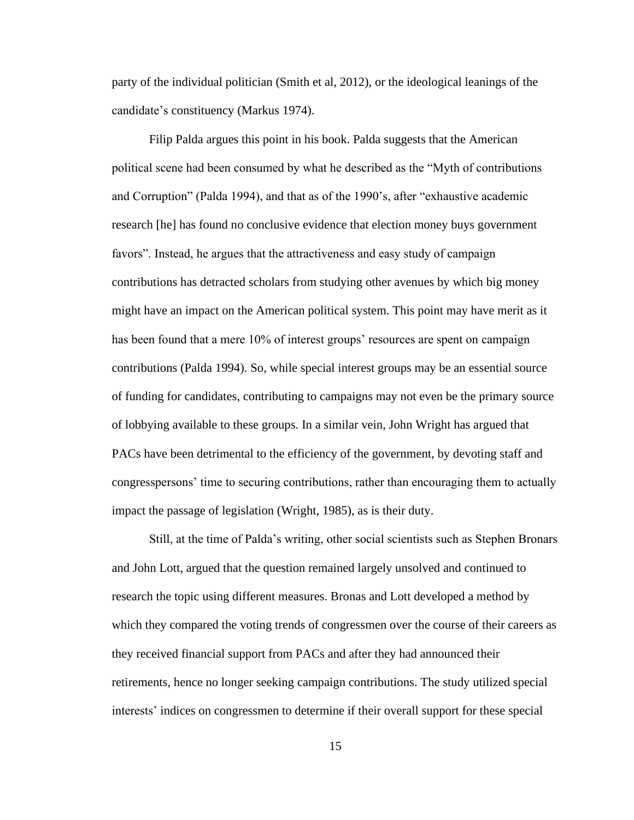party of the individual politician (Smith et al, 2012), or the ideological leanings of the candidate's constituency (Markus 1974).

Filip Palda argues this point in his book. Palda suggests that the American political scene had been consumed by what he described as the "Myth of contributions and Corruption" (Palda 1994), and that as of the 1990's, after "exhaustive academic research [he] has found no conclusive evidence that election money buys government favors". Instead, he argues that the attractiveness and easy study of campaign contributions has detracted scholars from studying other avenues by which big money might have an impact on the American political system. This point may have merit as it has been found that a mere 10% of interest groups' resources are spent on campaign contributions (Palda 1994). So, while special interest groups may be an essential source of funding for candidates, contributing to campaigns may not even be the primary source of lobbying available to these groups. In a similar vein, John Wright has argued that PACs have been detrimental to the efficiency of the government, by devoting staff and congresspersons' time to securing contributions, rather than encouraging them to actually impact the passage of legislation (Wright, 1985), as is their duty.

Still, at the time of Palda's writing, other social scientists such as Stephen Bronars and John Lott, argued that the question remained largely unsolved and continued to research the topic using different measures. Bronas and Lott developed a method by which they compared the voting trends of congressmen over the course of their careers as they received financial support from PACs and after they had announced their retirements, hence no longer seeking campaign contributions. The study utilized special interests' indices on congressmen to determine if their overall support for these special

15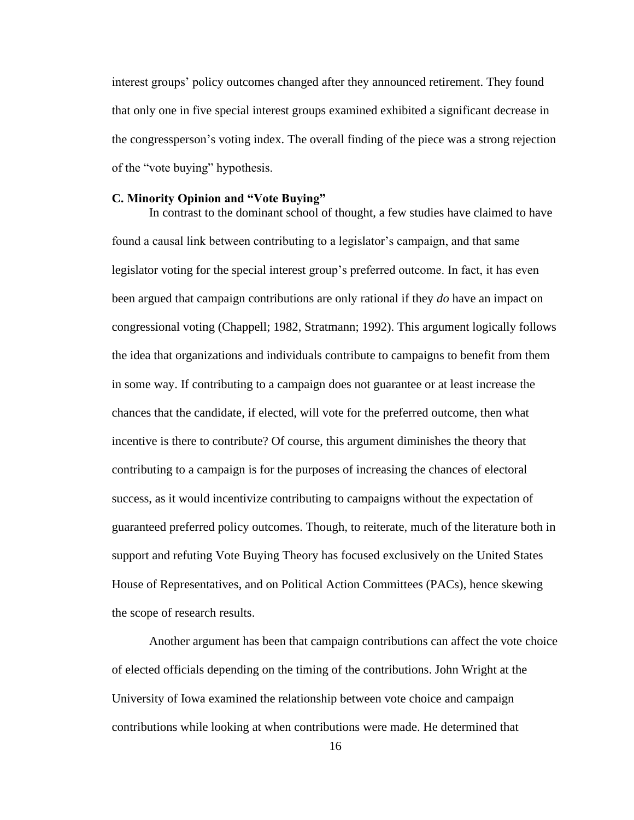interest groups' policy outcomes changed after they announced retirement. They found that only one in five special interest groups examined exhibited a significant decrease in the congressperson's voting index. The overall finding of the piece was a strong rejection of the "vote buying" hypothesis.

#### <span id="page-28-0"></span>**C. Minority Opinion and "Vote Buying"**

In contrast to the dominant school of thought, a few studies have claimed to have found a causal link between contributing to a legislator's campaign, and that same legislator voting for the special interest group's preferred outcome. In fact, it has even been argued that campaign contributions are only rational if they *do* have an impact on congressional voting (Chappell; 1982, Stratmann; 1992). This argument logically follows the idea that organizations and individuals contribute to campaigns to benefit from them in some way. If contributing to a campaign does not guarantee or at least increase the chances that the candidate, if elected, will vote for the preferred outcome, then what incentive is there to contribute? Of course, this argument diminishes the theory that contributing to a campaign is for the purposes of increasing the chances of electoral success, as it would incentivize contributing to campaigns without the expectation of guaranteed preferred policy outcomes. Though, to reiterate, much of the literature both in support and refuting Vote Buying Theory has focused exclusively on the United States House of Representatives, and on Political Action Committees (PACs), hence skewing the scope of research results.

Another argument has been that campaign contributions can affect the vote choice of elected officials depending on the timing of the contributions. John Wright at the University of Iowa examined the relationship between vote choice and campaign contributions while looking at when contributions were made. He determined that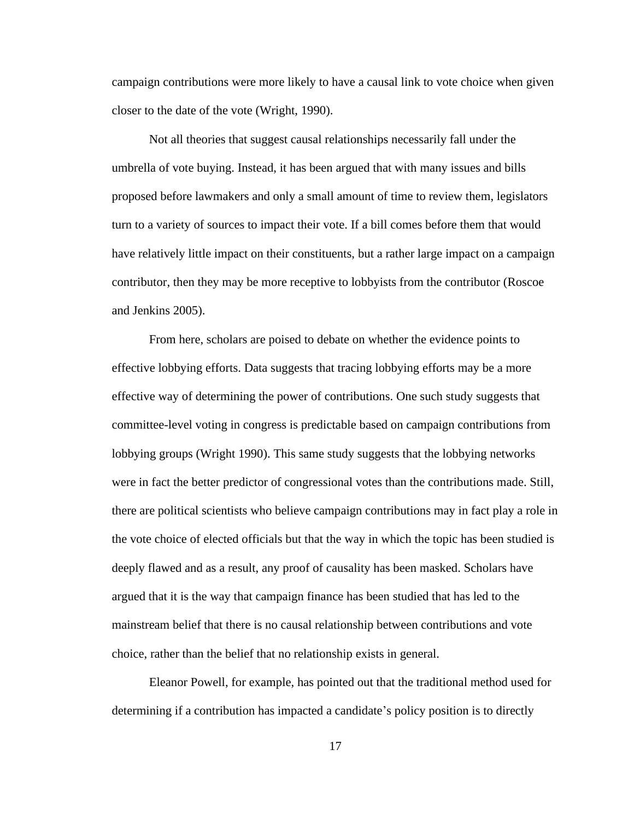campaign contributions were more likely to have a causal link to vote choice when given closer to the date of the vote (Wright, 1990).

Not all theories that suggest causal relationships necessarily fall under the umbrella of vote buying. Instead, it has been argued that with many issues and bills proposed before lawmakers and only a small amount of time to review them, legislators turn to a variety of sources to impact their vote. If a bill comes before them that would have relatively little impact on their constituents, but a rather large impact on a campaign contributor, then they may be more receptive to lobbyists from the contributor (Roscoe and Jenkins 2005).

From here, scholars are poised to debate on whether the evidence points to effective lobbying efforts. Data suggests that tracing lobbying efforts may be a more effective way of determining the power of contributions. One such study suggests that committee-level voting in congress is predictable based on campaign contributions from lobbying groups (Wright 1990). This same study suggests that the lobbying networks were in fact the better predictor of congressional votes than the contributions made. Still, there are political scientists who believe campaign contributions may in fact play a role in the vote choice of elected officials but that the way in which the topic has been studied is deeply flawed and as a result, any proof of causality has been masked. Scholars have argued that it is the way that campaign finance has been studied that has led to the mainstream belief that there is no causal relationship between contributions and vote choice, rather than the belief that no relationship exists in general.

Eleanor Powell, for example, has pointed out that the traditional method used for determining if a contribution has impacted a candidate's policy position is to directly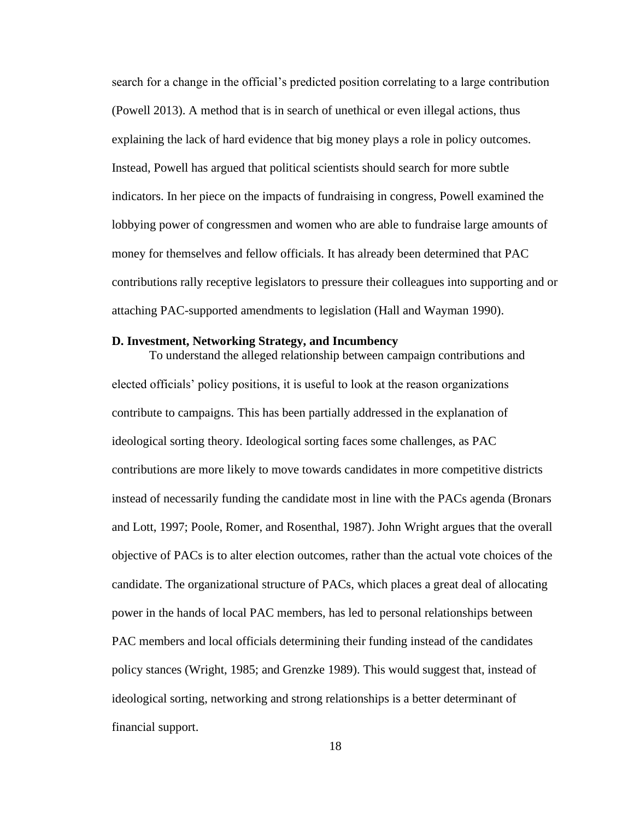search for a change in the official's predicted position correlating to a large contribution (Powell 2013). A method that is in search of unethical or even illegal actions, thus explaining the lack of hard evidence that big money plays a role in policy outcomes. Instead, Powell has argued that political scientists should search for more subtle indicators. In her piece on the impacts of fundraising in congress, Powell examined the lobbying power of congressmen and women who are able to fundraise large amounts of money for themselves and fellow officials. It has already been determined that PAC contributions rally receptive legislators to pressure their colleagues into supporting and or attaching PAC-supported amendments to legislation (Hall and Wayman 1990).

#### <span id="page-30-0"></span>**D. Investment, Networking Strategy, and Incumbency**

To understand the alleged relationship between campaign contributions and elected officials' policy positions, it is useful to look at the reason organizations contribute to campaigns. This has been partially addressed in the explanation of ideological sorting theory. Ideological sorting faces some challenges, as PAC contributions are more likely to move towards candidates in more competitive districts instead of necessarily funding the candidate most in line with the PACs agenda (Bronars and Lott, 1997; Poole, Romer, and Rosenthal, 1987). John Wright argues that the overall objective of PACs is to alter election outcomes, rather than the actual vote choices of the candidate. The organizational structure of PACs, which places a great deal of allocating power in the hands of local PAC members, has led to personal relationships between PAC members and local officials determining their funding instead of the candidates policy stances (Wright, 1985; and Grenzke 1989). This would suggest that, instead of ideological sorting, networking and strong relationships is a better determinant of financial support.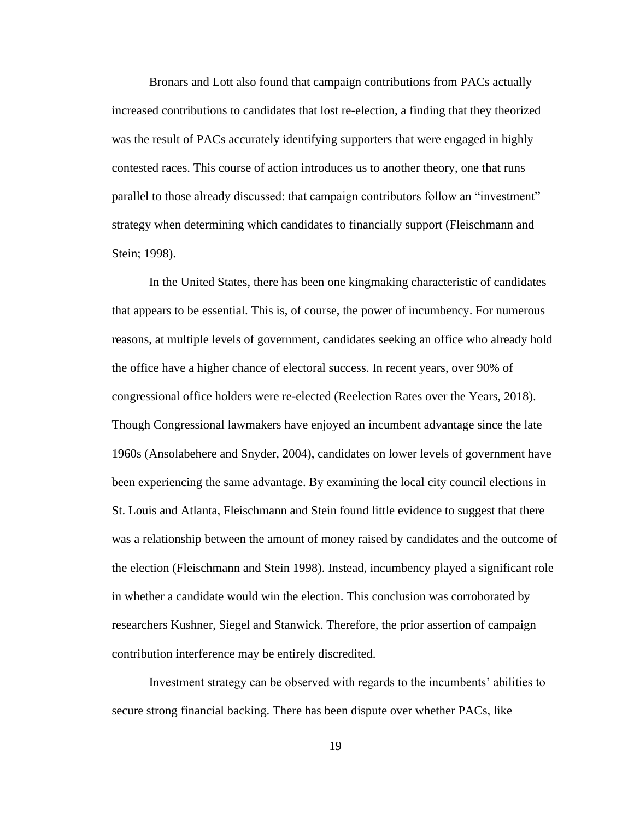Bronars and Lott also found that campaign contributions from PACs actually increased contributions to candidates that lost re-election, a finding that they theorized was the result of PACs accurately identifying supporters that were engaged in highly contested races. This course of action introduces us to another theory, one that runs parallel to those already discussed: that campaign contributors follow an "investment" strategy when determining which candidates to financially support (Fleischmann and Stein; 1998).

In the United States, there has been one kingmaking characteristic of candidates that appears to be essential. This is, of course, the power of incumbency. For numerous reasons, at multiple levels of government, candidates seeking an office who already hold the office have a higher chance of electoral success. In recent years, over 90% of congressional office holders were re-elected (Reelection Rates over the Years, 2018). Though Congressional lawmakers have enjoyed an incumbent advantage since the late 1960s (Ansolabehere and Snyder, 2004), candidates on lower levels of government have been experiencing the same advantage. By examining the local city council elections in St. Louis and Atlanta, Fleischmann and Stein found little evidence to suggest that there was a relationship between the amount of money raised by candidates and the outcome of the election (Fleischmann and Stein 1998). Instead, incumbency played a significant role in whether a candidate would win the election. This conclusion was corroborated by researchers Kushner, Siegel and Stanwick. Therefore, the prior assertion of campaign contribution interference may be entirely discredited.

Investment strategy can be observed with regards to the incumbents' abilities to secure strong financial backing. There has been dispute over whether PACs, like

19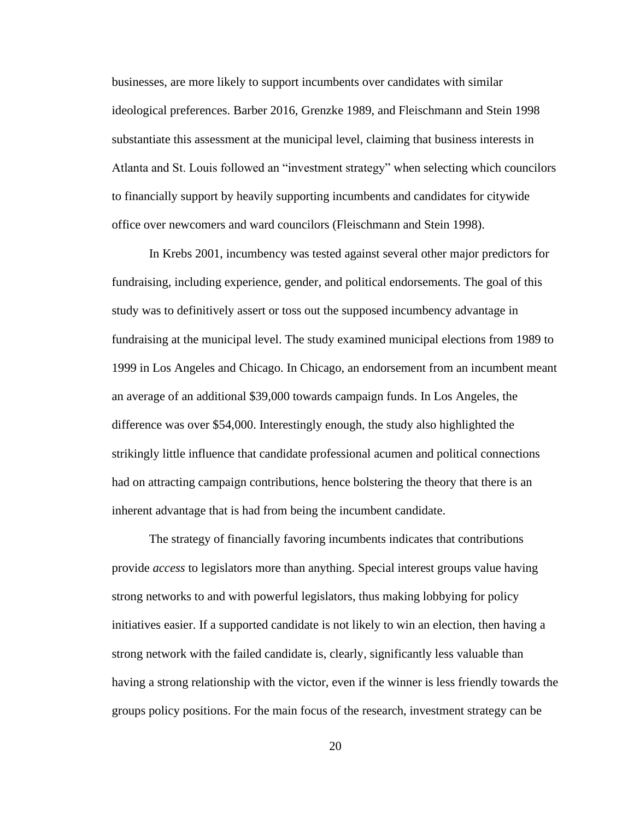businesses, are more likely to support incumbents over candidates with similar ideological preferences. Barber 2016, Grenzke 1989, and Fleischmann and Stein 1998 substantiate this assessment at the municipal level, claiming that business interests in Atlanta and St. Louis followed an "investment strategy" when selecting which councilors to financially support by heavily supporting incumbents and candidates for citywide office over newcomers and ward councilors (Fleischmann and Stein 1998).

In Krebs 2001, incumbency was tested against several other major predictors for fundraising, including experience, gender, and political endorsements. The goal of this study was to definitively assert or toss out the supposed incumbency advantage in fundraising at the municipal level. The study examined municipal elections from 1989 to 1999 in Los Angeles and Chicago. In Chicago, an endorsement from an incumbent meant an average of an additional \$39,000 towards campaign funds. In Los Angeles, the difference was over \$54,000. Interestingly enough, the study also highlighted the strikingly little influence that candidate professional acumen and political connections had on attracting campaign contributions, hence bolstering the theory that there is an inherent advantage that is had from being the incumbent candidate.

The strategy of financially favoring incumbents indicates that contributions provide *access* to legislators more than anything. Special interest groups value having strong networks to and with powerful legislators, thus making lobbying for policy initiatives easier. If a supported candidate is not likely to win an election, then having a strong network with the failed candidate is, clearly, significantly less valuable than having a strong relationship with the victor, even if the winner is less friendly towards the groups policy positions. For the main focus of the research, investment strategy can be

20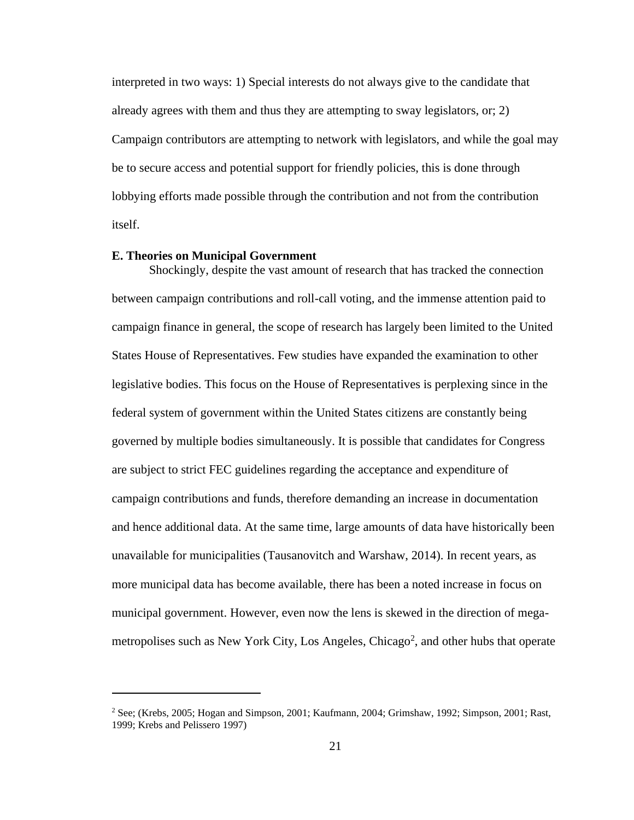interpreted in two ways: 1) Special interests do not always give to the candidate that already agrees with them and thus they are attempting to sway legislators, or; 2) Campaign contributors are attempting to network with legislators, and while the goal may be to secure access and potential support for friendly policies, this is done through lobbying efforts made possible through the contribution and not from the contribution itself.

#### <span id="page-33-0"></span>**E. Theories on Municipal Government**

Shockingly, despite the vast amount of research that has tracked the connection between campaign contributions and roll-call voting, and the immense attention paid to campaign finance in general, the scope of research has largely been limited to the United States House of Representatives. Few studies have expanded the examination to other legislative bodies. This focus on the House of Representatives is perplexing since in the federal system of government within the United States citizens are constantly being governed by multiple bodies simultaneously. It is possible that candidates for Congress are subject to strict FEC guidelines regarding the acceptance and expenditure of campaign contributions and funds, therefore demanding an increase in documentation and hence additional data. At the same time, large amounts of data have historically been unavailable for municipalities (Tausanovitch and Warshaw, 2014). In recent years, as more municipal data has become available, there has been a noted increase in focus on municipal government. However, even now the lens is skewed in the direction of megametropolises such as New York City, Los Angeles, Chicago<sup>2</sup>, and other hubs that operate

<sup>2</sup> See; (Krebs, 2005; Hogan and Simpson, 2001; Kaufmann, 2004; Grimshaw, 1992; Simpson, 2001; Rast, 1999; Krebs and Pelissero 1997)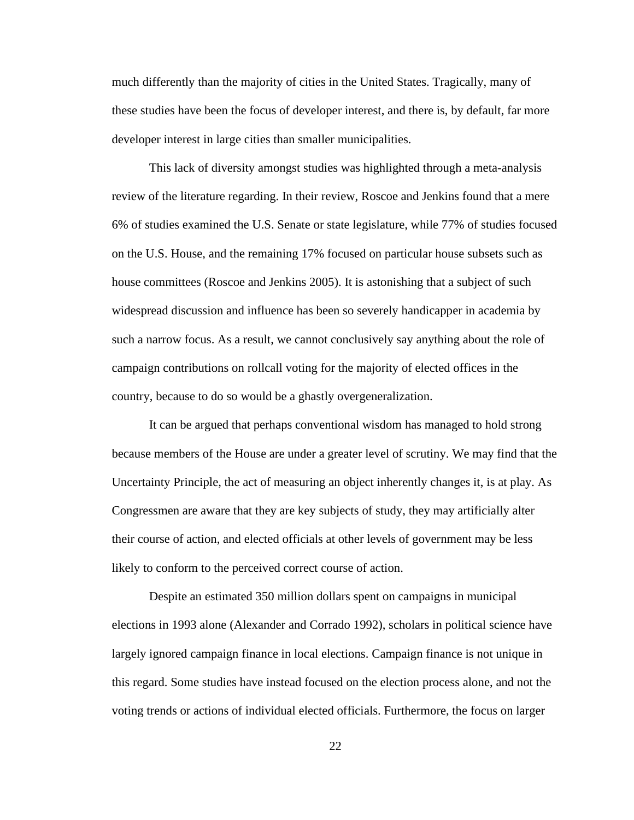much differently than the majority of cities in the United States. Tragically, many of these studies have been the focus of developer interest, and there is, by default, far more developer interest in large cities than smaller municipalities.

This lack of diversity amongst studies was highlighted through a meta-analysis review of the literature regarding. In their review, Roscoe and Jenkins found that a mere 6% of studies examined the U.S. Senate or state legislature, while 77% of studies focused on the U.S. House, and the remaining 17% focused on particular house subsets such as house committees (Roscoe and Jenkins 2005). It is astonishing that a subject of such widespread discussion and influence has been so severely handicapper in academia by such a narrow focus. As a result, we cannot conclusively say anything about the role of campaign contributions on rollcall voting for the majority of elected offices in the country, because to do so would be a ghastly overgeneralization.

It can be argued that perhaps conventional wisdom has managed to hold strong because members of the House are under a greater level of scrutiny. We may find that the Uncertainty Principle, the act of measuring an object inherently changes it, is at play. As Congressmen are aware that they are key subjects of study, they may artificially alter their course of action, and elected officials at other levels of government may be less likely to conform to the perceived correct course of action.

Despite an estimated 350 million dollars spent on campaigns in municipal elections in 1993 alone (Alexander and Corrado 1992), scholars in political science have largely ignored campaign finance in local elections. Campaign finance is not unique in this regard. Some studies have instead focused on the election process alone, and not the voting trends or actions of individual elected officials. Furthermore, the focus on larger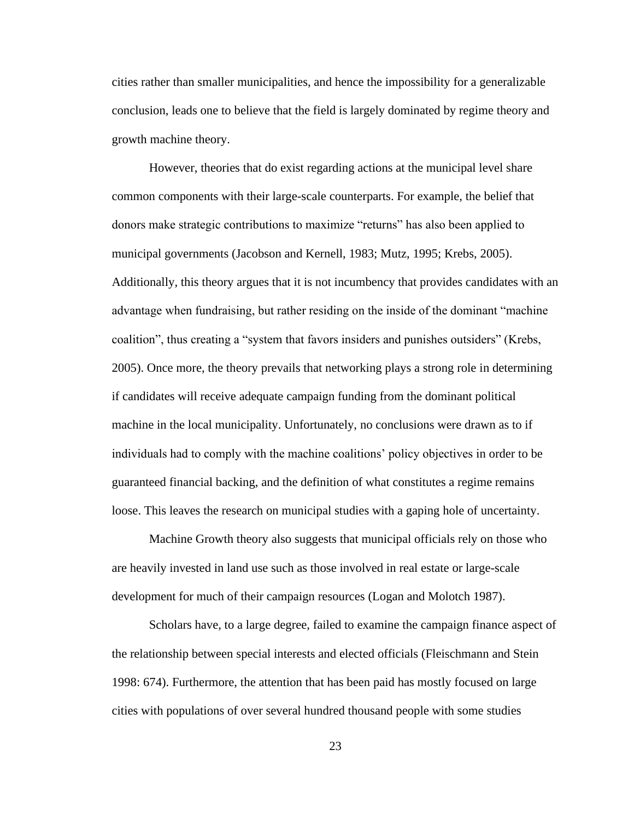cities rather than smaller municipalities, and hence the impossibility for a generalizable conclusion, leads one to believe that the field is largely dominated by regime theory and growth machine theory.

However, theories that do exist regarding actions at the municipal level share common components with their large-scale counterparts. For example, the belief that donors make strategic contributions to maximize "returns" has also been applied to municipal governments (Jacobson and Kernell, 1983; Mutz, 1995; Krebs, 2005). Additionally, this theory argues that it is not incumbency that provides candidates with an advantage when fundraising, but rather residing on the inside of the dominant "machine coalition", thus creating a "system that favors insiders and punishes outsiders" (Krebs, 2005). Once more, the theory prevails that networking plays a strong role in determining if candidates will receive adequate campaign funding from the dominant political machine in the local municipality. Unfortunately, no conclusions were drawn as to if individuals had to comply with the machine coalitions' policy objectives in order to be guaranteed financial backing, and the definition of what constitutes a regime remains loose. This leaves the research on municipal studies with a gaping hole of uncertainty.

Machine Growth theory also suggests that municipal officials rely on those who are heavily invested in land use such as those involved in real estate or large-scale development for much of their campaign resources (Logan and Molotch 1987).

Scholars have, to a large degree, failed to examine the campaign finance aspect of the relationship between special interests and elected officials (Fleischmann and Stein 1998: 674). Furthermore, the attention that has been paid has mostly focused on large cities with populations of over several hundred thousand people with some studies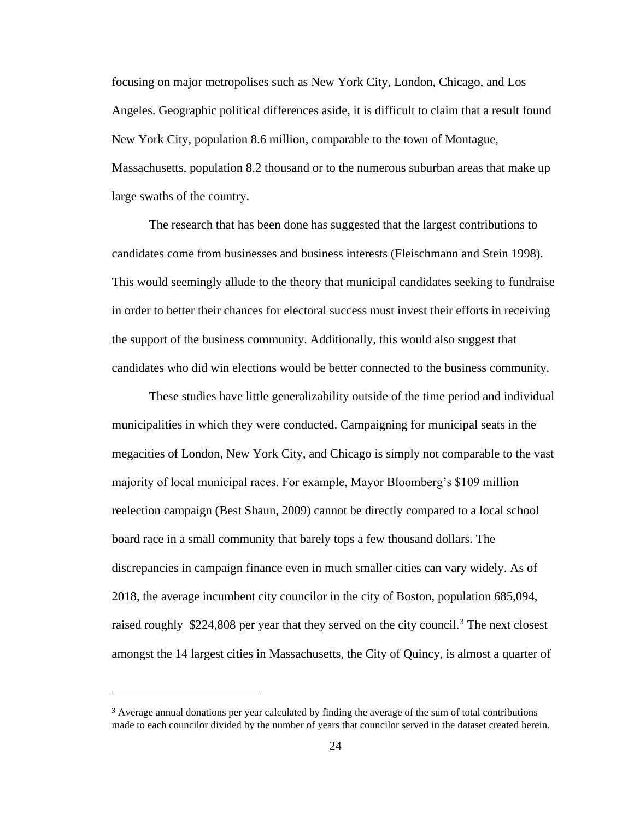focusing on major metropolises such as New York City, London, Chicago, and Los Angeles. Geographic political differences aside, it is difficult to claim that a result found New York City, population 8.6 million, comparable to the town of Montague, Massachusetts, population 8.2 thousand or to the numerous suburban areas that make up large swaths of the country.

The research that has been done has suggested that the largest contributions to candidates come from businesses and business interests (Fleischmann and Stein 1998). This would seemingly allude to the theory that municipal candidates seeking to fundraise in order to better their chances for electoral success must invest their efforts in receiving the support of the business community. Additionally, this would also suggest that candidates who did win elections would be better connected to the business community.

These studies have little generalizability outside of the time period and individual municipalities in which they were conducted. Campaigning for municipal seats in the megacities of London, New York City, and Chicago is simply not comparable to the vast majority of local municipal races. For example, Mayor Bloomberg's \$109 million reelection campaign (Best Shaun, 2009) cannot be directly compared to a local school board race in a small community that barely tops a few thousand dollars. The discrepancies in campaign finance even in much smaller cities can vary widely. As of 2018, the average incumbent city councilor in the city of Boston, population 685,094, raised roughly  $$224,808$  per year that they served on the city council.<sup>3</sup> The next closest amongst the 14 largest cities in Massachusetts, the City of Quincy, is almost a quarter of

<sup>3</sup> Average annual donations per year calculated by finding the average of the sum of total contributions made to each councilor divided by the number of years that councilor served in the dataset created herein.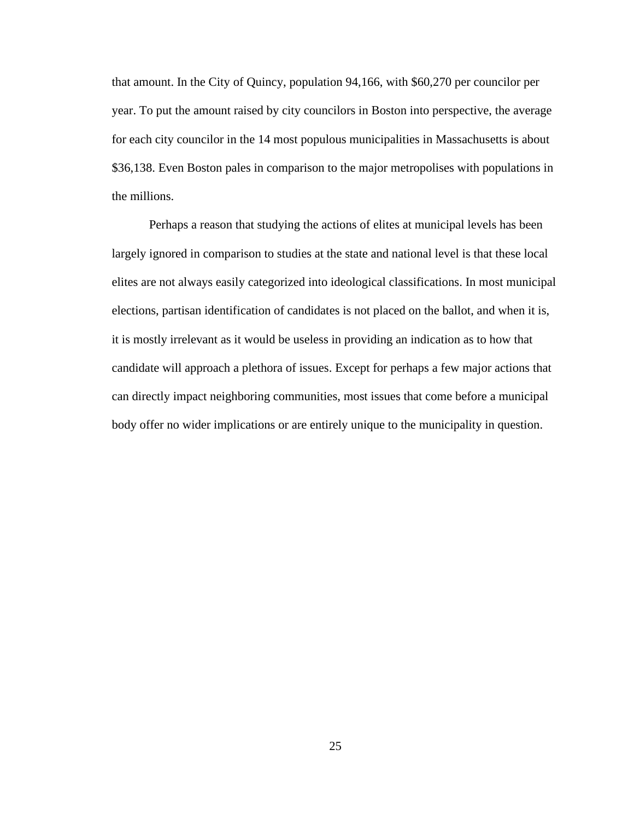that amount. In the City of Quincy, population 94,166, with \$60,270 per councilor per year. To put the amount raised by city councilors in Boston into perspective, the average for each city councilor in the 14 most populous municipalities in Massachusetts is about \$36,138. Even Boston pales in comparison to the major metropolises with populations in the millions.

Perhaps a reason that studying the actions of elites at municipal levels has been largely ignored in comparison to studies at the state and national level is that these local elites are not always easily categorized into ideological classifications. In most municipal elections, partisan identification of candidates is not placed on the ballot, and when it is, it is mostly irrelevant as it would be useless in providing an indication as to how that candidate will approach a plethora of issues. Except for perhaps a few major actions that can directly impact neighboring communities, most issues that come before a municipal body offer no wider implications or are entirely unique to the municipality in question.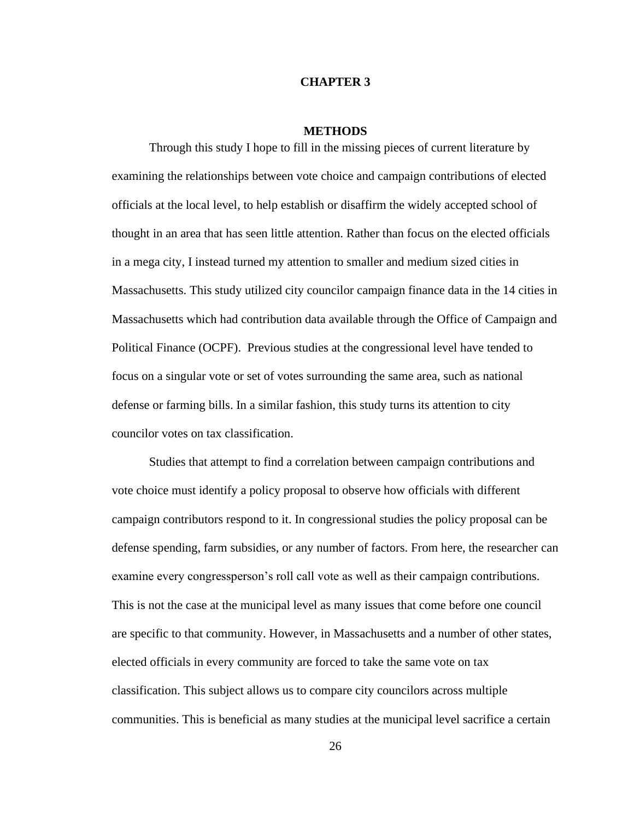## **CHAPTER 3**

## **METHODS**

Through this study I hope to fill in the missing pieces of current literature by examining the relationships between vote choice and campaign contributions of elected officials at the local level, to help establish or disaffirm the widely accepted school of thought in an area that has seen little attention. Rather than focus on the elected officials in a mega city, I instead turned my attention to smaller and medium sized cities in Massachusetts. This study utilized city councilor campaign finance data in the 14 cities in Massachusetts which had contribution data available through the Office of Campaign and Political Finance (OCPF). Previous studies at the congressional level have tended to focus on a singular vote or set of votes surrounding the same area, such as national defense or farming bills. In a similar fashion, this study turns its attention to city councilor votes on tax classification.

Studies that attempt to find a correlation between campaign contributions and vote choice must identify a policy proposal to observe how officials with different campaign contributors respond to it. In congressional studies the policy proposal can be defense spending, farm subsidies, or any number of factors. From here, the researcher can examine every congressperson's roll call vote as well as their campaign contributions. This is not the case at the municipal level as many issues that come before one council are specific to that community. However, in Massachusetts and a number of other states, elected officials in every community are forced to take the same vote on tax classification. This subject allows us to compare city councilors across multiple communities. This is beneficial as many studies at the municipal level sacrifice a certain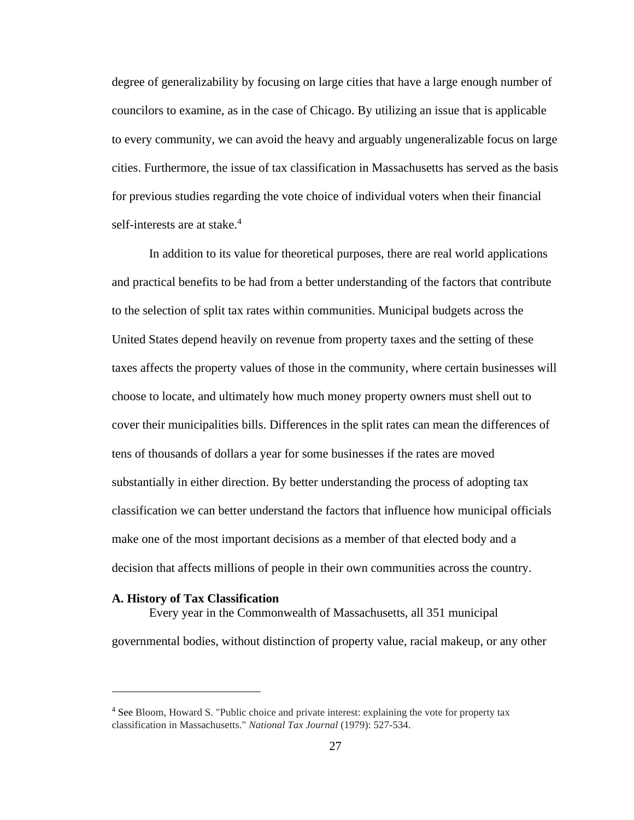degree of generalizability by focusing on large cities that have a large enough number of councilors to examine, as in the case of Chicago. By utilizing an issue that is applicable to every community, we can avoid the heavy and arguably ungeneralizable focus on large cities. Furthermore, the issue of tax classification in Massachusetts has served as the basis for previous studies regarding the vote choice of individual voters when their financial self-interests are at stake. $4$ 

In addition to its value for theoretical purposes, there are real world applications and practical benefits to be had from a better understanding of the factors that contribute to the selection of split tax rates within communities. Municipal budgets across the United States depend heavily on revenue from property taxes and the setting of these taxes affects the property values of those in the community, where certain businesses will choose to locate, and ultimately how much money property owners must shell out to cover their municipalities bills. Differences in the split rates can mean the differences of tens of thousands of dollars a year for some businesses if the rates are moved substantially in either direction. By better understanding the process of adopting tax classification we can better understand the factors that influence how municipal officials make one of the most important decisions as a member of that elected body and a decision that affects millions of people in their own communities across the country.

## **A. History of Tax Classification**

Every year in the Commonwealth of Massachusetts, all 351 municipal governmental bodies, without distinction of property value, racial makeup, or any other

<sup>&</sup>lt;sup>4</sup> See Bloom, Howard S. "Public choice and private interest: explaining the vote for property tax classification in Massachusetts." *National Tax Journal* (1979): 527-534.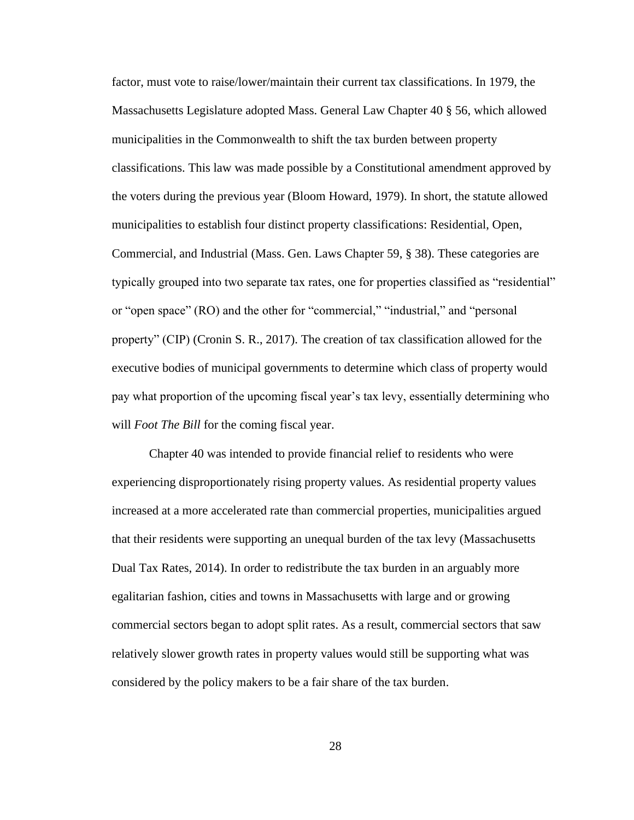factor, must vote to raise/lower/maintain their current tax classifications. In 1979, the Massachusetts Legislature adopted Mass. General Law Chapter 40 § 56, which allowed municipalities in the Commonwealth to shift the tax burden between property classifications. This law was made possible by a Constitutional amendment approved by the voters during the previous year (Bloom Howard, 1979). In short, the statute allowed municipalities to establish four distinct property classifications: Residential, Open, Commercial, and Industrial (Mass. Gen. Laws Chapter 59, § 38). These categories are typically grouped into two separate tax rates, one for properties classified as "residential" or "open space" (RO) and the other for "commercial," "industrial," and "personal property" (CIP) (Cronin S. R., 2017). The creation of tax classification allowed for the executive bodies of municipal governments to determine which class of property would pay what proportion of the upcoming fiscal year's tax levy, essentially determining who will *Foot The Bill* for the coming fiscal year.

Chapter 40 was intended to provide financial relief to residents who were experiencing disproportionately rising property values. As residential property values increased at a more accelerated rate than commercial properties, municipalities argued that their residents were supporting an unequal burden of the tax levy (Massachusetts Dual Tax Rates, 2014). In order to redistribute the tax burden in an arguably more egalitarian fashion, cities and towns in Massachusetts with large and or growing commercial sectors began to adopt split rates. As a result, commercial sectors that saw relatively slower growth rates in property values would still be supporting what was considered by the policy makers to be a fair share of the tax burden.

28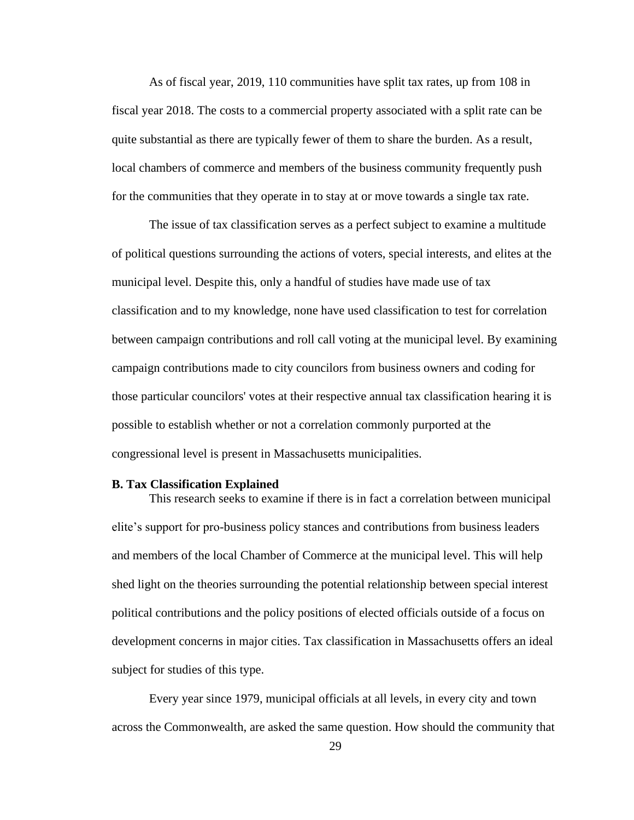As of fiscal year, 2019, 110 communities have split tax rates, up from 108 in fiscal year 2018. The costs to a commercial property associated with a split rate can be quite substantial as there are typically fewer of them to share the burden. As a result, local chambers of commerce and members of the business community frequently push for the communities that they operate in to stay at or move towards a single tax rate.

The issue of tax classification serves as a perfect subject to examine a multitude of political questions surrounding the actions of voters, special interests, and elites at the municipal level. Despite this, only a handful of studies have made use of tax classification and to my knowledge, none have used classification to test for correlation between campaign contributions and roll call voting at the municipal level. By examining campaign contributions made to city councilors from business owners and coding for those particular councilors' votes at their respective annual tax classification hearing it is possible to establish whether or not a correlation commonly purported at the congressional level is present in Massachusetts municipalities.

## **B. Tax Classification Explained**

This research seeks to examine if there is in fact a correlation between municipal elite's support for pro-business policy stances and contributions from business leaders and members of the local Chamber of Commerce at the municipal level. This will help shed light on the theories surrounding the potential relationship between special interest political contributions and the policy positions of elected officials outside of a focus on development concerns in major cities. Tax classification in Massachusetts offers an ideal subject for studies of this type.

Every year since 1979, municipal officials at all levels, in every city and town across the Commonwealth, are asked the same question. How should the community that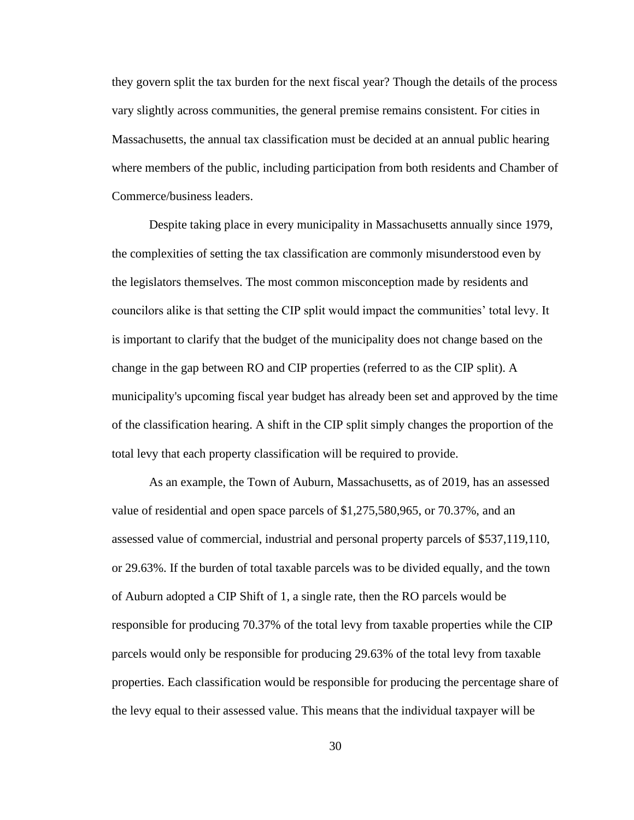they govern split the tax burden for the next fiscal year? Though the details of the process vary slightly across communities, the general premise remains consistent. For cities in Massachusetts, the annual tax classification must be decided at an annual public hearing where members of the public, including participation from both residents and Chamber of Commerce/business leaders.

Despite taking place in every municipality in Massachusetts annually since 1979, the complexities of setting the tax classification are commonly misunderstood even by the legislators themselves. The most common misconception made by residents and councilors alike is that setting the CIP split would impact the communities' total levy. It is important to clarify that the budget of the municipality does not change based on the change in the gap between RO and CIP properties (referred to as the CIP split). A municipality's upcoming fiscal year budget has already been set and approved by the time of the classification hearing. A shift in the CIP split simply changes the proportion of the total levy that each property classification will be required to provide.

As an example, the Town of Auburn, Massachusetts, as of 2019, has an assessed value of residential and open space parcels of \$1,275,580,965, or 70.37%, and an assessed value of commercial, industrial and personal property parcels of \$537,119,110, or 29.63%. If the burden of total taxable parcels was to be divided equally, and the town of Auburn adopted a CIP Shift of 1, a single rate, then the RO parcels would be responsible for producing 70.37% of the total levy from taxable properties while the CIP parcels would only be responsible for producing 29.63% of the total levy from taxable properties. Each classification would be responsible for producing the percentage share of the levy equal to their assessed value. This means that the individual taxpayer will be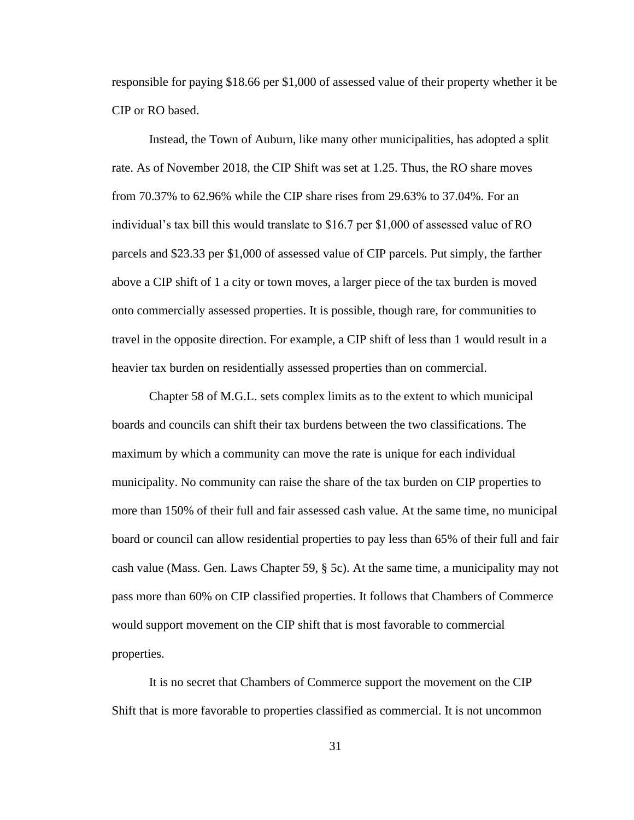responsible for paying \$18.66 per \$1,000 of assessed value of their property whether it be CIP or RO based.

Instead, the Town of Auburn, like many other municipalities, has adopted a split rate. As of November 2018, the CIP Shift was set at 1.25. Thus, the RO share moves from 70.37% to 62.96% while the CIP share rises from 29.63% to 37.04%. For an individual's tax bill this would translate to \$16.7 per \$1,000 of assessed value of RO parcels and \$23.33 per \$1,000 of assessed value of CIP parcels. Put simply, the farther above a CIP shift of 1 a city or town moves, a larger piece of the tax burden is moved onto commercially assessed properties. It is possible, though rare, for communities to travel in the opposite direction. For example, a CIP shift of less than 1 would result in a heavier tax burden on residentially assessed properties than on commercial.

Chapter 58 of M.G.L. sets complex limits as to the extent to which municipal boards and councils can shift their tax burdens between the two classifications. The maximum by which a community can move the rate is unique for each individual municipality. No community can raise the share of the tax burden on CIP properties to more than 150% of their full and fair assessed cash value. At the same time, no municipal board or council can allow residential properties to pay less than 65% of their full and fair cash value (Mass. Gen. Laws Chapter 59, § 5c). At the same time, a municipality may not pass more than 60% on CIP classified properties. It follows that Chambers of Commerce would support movement on the CIP shift that is most favorable to commercial properties.

It is no secret that Chambers of Commerce support the movement on the CIP Shift that is more favorable to properties classified as commercial. It is not uncommon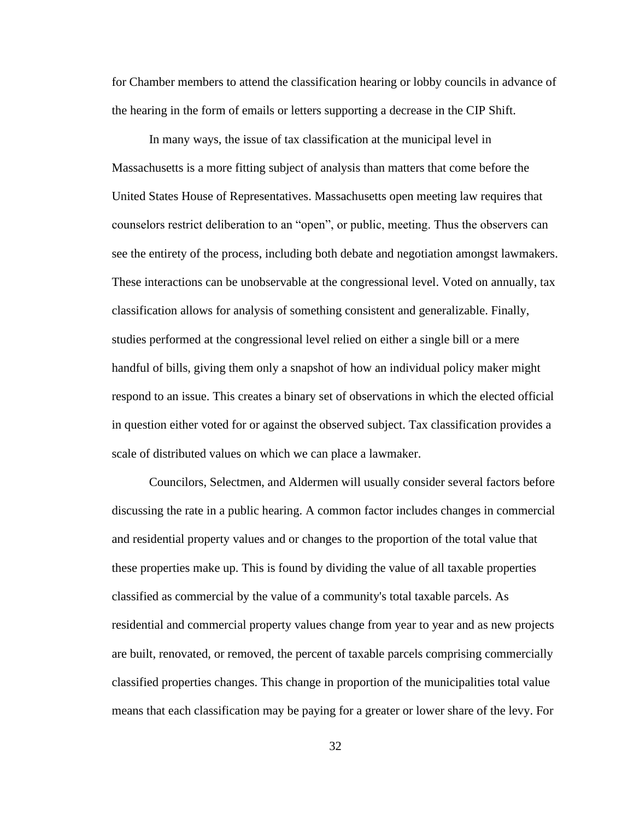for Chamber members to attend the classification hearing or lobby councils in advance of the hearing in the form of emails or letters supporting a decrease in the CIP Shift.

In many ways, the issue of tax classification at the municipal level in Massachusetts is a more fitting subject of analysis than matters that come before the United States House of Representatives. Massachusetts open meeting law requires that counselors restrict deliberation to an "open", or public, meeting. Thus the observers can see the entirety of the process, including both debate and negotiation amongst lawmakers. These interactions can be unobservable at the congressional level. Voted on annually, tax classification allows for analysis of something consistent and generalizable. Finally, studies performed at the congressional level relied on either a single bill or a mere handful of bills, giving them only a snapshot of how an individual policy maker might respond to an issue. This creates a binary set of observations in which the elected official in question either voted for or against the observed subject. Tax classification provides a scale of distributed values on which we can place a lawmaker.

Councilors, Selectmen, and Aldermen will usually consider several factors before discussing the rate in a public hearing. A common factor includes changes in commercial and residential property values and or changes to the proportion of the total value that these properties make up. This is found by dividing the value of all taxable properties classified as commercial by the value of a community's total taxable parcels. As residential and commercial property values change from year to year and as new projects are built, renovated, or removed, the percent of taxable parcels comprising commercially classified properties changes. This change in proportion of the municipalities total value means that each classification may be paying for a greater or lower share of the levy. For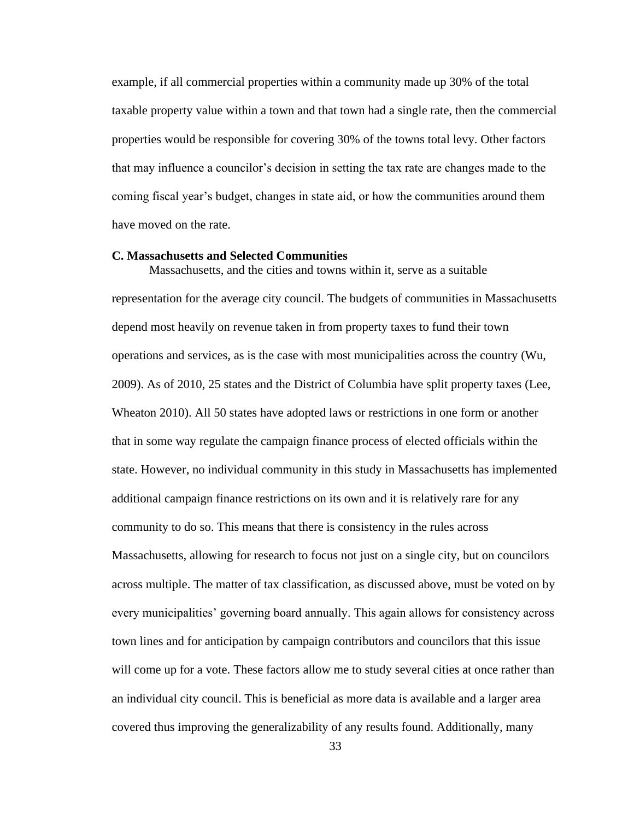example, if all commercial properties within a community made up 30% of the total taxable property value within a town and that town had a single rate, then the commercial properties would be responsible for covering 30% of the towns total levy. Other factors that may influence a councilor's decision in setting the tax rate are changes made to the coming fiscal year's budget, changes in state aid, or how the communities around them have moved on the rate.

#### **C. Massachusetts and Selected Communities**

Massachusetts, and the cities and towns within it, serve as a suitable representation for the average city council. The budgets of communities in Massachusetts depend most heavily on revenue taken in from property taxes to fund their town operations and services, as is the case with most municipalities across the country (Wu, 2009). As of 2010, 25 states and the District of Columbia have split property taxes (Lee, Wheaton 2010). All 50 states have adopted laws or restrictions in one form or another that in some way regulate the campaign finance process of elected officials within the state. However, no individual community in this study in Massachusetts has implemented additional campaign finance restrictions on its own and it is relatively rare for any community to do so. This means that there is consistency in the rules across Massachusetts, allowing for research to focus not just on a single city, but on councilors across multiple. The matter of tax classification, as discussed above, must be voted on by every municipalities' governing board annually. This again allows for consistency across town lines and for anticipation by campaign contributors and councilors that this issue will come up for a vote. These factors allow me to study several cities at once rather than an individual city council. This is beneficial as more data is available and a larger area covered thus improving the generalizability of any results found. Additionally, many

33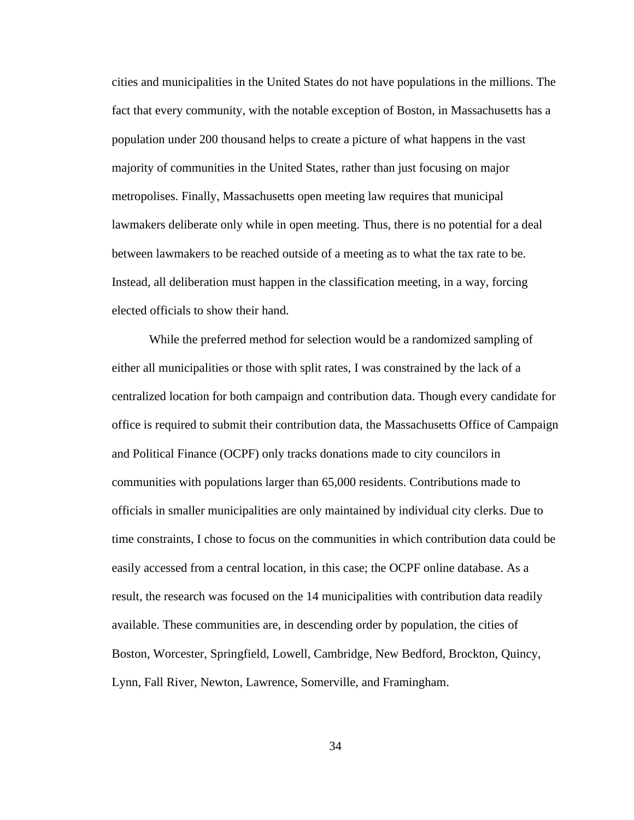cities and municipalities in the United States do not have populations in the millions. The fact that every community, with the notable exception of Boston, in Massachusetts has a population under 200 thousand helps to create a picture of what happens in the vast majority of communities in the United States, rather than just focusing on major metropolises. Finally, Massachusetts open meeting law requires that municipal lawmakers deliberate only while in open meeting. Thus, there is no potential for a deal between lawmakers to be reached outside of a meeting as to what the tax rate to be. Instead, all deliberation must happen in the classification meeting, in a way, forcing elected officials to show their hand.

While the preferred method for selection would be a randomized sampling of either all municipalities or those with split rates, I was constrained by the lack of a centralized location for both campaign and contribution data. Though every candidate for office is required to submit their contribution data, the Massachusetts Office of Campaign and Political Finance (OCPF) only tracks donations made to city councilors in communities with populations larger than 65,000 residents. Contributions made to officials in smaller municipalities are only maintained by individual city clerks. Due to time constraints, I chose to focus on the communities in which contribution data could be easily accessed from a central location, in this case; the OCPF online database. As a result, the research was focused on the 14 municipalities with contribution data readily available. These communities are, in descending order by population, the cities of Boston, Worcester, Springfield, Lowell, Cambridge, New Bedford, Brockton, Quincy, Lynn, Fall River, Newton, Lawrence, Somerville, and Framingham.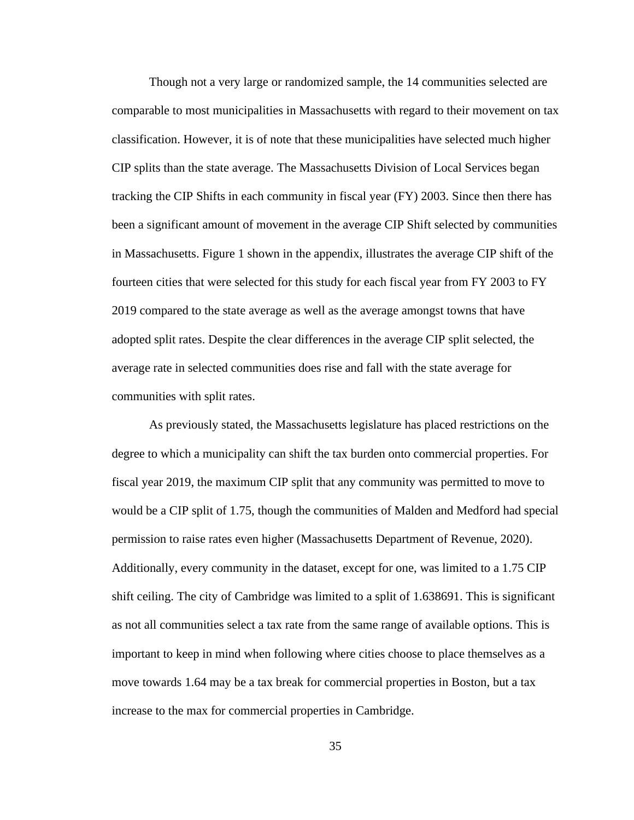Though not a very large or randomized sample, the 14 communities selected are comparable to most municipalities in Massachusetts with regard to their movement on tax classification. However, it is of note that these municipalities have selected much higher CIP splits than the state average. The Massachusetts Division of Local Services began tracking the CIP Shifts in each community in fiscal year (FY) 2003. Since then there has been a significant amount of movement in the average CIP Shift selected by communities in Massachusetts. Figure 1 shown in the appendix, illustrates the average CIP shift of the fourteen cities that were selected for this study for each fiscal year from FY 2003 to FY 2019 compared to the state average as well as the average amongst towns that have adopted split rates. Despite the clear differences in the average CIP split selected, the average rate in selected communities does rise and fall with the state average for communities with split rates.

As previously stated, the Massachusetts legislature has placed restrictions on the degree to which a municipality can shift the tax burden onto commercial properties. For fiscal year 2019, the maximum CIP split that any community was permitted to move to would be a CIP split of 1.75, though the communities of Malden and Medford had special permission to raise rates even higher (Massachusetts Department of Revenue, 2020). Additionally, every community in the dataset, except for one, was limited to a 1.75 CIP shift ceiling. The city of Cambridge was limited to a split of 1.638691. This is significant as not all communities select a tax rate from the same range of available options. This is important to keep in mind when following where cities choose to place themselves as a move towards 1.64 may be a tax break for commercial properties in Boston, but a tax increase to the max for commercial properties in Cambridge.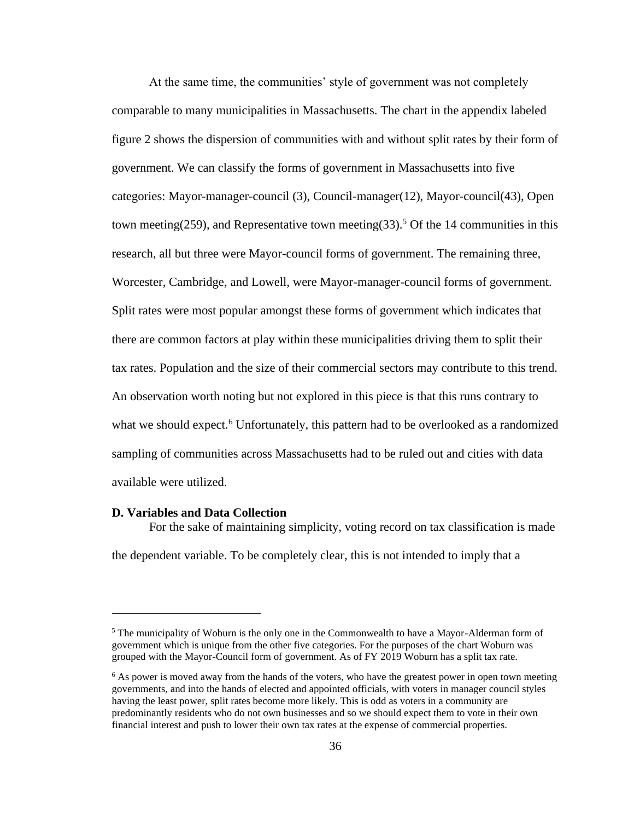At the same time, the communities' style of government was not completely comparable to many municipalities in Massachusetts. The chart in the appendix labeled figure 2 shows the dispersion of communities with and without split rates by their form of government. We can classify the forms of government in Massachusetts into five categories: Mayor-manager-council (3), Council-manager(12), Mayor-council(43), Open town meeting(259), and Representative town meeting(33).<sup>5</sup> Of the 14 communities in this research, all but three were Mayor-council forms of government. The remaining three, Worcester, Cambridge, and Lowell, were Mayor-manager-council forms of government. Split rates were most popular amongst these forms of government which indicates that there are common factors at play within these municipalities driving them to split their tax rates. Population and the size of their commercial sectors may contribute to this trend. An observation worth noting but not explored in this piece is that this runs contrary to what we should expect.<sup>6</sup> Unfortunately, this pattern had to be overlooked as a randomized sampling of communities across Massachusetts had to be ruled out and cities with data available were utilized.

## **D. Variables and Data Collection**

For the sake of maintaining simplicity, voting record on tax classification is made the dependent variable. To be completely clear, this is not intended to imply that a

 $<sup>5</sup>$  The municipality of Woburn is the only one in the Commonwealth to have a Mayor-Alderman form of</sup> government which is unique from the other five categories. For the purposes of the chart Woburn was grouped with the Mayor-Council form of government. As of FY 2019 Woburn has a split tax rate.

 $6$  As power is moved away from the hands of the voters, who have the greatest power in open town meeting governments, and into the hands of elected and appointed officials, with voters in manager council styles having the least power, split rates become more likely. This is odd as voters in a community are predominantly residents who do not own businesses and so we should expect them to vote in their own financial interest and push to lower their own tax rates at the expense of commercial properties.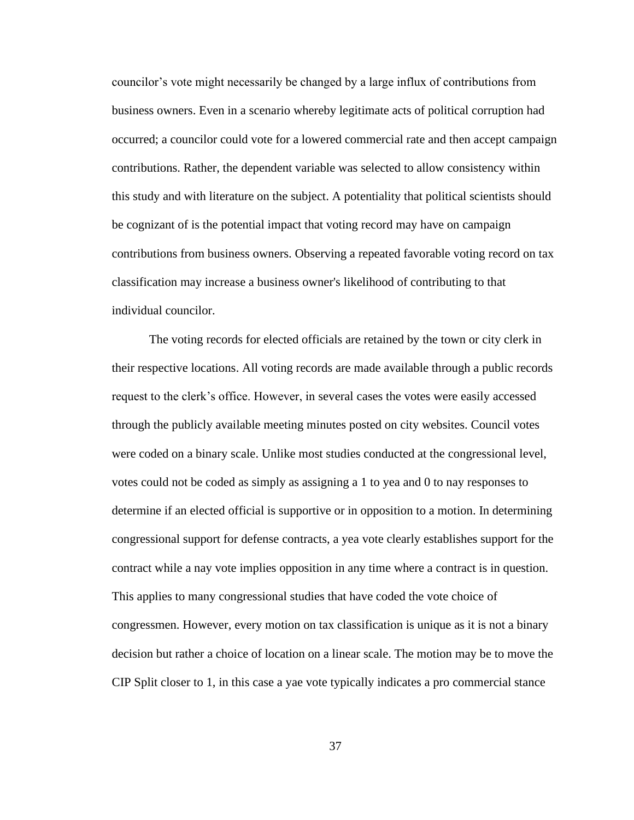councilor's vote might necessarily be changed by a large influx of contributions from business owners. Even in a scenario whereby legitimate acts of political corruption had occurred; a councilor could vote for a lowered commercial rate and then accept campaign contributions. Rather, the dependent variable was selected to allow consistency within this study and with literature on the subject. A potentiality that political scientists should be cognizant of is the potential impact that voting record may have on campaign contributions from business owners. Observing a repeated favorable voting record on tax classification may increase a business owner's likelihood of contributing to that individual councilor.

The voting records for elected officials are retained by the town or city clerk in their respective locations. All voting records are made available through a public records request to the clerk's office. However, in several cases the votes were easily accessed through the publicly available meeting minutes posted on city websites. Council votes were coded on a binary scale. Unlike most studies conducted at the congressional level, votes could not be coded as simply as assigning a 1 to yea and 0 to nay responses to determine if an elected official is supportive or in opposition to a motion. In determining congressional support for defense contracts, a yea vote clearly establishes support for the contract while a nay vote implies opposition in any time where a contract is in question. This applies to many congressional studies that have coded the vote choice of congressmen. However, every motion on tax classification is unique as it is not a binary decision but rather a choice of location on a linear scale. The motion may be to move the CIP Split closer to 1, in this case a yae vote typically indicates a pro commercial stance

37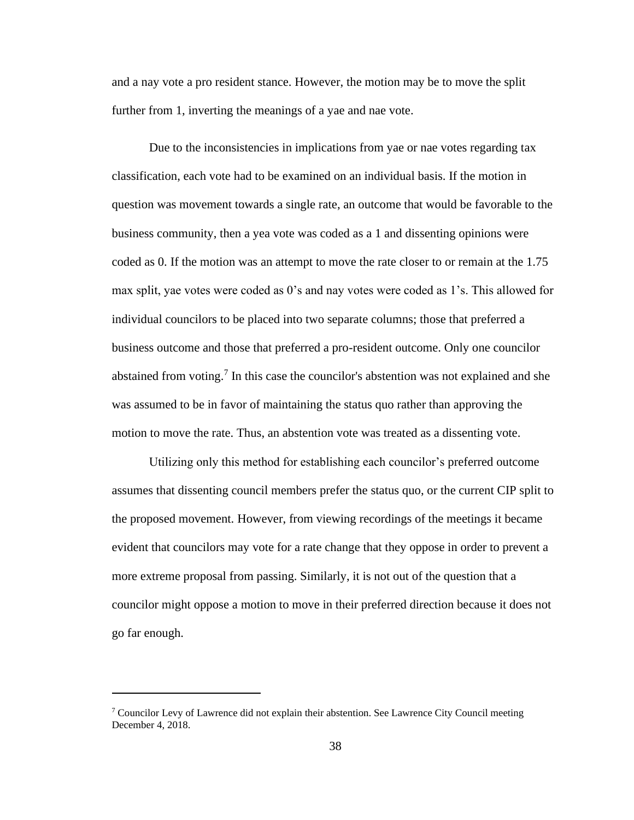and a nay vote a pro resident stance. However, the motion may be to move the split further from 1, inverting the meanings of a yae and nae vote.

Due to the inconsistencies in implications from yae or nae votes regarding tax classification, each vote had to be examined on an individual basis. If the motion in question was movement towards a single rate, an outcome that would be favorable to the business community, then a yea vote was coded as a 1 and dissenting opinions were coded as 0. If the motion was an attempt to move the rate closer to or remain at the 1.75 max split, yae votes were coded as 0's and nay votes were coded as 1's. This allowed for individual councilors to be placed into two separate columns; those that preferred a business outcome and those that preferred a pro-resident outcome. Only one councilor abstained from voting.<sup>7</sup> In this case the councilor's abstention was not explained and she was assumed to be in favor of maintaining the status quo rather than approving the motion to move the rate. Thus, an abstention vote was treated as a dissenting vote.

Utilizing only this method for establishing each councilor's preferred outcome assumes that dissenting council members prefer the status quo, or the current CIP split to the proposed movement. However, from viewing recordings of the meetings it became evident that councilors may vote for a rate change that they oppose in order to prevent a more extreme proposal from passing. Similarly, it is not out of the question that a councilor might oppose a motion to move in their preferred direction because it does not go far enough.

<sup>&</sup>lt;sup>7</sup> Councilor Levy of Lawrence did not explain their abstention. See Lawrence City Council meeting December 4, 2018.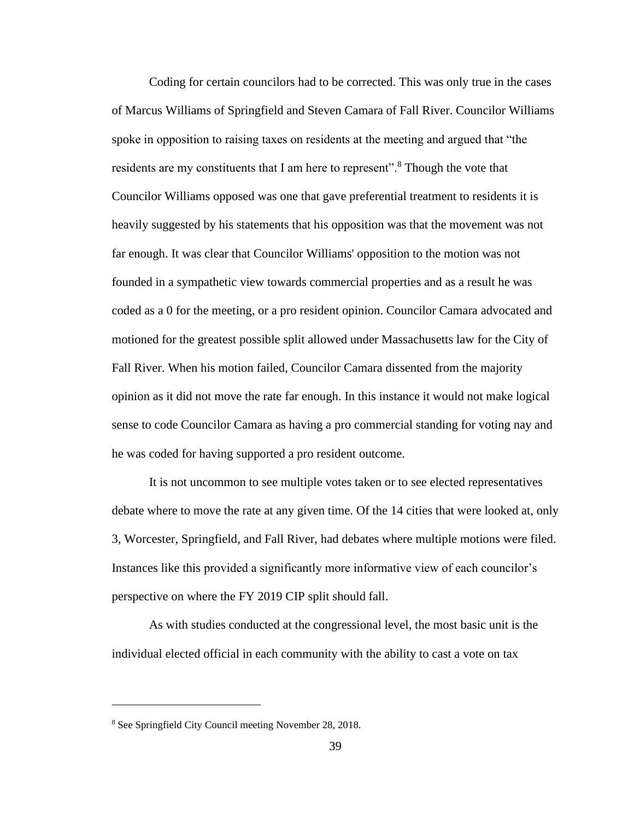Coding for certain councilors had to be corrected. This was only true in the cases of Marcus Williams of Springfield and Steven Camara of Fall River. Councilor Williams spoke in opposition to raising taxes on residents at the meeting and argued that "the residents are my constituents that I am here to represent".<sup>8</sup> Though the vote that Councilor Williams opposed was one that gave preferential treatment to residents it is heavily suggested by his statements that his opposition was that the movement was not far enough. It was clear that Councilor Williams' opposition to the motion was not founded in a sympathetic view towards commercial properties and as a result he was coded as a 0 for the meeting, or a pro resident opinion. Councilor Camara advocated and motioned for the greatest possible split allowed under Massachusetts law for the City of Fall River. When his motion failed, Councilor Camara dissented from the majority opinion as it did not move the rate far enough. In this instance it would not make logical sense to code Councilor Camara as having a pro commercial standing for voting nay and he was coded for having supported a pro resident outcome.

It is not uncommon to see multiple votes taken or to see elected representatives debate where to move the rate at any given time. Of the 14 cities that were looked at, only 3, Worcester, Springfield, and Fall River, had debates where multiple motions were filed. Instances like this provided a significantly more informative view of each councilor's perspective on where the FY 2019 CIP split should fall.

As with studies conducted at the congressional level, the most basic unit is the individual elected official in each community with the ability to cast a vote on tax

<sup>8</sup> See Springfield City Council meeting November 28, 2018.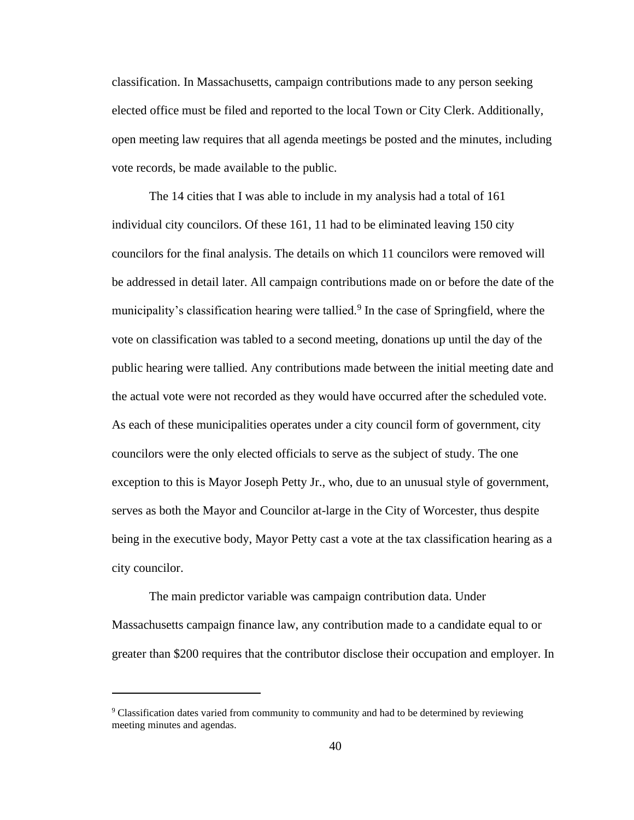classification. In Massachusetts, campaign contributions made to any person seeking elected office must be filed and reported to the local Town or City Clerk. Additionally, open meeting law requires that all agenda meetings be posted and the minutes, including vote records, be made available to the public.

The 14 cities that I was able to include in my analysis had a total of 161 individual city councilors. Of these 161, 11 had to be eliminated leaving 150 city councilors for the final analysis. The details on which 11 councilors were removed will be addressed in detail later. All campaign contributions made on or before the date of the municipality's classification hearing were tallied.<sup>9</sup> In the case of Springfield, where the vote on classification was tabled to a second meeting, donations up until the day of the public hearing were tallied. Any contributions made between the initial meeting date and the actual vote were not recorded as they would have occurred after the scheduled vote. As each of these municipalities operates under a city council form of government, city councilors were the only elected officials to serve as the subject of study. The one exception to this is Mayor Joseph Petty Jr., who, due to an unusual style of government, serves as both the Mayor and Councilor at-large in the City of Worcester, thus despite being in the executive body, Mayor Petty cast a vote at the tax classification hearing as a city councilor.

The main predictor variable was campaign contribution data. Under Massachusetts campaign finance law, any contribution made to a candidate equal to or greater than \$200 requires that the contributor disclose their occupation and employer. In

<sup>&</sup>lt;sup>9</sup> Classification dates varied from community to community and had to be determined by reviewing meeting minutes and agendas.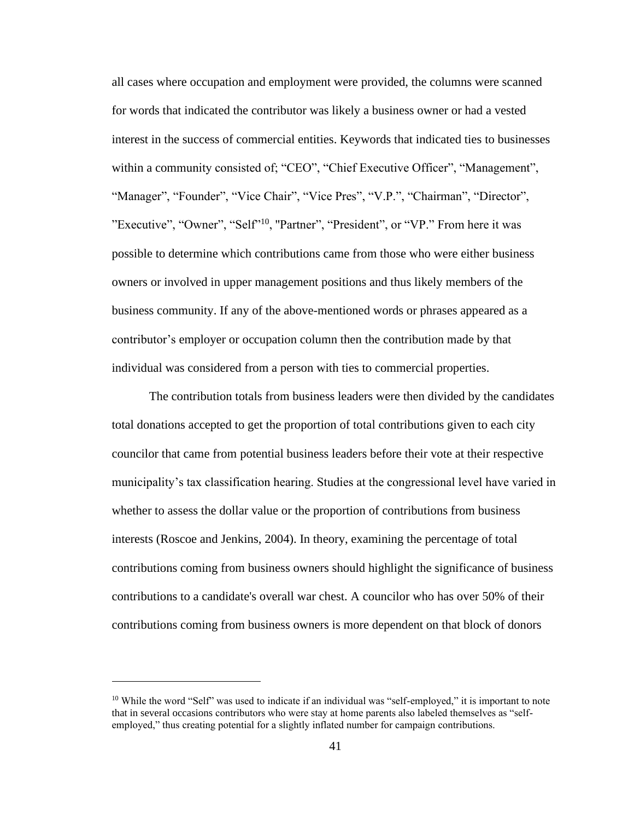all cases where occupation and employment were provided, the columns were scanned for words that indicated the contributor was likely a business owner or had a vested interest in the success of commercial entities. Keywords that indicated ties to businesses within a community consisted of; "CEO", "Chief Executive Officer", "Management", "Manager", "Founder", "Vice Chair", "Vice Pres", "V.P.", "Chairman", "Director", "Executive", "Owner", "Self"<sup>10</sup>, "Partner", "President", or "VP." From here it was possible to determine which contributions came from those who were either business owners or involved in upper management positions and thus likely members of the business community. If any of the above-mentioned words or phrases appeared as a contributor's employer or occupation column then the contribution made by that individual was considered from a person with ties to commercial properties.

The contribution totals from business leaders were then divided by the candidates total donations accepted to get the proportion of total contributions given to each city councilor that came from potential business leaders before their vote at their respective municipality's tax classification hearing. Studies at the congressional level have varied in whether to assess the dollar value or the proportion of contributions from business interests (Roscoe and Jenkins, 2004). In theory, examining the percentage of total contributions coming from business owners should highlight the significance of business contributions to a candidate's overall war chest. A councilor who has over 50% of their contributions coming from business owners is more dependent on that block of donors

<sup>&</sup>lt;sup>10</sup> While the word "Self" was used to indicate if an individual was "self-employed," it is important to note that in several occasions contributors who were stay at home parents also labeled themselves as "selfemployed," thus creating potential for a slightly inflated number for campaign contributions.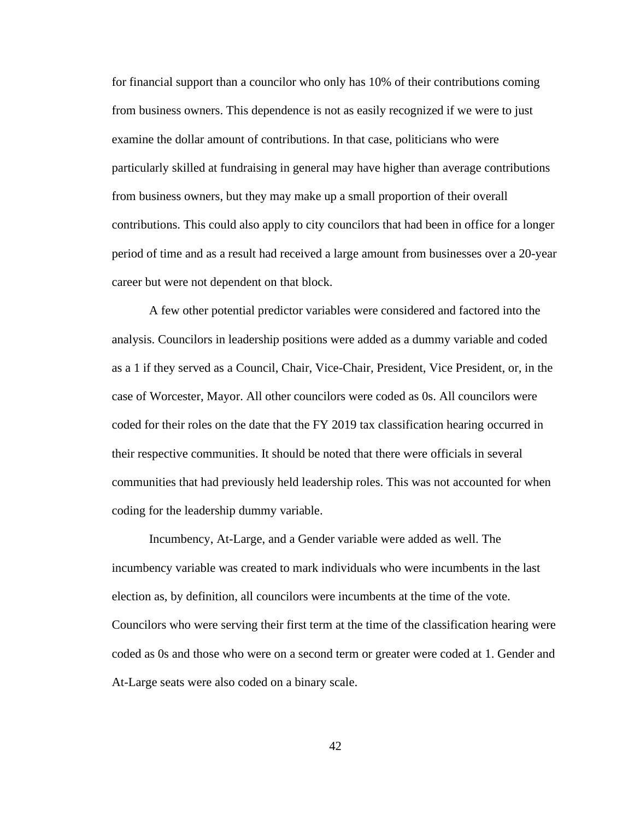for financial support than a councilor who only has 10% of their contributions coming from business owners. This dependence is not as easily recognized if we were to just examine the dollar amount of contributions. In that case, politicians who were particularly skilled at fundraising in general may have higher than average contributions from business owners, but they may make up a small proportion of their overall contributions. This could also apply to city councilors that had been in office for a longer period of time and as a result had received a large amount from businesses over a 20-year career but were not dependent on that block.

A few other potential predictor variables were considered and factored into the analysis. Councilors in leadership positions were added as a dummy variable and coded as a 1 if they served as a Council, Chair, Vice-Chair, President, Vice President, or, in the case of Worcester, Mayor. All other councilors were coded as 0s. All councilors were coded for their roles on the date that the FY 2019 tax classification hearing occurred in their respective communities. It should be noted that there were officials in several communities that had previously held leadership roles. This was not accounted for when coding for the leadership dummy variable.

Incumbency, At-Large, and a Gender variable were added as well. The incumbency variable was created to mark individuals who were incumbents in the last election as, by definition, all councilors were incumbents at the time of the vote. Councilors who were serving their first term at the time of the classification hearing were coded as 0s and those who were on a second term or greater were coded at 1. Gender and At-Large seats were also coded on a binary scale.

42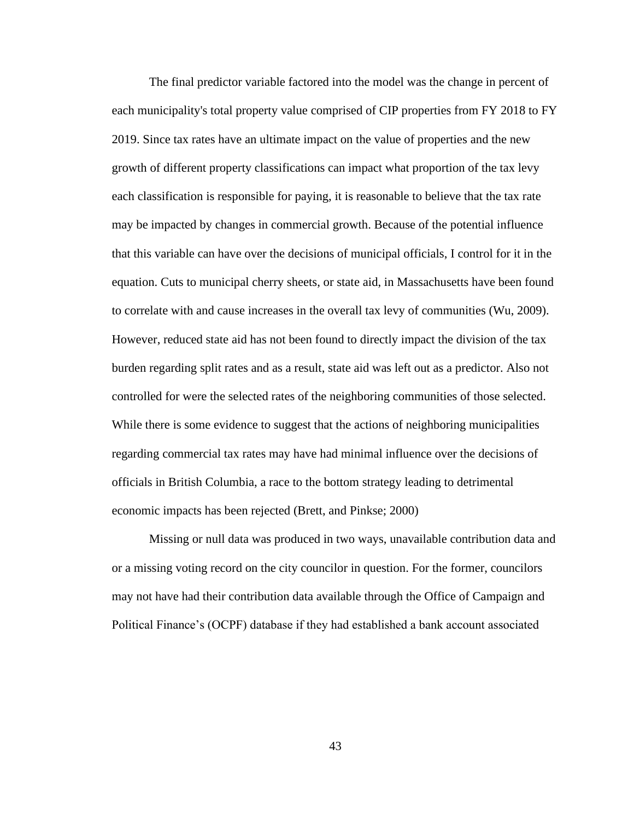The final predictor variable factored into the model was the change in percent of each municipality's total property value comprised of CIP properties from FY 2018 to FY 2019. Since tax rates have an ultimate impact on the value of properties and the new growth of different property classifications can impact what proportion of the tax levy each classification is responsible for paying, it is reasonable to believe that the tax rate may be impacted by changes in commercial growth. Because of the potential influence that this variable can have over the decisions of municipal officials, I control for it in the equation. Cuts to municipal cherry sheets, or state aid, in Massachusetts have been found to correlate with and cause increases in the overall tax levy of communities (Wu, 2009). However, reduced state aid has not been found to directly impact the division of the tax burden regarding split rates and as a result, state aid was left out as a predictor. Also not controlled for were the selected rates of the neighboring communities of those selected. While there is some evidence to suggest that the actions of neighboring municipalities regarding commercial tax rates may have had minimal influence over the decisions of officials in British Columbia, a race to the bottom strategy leading to detrimental economic impacts has been rejected (Brett, and Pinkse; 2000)

Missing or null data was produced in two ways, unavailable contribution data and or a missing voting record on the city councilor in question. For the former, councilors may not have had their contribution data available through the Office of Campaign and Political Finance's (OCPF) database if they had established a bank account associated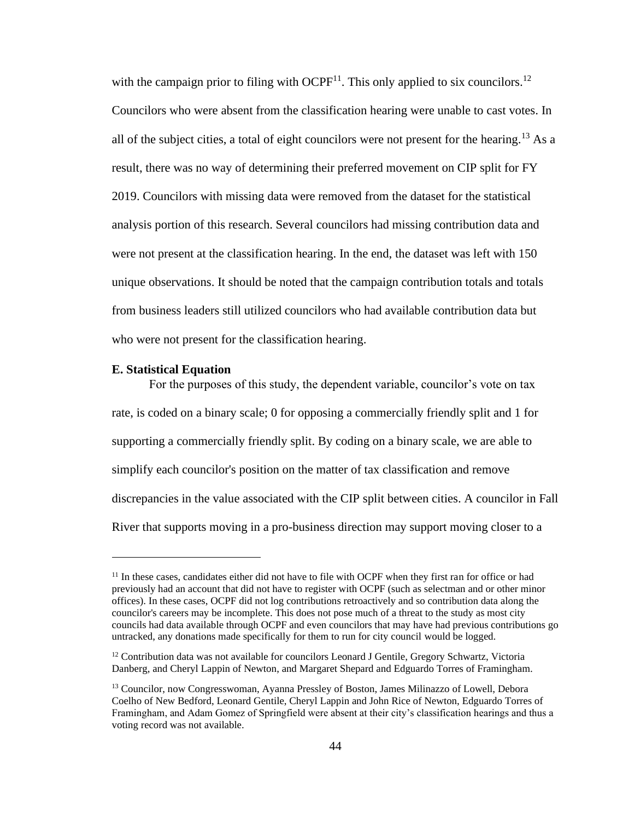with the campaign prior to filing with  $OCPF<sup>11</sup>$ . This only applied to six councilors.<sup>12</sup> Councilors who were absent from the classification hearing were unable to cast votes. In all of the subject cities, a total of eight councilors were not present for the hearing.<sup>13</sup> As a result, there was no way of determining their preferred movement on CIP split for FY 2019. Councilors with missing data were removed from the dataset for the statistical analysis portion of this research. Several councilors had missing contribution data and were not present at the classification hearing. In the end, the dataset was left with 150 unique observations. It should be noted that the campaign contribution totals and totals from business leaders still utilized councilors who had available contribution data but who were not present for the classification hearing.

#### **E. Statistical Equation**

For the purposes of this study, the dependent variable, councilor's vote on tax rate, is coded on a binary scale; 0 for opposing a commercially friendly split and 1 for supporting a commercially friendly split. By coding on a binary scale, we are able to simplify each councilor's position on the matter of tax classification and remove discrepancies in the value associated with the CIP split between cities. A councilor in Fall River that supports moving in a pro-business direction may support moving closer to a

<sup>&</sup>lt;sup>11</sup> In these cases, candidates either did not have to file with OCPF when they first ran for office or had previously had an account that did not have to register with OCPF (such as selectman and or other minor offices). In these cases, OCPF did not log contributions retroactively and so contribution data along the councilor's careers may be incomplete. This does not pose much of a threat to the study as most city councils had data available through OCPF and even councilors that may have had previous contributions go untracked, any donations made specifically for them to run for city council would be logged.

 $12$  Contribution data was not available for councilors Leonard J Gentile, Gregory Schwartz, Victoria Danberg, and Cheryl Lappin of Newton, and Margaret Shepard and Edguardo Torres of Framingham.

<sup>&</sup>lt;sup>13</sup> Councilor, now Congresswoman, Ayanna Pressley of Boston, James Milinazzo of Lowell, Debora Coelho of New Bedford, Leonard Gentile, Cheryl Lappin and John Rice of Newton, Edguardo Torres of Framingham, and Adam Gomez of Springfield were absent at their city's classification hearings and thus a voting record was not available.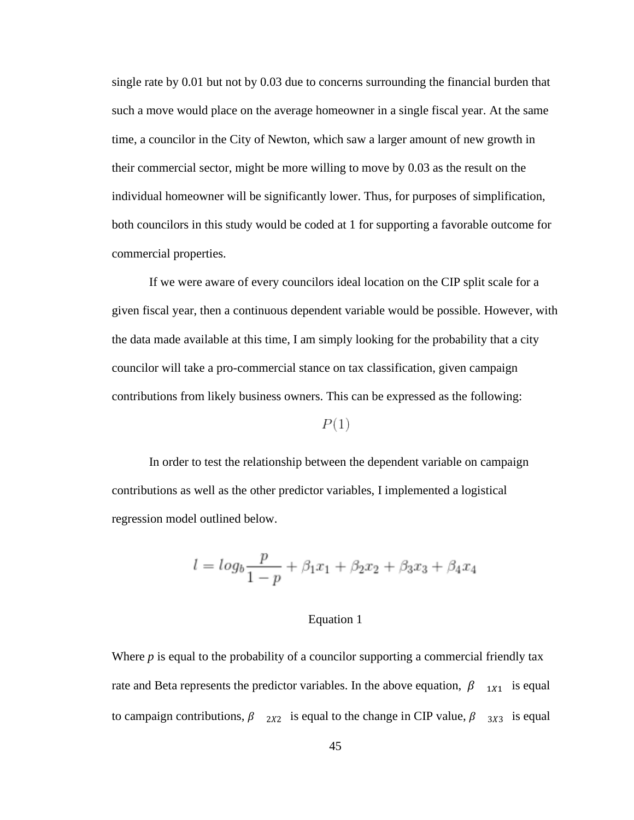single rate by 0.01 but not by 0.03 due to concerns surrounding the financial burden that such a move would place on the average homeowner in a single fiscal year. At the same time, a councilor in the City of Newton, which saw a larger amount of new growth in their commercial sector, might be more willing to move by 0.03 as the result on the individual homeowner will be significantly lower. Thus, for purposes of simplification, both councilors in this study would be coded at 1 for supporting a favorable outcome for commercial properties.

If we were aware of every councilors ideal location on the CIP split scale for a given fiscal year, then a continuous dependent variable would be possible. However, with the data made available at this time, I am simply looking for the probability that a city councilor will take a pro-commercial stance on tax classification, given campaign contributions from likely business owners. This can be expressed as the following:

# $P(1)$

In order to test the relationship between the dependent variable on campaign contributions as well as the other predictor variables, I implemented a logistical regression model outlined below.

$$
l = log_b \frac{p}{1-p} + \beta_1 x_1 + \beta_2 x_2 + \beta_3 x_3 + \beta_4 x_4
$$

# Equation 1

Where *p* is equal to the probability of a councilor supporting a commercial friendly tax rate and Beta represents the predictor variables. In the above equation,  $\beta_{1X_1}$  is equal to campaign contributions,  $\beta$   $_{2X2}$  is equal to the change in CIP value,  $\beta$   $_{3X3}$  is equal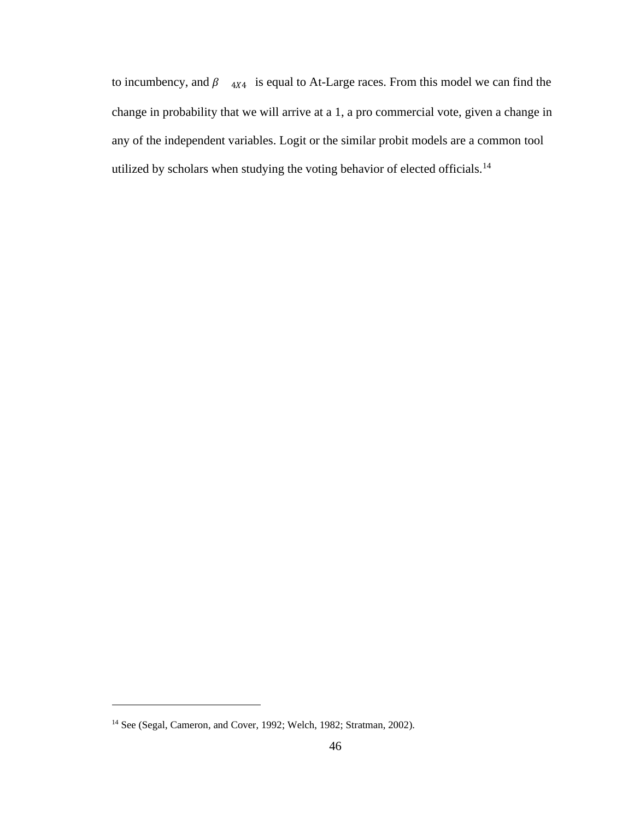to incumbency, and  $\beta$   $_{4X4}$  is equal to At-Large races. From this model we can find the change in probability that we will arrive at a 1, a pro commercial vote, given a change in any of the independent variables. Logit or the similar probit models are a common tool utilized by scholars when studying the voting behavior of elected officials.<sup>14</sup>

<sup>&</sup>lt;sup>14</sup> See (Segal, Cameron, and Cover, 1992; Welch, 1982; Stratman, 2002).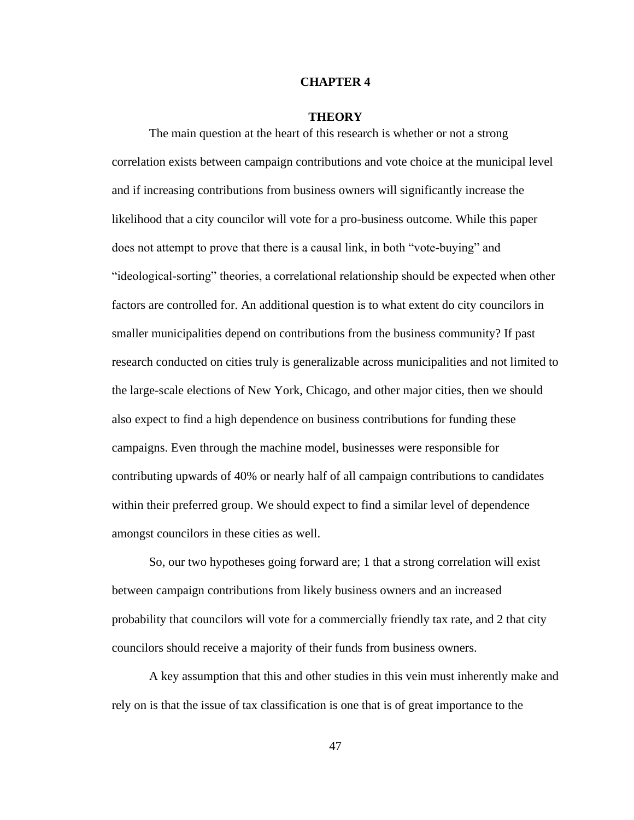## **CHAPTER 4**

# **THEORY**

The main question at the heart of this research is whether or not a strong correlation exists between campaign contributions and vote choice at the municipal level and if increasing contributions from business owners will significantly increase the likelihood that a city councilor will vote for a pro-business outcome. While this paper does not attempt to prove that there is a causal link, in both "vote-buying" and "ideological-sorting" theories, a correlational relationship should be expected when other factors are controlled for. An additional question is to what extent do city councilors in smaller municipalities depend on contributions from the business community? If past research conducted on cities truly is generalizable across municipalities and not limited to the large-scale elections of New York, Chicago, and other major cities, then we should also expect to find a high dependence on business contributions for funding these campaigns. Even through the machine model, businesses were responsible for contributing upwards of 40% or nearly half of all campaign contributions to candidates within their preferred group. We should expect to find a similar level of dependence amongst councilors in these cities as well.

So, our two hypotheses going forward are; 1 that a strong correlation will exist between campaign contributions from likely business owners and an increased probability that councilors will vote for a commercially friendly tax rate, and 2 that city councilors should receive a majority of their funds from business owners.

A key assumption that this and other studies in this vein must inherently make and rely on is that the issue of tax classification is one that is of great importance to the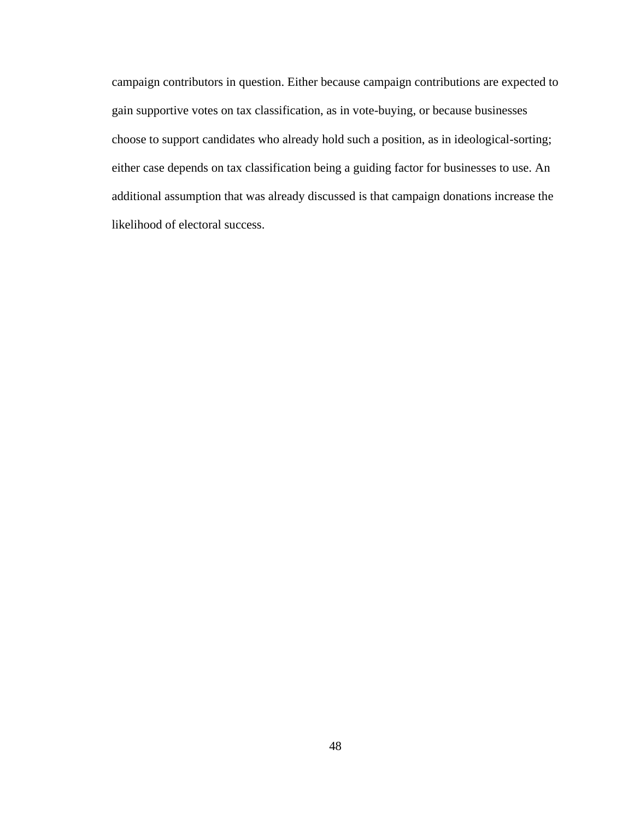campaign contributors in question. Either because campaign contributions are expected to gain supportive votes on tax classification, as in vote-buying, or because businesses choose to support candidates who already hold such a position, as in ideological-sorting; either case depends on tax classification being a guiding factor for businesses to use. An additional assumption that was already discussed is that campaign donations increase the likelihood of electoral success.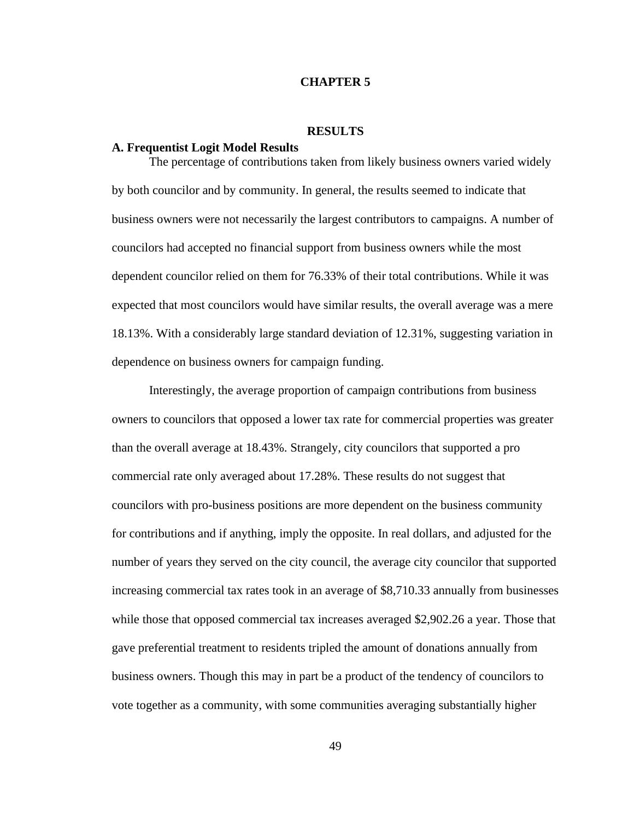## **CHAPTER 5**

## **RESULTS**

# **A. Frequentist Logit Model Results**

The percentage of contributions taken from likely business owners varied widely by both councilor and by community. In general, the results seemed to indicate that business owners were not necessarily the largest contributors to campaigns. A number of councilors had accepted no financial support from business owners while the most dependent councilor relied on them for 76.33% of their total contributions. While it was expected that most councilors would have similar results, the overall average was a mere 18.13%. With a considerably large standard deviation of 12.31%, suggesting variation in dependence on business owners for campaign funding.

Interestingly, the average proportion of campaign contributions from business owners to councilors that opposed a lower tax rate for commercial properties was greater than the overall average at 18.43%. Strangely, city councilors that supported a pro commercial rate only averaged about 17.28%. These results do not suggest that councilors with pro-business positions are more dependent on the business community for contributions and if anything, imply the opposite. In real dollars, and adjusted for the number of years they served on the city council, the average city councilor that supported increasing commercial tax rates took in an average of \$8,710.33 annually from businesses while those that opposed commercial tax increases averaged \$2,902.26 a year. Those that gave preferential treatment to residents tripled the amount of donations annually from business owners. Though this may in part be a product of the tendency of councilors to vote together as a community, with some communities averaging substantially higher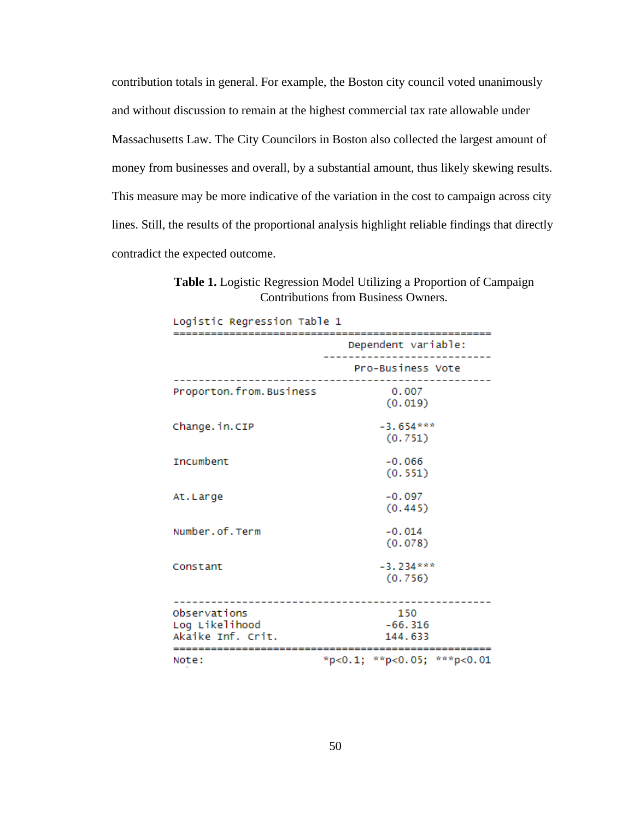contribution totals in general. For example, the Boston city council voted unanimously and without discussion to remain at the highest commercial tax rate allowable under Massachusetts Law. The City Councilors in Boston also collected the largest amount of money from businesses and overall, by a substantial amount, thus likely skewing results. This measure may be more indicative of the variation in the cost to campaign across city lines. Still, the results of the proportional analysis highlight reliable findings that directly contradict the expected outcome.

**Table 1.** Logistic Regression Model Utilizing a Proportion of Campaign Contributions from Business Owners.

| Logistic Regression Table 1         |                                  |  |
|-------------------------------------|----------------------------------|--|
|                                     | Dependent variable:              |  |
|                                     | Pro-Business Vote                |  |
| Proporton.from.Business             | 0.007<br>(0.019)                 |  |
| Change.in.CIP                       | $-3.654***$<br>(0.751)           |  |
| Incumbent                           | $-0.066$<br>(0.551)              |  |
| At.Large                            | $-0.097$<br>(0.445)              |  |
| Number.of.Term                      | $-0.014$<br>(0.078)              |  |
| Constant                            | $-3.234***$<br>(0.756)           |  |
| Observations                        | 150                              |  |
| Log Likelihood<br>Akaike Inf. Crit. | $-66.316$<br>144.633             |  |
| Note:                               | $*p<0.1$ ; $*p<0.05$ ; $*p<0.01$ |  |
|                                     |                                  |  |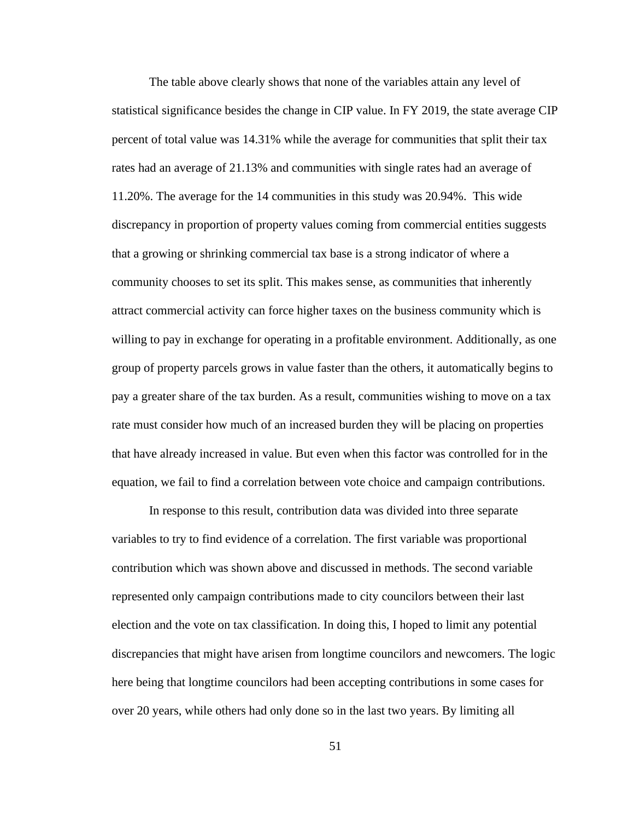The table above clearly shows that none of the variables attain any level of statistical significance besides the change in CIP value. In FY 2019, the state average CIP percent of total value was 14.31% while the average for communities that split their tax rates had an average of 21.13% and communities with single rates had an average of 11.20%. The average for the 14 communities in this study was 20.94%. This wide discrepancy in proportion of property values coming from commercial entities suggests that a growing or shrinking commercial tax base is a strong indicator of where a community chooses to set its split. This makes sense, as communities that inherently attract commercial activity can force higher taxes on the business community which is willing to pay in exchange for operating in a profitable environment. Additionally, as one group of property parcels grows in value faster than the others, it automatically begins to pay a greater share of the tax burden. As a result, communities wishing to move on a tax rate must consider how much of an increased burden they will be placing on properties that have already increased in value. But even when this factor was controlled for in the equation, we fail to find a correlation between vote choice and campaign contributions.

In response to this result, contribution data was divided into three separate variables to try to find evidence of a correlation. The first variable was proportional contribution which was shown above and discussed in methods. The second variable represented only campaign contributions made to city councilors between their last election and the vote on tax classification. In doing this, I hoped to limit any potential discrepancies that might have arisen from longtime councilors and newcomers. The logic here being that longtime councilors had been accepting contributions in some cases for over 20 years, while others had only done so in the last two years. By limiting all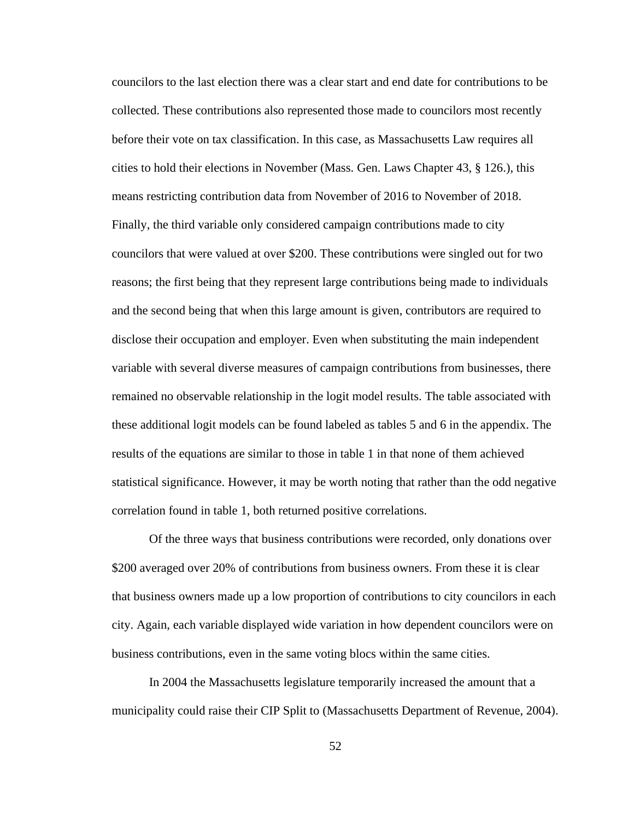councilors to the last election there was a clear start and end date for contributions to be collected. These contributions also represented those made to councilors most recently before their vote on tax classification. In this case, as Massachusetts Law requires all cities to hold their elections in November (Mass. Gen. Laws Chapter 43, § 126.), this means restricting contribution data from November of 2016 to November of 2018. Finally, the third variable only considered campaign contributions made to city councilors that were valued at over \$200. These contributions were singled out for two reasons; the first being that they represent large contributions being made to individuals and the second being that when this large amount is given, contributors are required to disclose their occupation and employer. Even when substituting the main independent variable with several diverse measures of campaign contributions from businesses, there remained no observable relationship in the logit model results. The table associated with these additional logit models can be found labeled as tables 5 and 6 in the appendix. The results of the equations are similar to those in table 1 in that none of them achieved statistical significance. However, it may be worth noting that rather than the odd negative correlation found in table 1, both returned positive correlations.

Of the three ways that business contributions were recorded, only donations over \$200 averaged over 20% of contributions from business owners. From these it is clear that business owners made up a low proportion of contributions to city councilors in each city. Again, each variable displayed wide variation in how dependent councilors were on business contributions, even in the same voting blocs within the same cities.

In 2004 the Massachusetts legislature temporarily increased the amount that a municipality could raise their CIP Split to (Massachusetts Department of Revenue, 2004).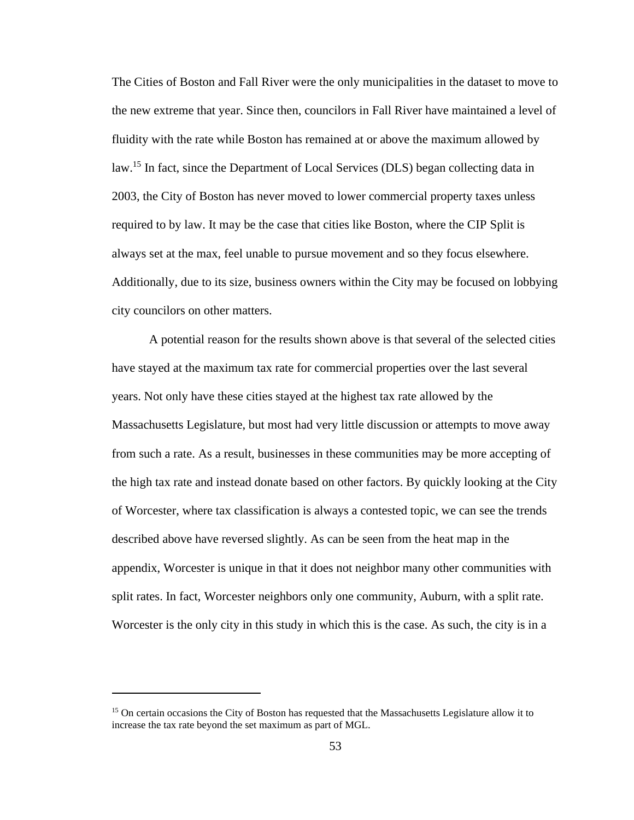The Cities of Boston and Fall River were the only municipalities in the dataset to move to the new extreme that year. Since then, councilors in Fall River have maintained a level of fluidity with the rate while Boston has remained at or above the maximum allowed by law.<sup>15</sup> In fact, since the Department of Local Services (DLS) began collecting data in 2003, the City of Boston has never moved to lower commercial property taxes unless required to by law. It may be the case that cities like Boston, where the CIP Split is always set at the max, feel unable to pursue movement and so they focus elsewhere. Additionally, due to its size, business owners within the City may be focused on lobbying city councilors on other matters.

A potential reason for the results shown above is that several of the selected cities have stayed at the maximum tax rate for commercial properties over the last several years. Not only have these cities stayed at the highest tax rate allowed by the Massachusetts Legislature, but most had very little discussion or attempts to move away from such a rate. As a result, businesses in these communities may be more accepting of the high tax rate and instead donate based on other factors. By quickly looking at the City of Worcester, where tax classification is always a contested topic, we can see the trends described above have reversed slightly. As can be seen from the heat map in the appendix, Worcester is unique in that it does not neighbor many other communities with split rates. In fact, Worcester neighbors only one community, Auburn, with a split rate. Worcester is the only city in this study in which this is the case. As such, the city is in a

<sup>&</sup>lt;sup>15</sup> On certain occasions the City of Boston has requested that the Massachusetts Legislature allow it to increase the tax rate beyond the set maximum as part of MGL.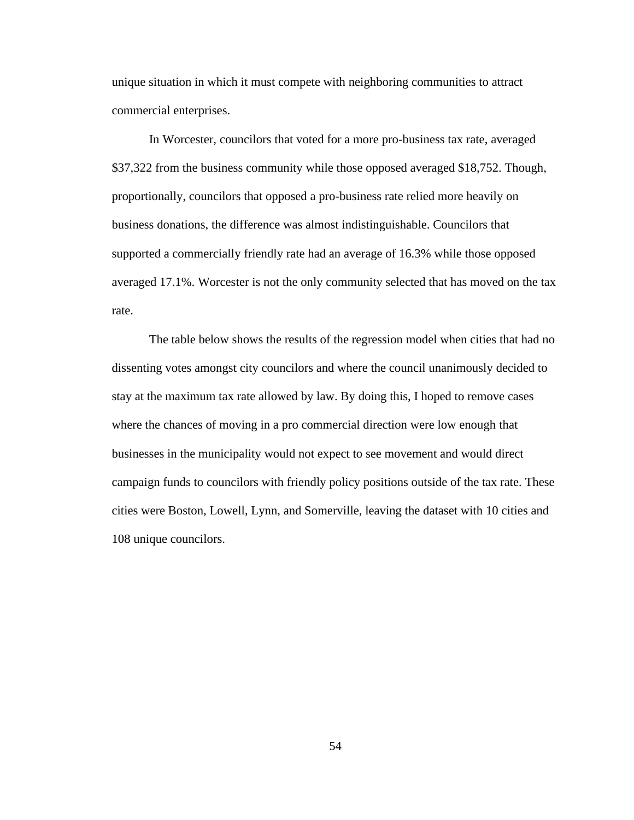unique situation in which it must compete with neighboring communities to attract commercial enterprises.

In Worcester, councilors that voted for a more pro-business tax rate, averaged \$37,322 from the business community while those opposed averaged \$18,752. Though, proportionally, councilors that opposed a pro-business rate relied more heavily on business donations, the difference was almost indistinguishable. Councilors that supported a commercially friendly rate had an average of 16.3% while those opposed averaged 17.1%. Worcester is not the only community selected that has moved on the tax rate.

The table below shows the results of the regression model when cities that had no dissenting votes amongst city councilors and where the council unanimously decided to stay at the maximum tax rate allowed by law. By doing this, I hoped to remove cases where the chances of moving in a pro commercial direction were low enough that businesses in the municipality would not expect to see movement and would direct campaign funds to councilors with friendly policy positions outside of the tax rate. These cities were Boston, Lowell, Lynn, and Somerville, leaving the dataset with 10 cities and 108 unique councilors.

54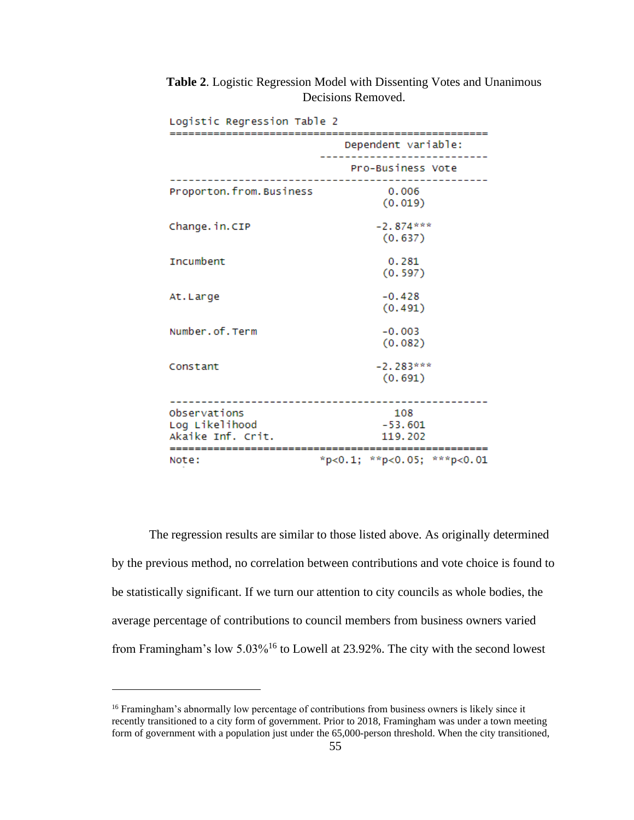| Logistic Regression Table 2                              |                             |  |
|----------------------------------------------------------|-----------------------------|--|
|                                                          | Dependent variable:         |  |
|                                                          | Pro-Business Vote           |  |
| Proporton.from.Business                                  | 0.006<br>(0.019)            |  |
| Change.in.CIP                                            | $-2.874***$<br>(0.637)      |  |
| <b>Tncumbent</b>                                         | 0.281<br>(0.597)            |  |
| At.Large                                                 | $-0.428$<br>(0.491)         |  |
| Number.of.Term                                           | $-0.003$<br>(0.082)         |  |
| Constant                                                 | $-2.283***$<br>(0.691)      |  |
| Observations<br>Log Likelihood<br>Akaike Inf. Crit.<br>. | 108<br>$-53.601$<br>119.202 |  |
| Note:                                                    | *p<0.1; **p<0.05; ***p<0.01 |  |

**Table 2**. Logistic Regression Model with Dissenting Votes and Unanimous Decisions Removed.

 $\mathbf{r} = \mathbf{r} \cdot \mathbf{r}$ ä, in and  $\overline{a}$ 

The regression results are similar to those listed above. As originally determined by the previous method, no correlation between contributions and vote choice is found to be statistically significant. If we turn our attention to city councils as whole bodies, the average percentage of contributions to council members from business owners varied from Framingham's low 5.03%<sup>16</sup> to Lowell at 23.92%. The city with the second lowest

<sup>&</sup>lt;sup>16</sup> Framingham's abnormally low percentage of contributions from business owners is likely since it recently transitioned to a city form of government. Prior to 2018, Framingham was under a town meeting form of government with a population just under the 65,000-person threshold. When the city transitioned,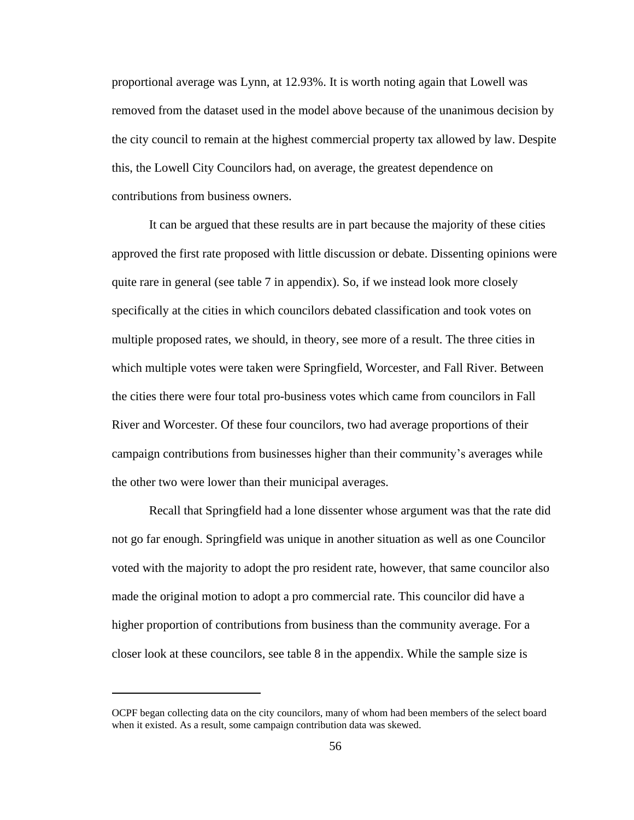proportional average was Lynn, at 12.93%. It is worth noting again that Lowell was removed from the dataset used in the model above because of the unanimous decision by the city council to remain at the highest commercial property tax allowed by law. Despite this, the Lowell City Councilors had, on average, the greatest dependence on contributions from business owners.

It can be argued that these results are in part because the majority of these cities approved the first rate proposed with little discussion or debate. Dissenting opinions were quite rare in general (see table 7 in appendix). So, if we instead look more closely specifically at the cities in which councilors debated classification and took votes on multiple proposed rates, we should, in theory, see more of a result. The three cities in which multiple votes were taken were Springfield, Worcester, and Fall River. Between the cities there were four total pro-business votes which came from councilors in Fall River and Worcester. Of these four councilors, two had average proportions of their campaign contributions from businesses higher than their community's averages while the other two were lower than their municipal averages.

Recall that Springfield had a lone dissenter whose argument was that the rate did not go far enough. Springfield was unique in another situation as well as one Councilor voted with the majority to adopt the pro resident rate, however, that same councilor also made the original motion to adopt a pro commercial rate. This councilor did have a higher proportion of contributions from business than the community average. For a closer look at these councilors, see table 8 in the appendix. While the sample size is

OCPF began collecting data on the city councilors, many of whom had been members of the select board when it existed. As a result, some campaign contribution data was skewed.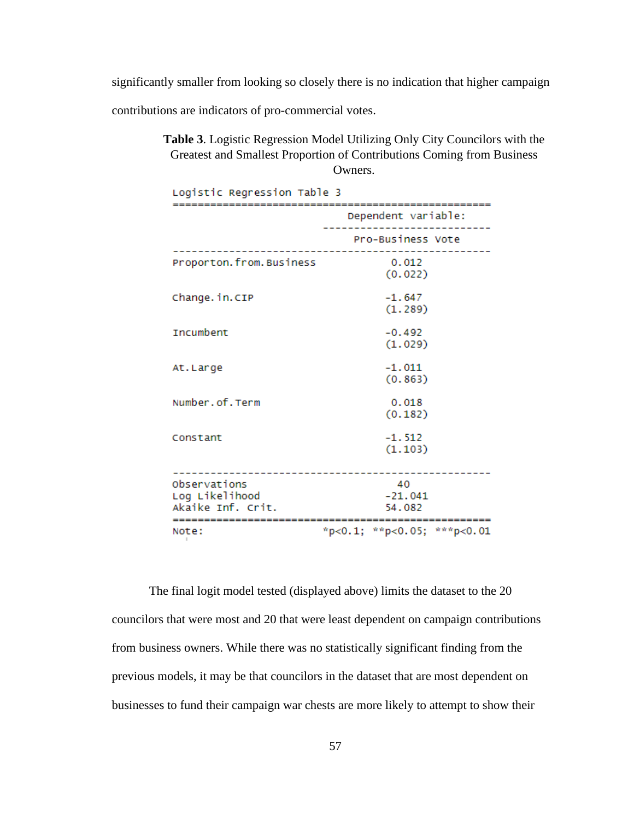significantly smaller from looking so closely there is no indication that higher campaign

contributions are indicators of pro-commercial votes.

**Table 3**. Logistic Regression Model Utilizing Only City Councilors with the Greatest and Smallest Proportion of Contributions Coming from Business Owners.

| Logistic Regression Table 3                         |                                  |  |
|-----------------------------------------------------|----------------------------------|--|
| ------------------                                  | Dependent variable:              |  |
|                                                     | Pro-Business Vote                |  |
| Proporton.from.Business                             | 0.012<br>(0.022)                 |  |
| Change.in.CIP                                       | $-1.647$<br>(1.289)              |  |
| <b>Tncumbent</b>                                    | $-0.492$<br>(1.029)              |  |
| At.Large                                            | $-1.011$<br>(0.863)              |  |
| Number.of.Term                                      | 0.018<br>(0.182)                 |  |
| Constant                                            | $-1.512$<br>(1.103)              |  |
| Observations<br>Log Likelihood<br>Akaike Inf. Crit. | 40<br>$-21.041$<br>54.082        |  |
| Note:                                               | $*p<0.1$ ; $*p<0.05$ ; $*p<0.01$ |  |

The final logit model tested (displayed above) limits the dataset to the 20 councilors that were most and 20 that were least dependent on campaign contributions from business owners. While there was no statistically significant finding from the previous models, it may be that councilors in the dataset that are most dependent on businesses to fund their campaign war chests are more likely to attempt to show their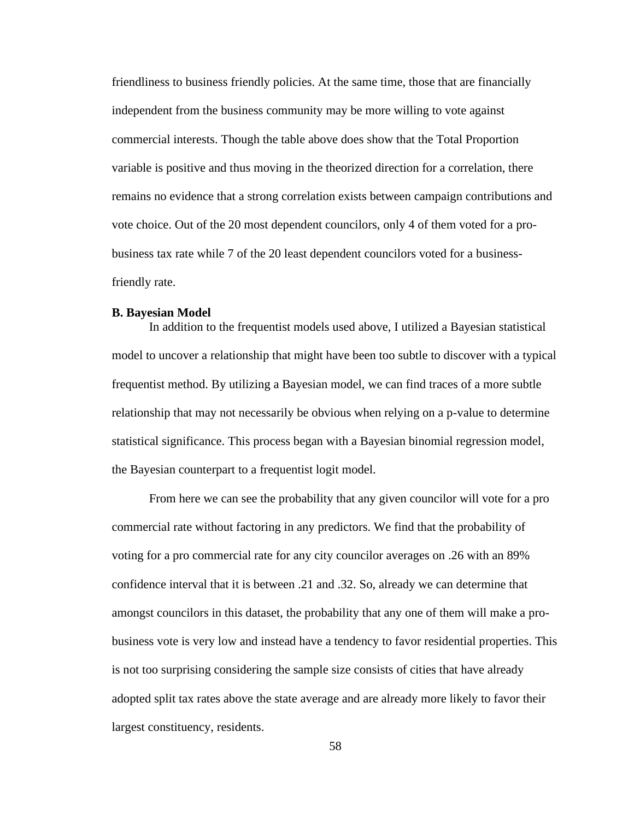friendliness to business friendly policies. At the same time, those that are financially independent from the business community may be more willing to vote against commercial interests. Though the table above does show that the Total Proportion variable is positive and thus moving in the theorized direction for a correlation, there remains no evidence that a strong correlation exists between campaign contributions and vote choice. Out of the 20 most dependent councilors, only 4 of them voted for a probusiness tax rate while 7 of the 20 least dependent councilors voted for a businessfriendly rate.

## **B. Bayesian Model**

In addition to the frequentist models used above, I utilized a Bayesian statistical model to uncover a relationship that might have been too subtle to discover with a typical frequentist method. By utilizing a Bayesian model, we can find traces of a more subtle relationship that may not necessarily be obvious when relying on a p-value to determine statistical significance. This process began with a Bayesian binomial regression model, the Bayesian counterpart to a frequentist logit model.

From here we can see the probability that any given councilor will vote for a pro commercial rate without factoring in any predictors. We find that the probability of voting for a pro commercial rate for any city councilor averages on .26 with an 89% confidence interval that it is between .21 and .32. So, already we can determine that amongst councilors in this dataset, the probability that any one of them will make a probusiness vote is very low and instead have a tendency to favor residential properties. This is not too surprising considering the sample size consists of cities that have already adopted split tax rates above the state average and are already more likely to favor their largest constituency, residents.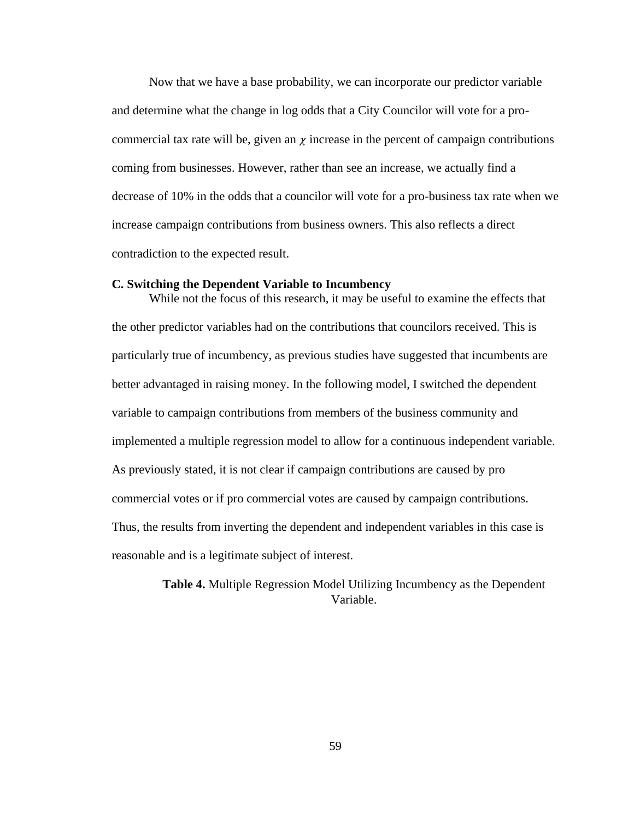Now that we have a base probability, we can incorporate our predictor variable and determine what the change in log odds that a City Councilor will vote for a procommercial tax rate will be, given an  $\chi$  increase in the percent of campaign contributions coming from businesses. However, rather than see an increase, we actually find a decrease of 10% in the odds that a councilor will vote for a pro-business tax rate when we increase campaign contributions from business owners. This also reflects a direct contradiction to the expected result.

## **C. Switching the Dependent Variable to Incumbency**

While not the focus of this research, it may be useful to examine the effects that the other predictor variables had on the contributions that councilors received. This is particularly true of incumbency, as previous studies have suggested that incumbents are better advantaged in raising money. In the following model, I switched the dependent variable to campaign contributions from members of the business community and implemented a multiple regression model to allow for a continuous independent variable. As previously stated, it is not clear if campaign contributions are caused by pro commercial votes or if pro commercial votes are caused by campaign contributions. Thus, the results from inverting the dependent and independent variables in this case is reasonable and is a legitimate subject of interest.

> **Table 4.** Multiple Regression Model Utilizing Incumbency as the Dependent Variable.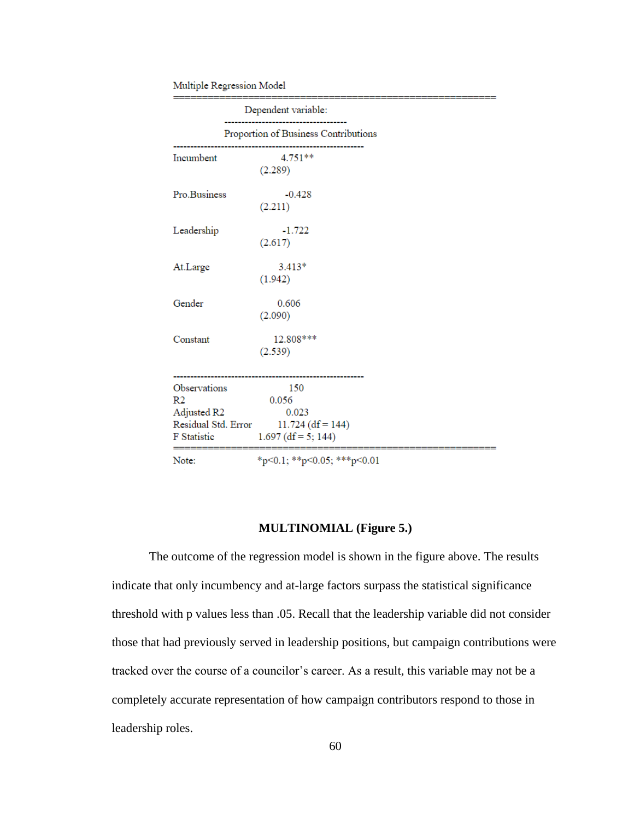#### Multiple Regression Model

|                                                                                            | Dependent variable:                                                   |  |
|--------------------------------------------------------------------------------------------|-----------------------------------------------------------------------|--|
|                                                                                            | Proportion of Business Contributions                                  |  |
| Incumbent                                                                                  | 4.751**<br>(2.289)                                                    |  |
| Pro.Business                                                                               | $-0.428$<br>(2.211)                                                   |  |
| Leadership                                                                                 | $-1.722$<br>(2.617)                                                   |  |
| At.Large                                                                                   | $3.413*$<br>(1.942)                                                   |  |
| Gender                                                                                     | 0.606<br>(2.090)                                                      |  |
| Constant                                                                                   | 12.808 ***<br>(2.539)                                                 |  |
| Observations<br>R <sub>2</sub><br>Adjusted R2<br>Residual Std. Error<br><b>F</b> Statistic | 150<br>0.056<br>0.023<br>$11.724$ (df = 144)<br>$1.697$ (df = 5; 144) |  |
| Note:                                                                                      | $*_{p<0.1}$ ; $*_{p<0.05}$ ; $*_{p<0.01}$                             |  |

#### **MULTINOMIAL (Figure 5.)**

The outcome of the regression model is shown in the figure above. The results indicate that only incumbency and at-large factors surpass the statistical significance threshold with p values less than .05. Recall that the leadership variable did not consider those that had previously served in leadership positions, but campaign contributions were tracked over the course of a councilor's career. As a result, this variable may not be a completely accurate representation of how campaign contributors respond to those in leadership roles.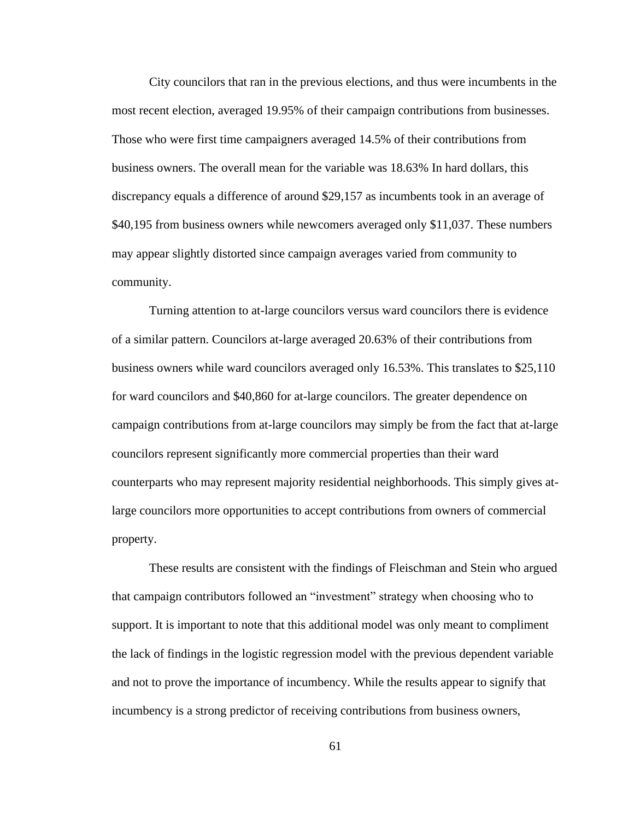City councilors that ran in the previous elections, and thus were incumbents in the most recent election, averaged 19.95% of their campaign contributions from businesses. Those who were first time campaigners averaged 14.5% of their contributions from business owners. The overall mean for the variable was 18.63% In hard dollars, this discrepancy equals a difference of around \$29,157 as incumbents took in an average of \$40,195 from business owners while newcomers averaged only \$11,037. These numbers may appear slightly distorted since campaign averages varied from community to community.

Turning attention to at-large councilors versus ward councilors there is evidence of a similar pattern. Councilors at-large averaged 20.63% of their contributions from business owners while ward councilors averaged only 16.53%. This translates to \$25,110 for ward councilors and \$40,860 for at-large councilors. The greater dependence on campaign contributions from at-large councilors may simply be from the fact that at-large councilors represent significantly more commercial properties than their ward counterparts who may represent majority residential neighborhoods. This simply gives atlarge councilors more opportunities to accept contributions from owners of commercial property.

These results are consistent with the findings of Fleischman and Stein who argued that campaign contributors followed an "investment" strategy when choosing who to support. It is important to note that this additional model was only meant to compliment the lack of findings in the logistic regression model with the previous dependent variable and not to prove the importance of incumbency. While the results appear to signify that incumbency is a strong predictor of receiving contributions from business owners,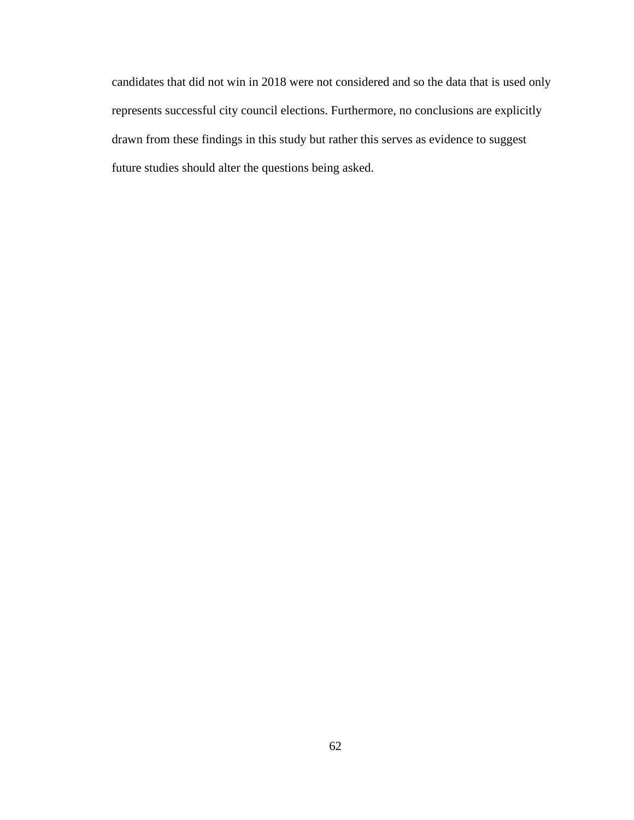candidates that did not win in 2018 were not considered and so the data that is used only represents successful city council elections. Furthermore, no conclusions are explicitly drawn from these findings in this study but rather this serves as evidence to suggest future studies should alter the questions being asked.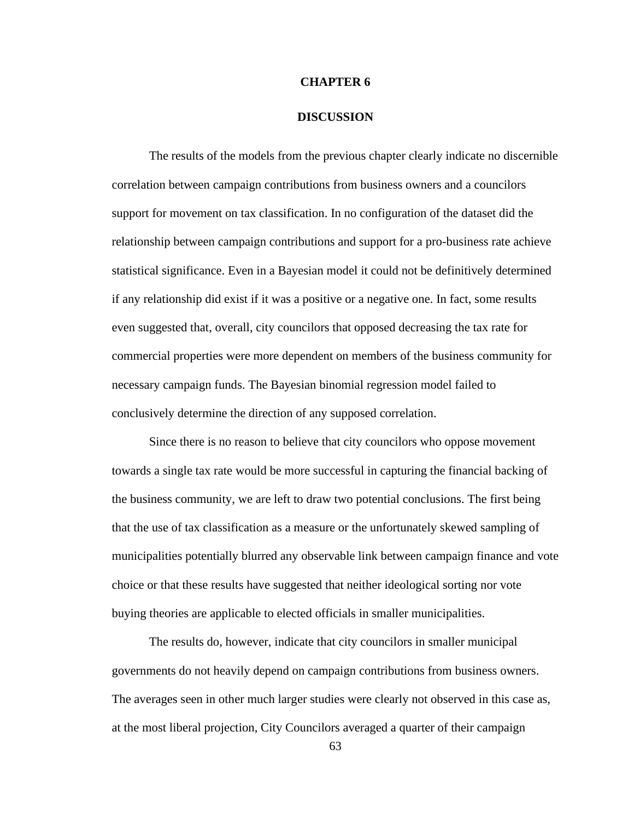#### **CHAPTER 6**

#### **DISCUSSION**

The results of the models from the previous chapter clearly indicate no discernible correlation between campaign contributions from business owners and a councilors support for movement on tax classification. In no configuration of the dataset did the relationship between campaign contributions and support for a pro-business rate achieve statistical significance. Even in a Bayesian model it could not be definitively determined if any relationship did exist if it was a positive or a negative one. In fact, some results even suggested that, overall, city councilors that opposed decreasing the tax rate for commercial properties were more dependent on members of the business community for necessary campaign funds. The Bayesian binomial regression model failed to conclusively determine the direction of any supposed correlation.

Since there is no reason to believe that city councilors who oppose movement towards a single tax rate would be more successful in capturing the financial backing of the business community, we are left to draw two potential conclusions. The first being that the use of tax classification as a measure or the unfortunately skewed sampling of municipalities potentially blurred any observable link between campaign finance and vote choice or that these results have suggested that neither ideological sorting nor vote buying theories are applicable to elected officials in smaller municipalities.

The results do, however, indicate that city councilors in smaller municipal governments do not heavily depend on campaign contributions from business owners. The averages seen in other much larger studies were clearly not observed in this case as, at the most liberal projection, City Councilors averaged a quarter of their campaign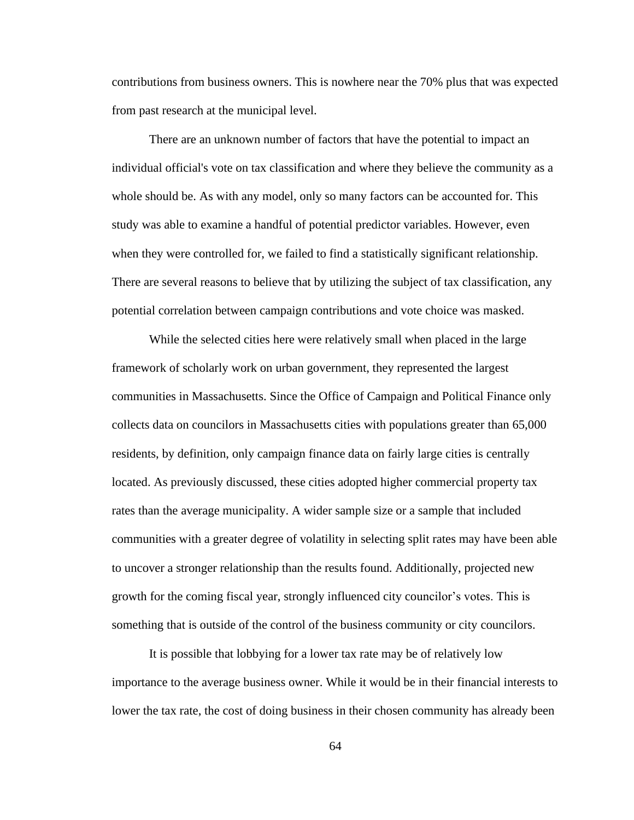contributions from business owners. This is nowhere near the 70% plus that was expected from past research at the municipal level.

There are an unknown number of factors that have the potential to impact an individual official's vote on tax classification and where they believe the community as a whole should be. As with any model, only so many factors can be accounted for. This study was able to examine a handful of potential predictor variables. However, even when they were controlled for, we failed to find a statistically significant relationship. There are several reasons to believe that by utilizing the subject of tax classification, any potential correlation between campaign contributions and vote choice was masked.

While the selected cities here were relatively small when placed in the large framework of scholarly work on urban government, they represented the largest communities in Massachusetts. Since the Office of Campaign and Political Finance only collects data on councilors in Massachusetts cities with populations greater than 65,000 residents, by definition, only campaign finance data on fairly large cities is centrally located. As previously discussed, these cities adopted higher commercial property tax rates than the average municipality. A wider sample size or a sample that included communities with a greater degree of volatility in selecting split rates may have been able to uncover a stronger relationship than the results found. Additionally, projected new growth for the coming fiscal year, strongly influenced city councilor's votes. This is something that is outside of the control of the business community or city councilors.

It is possible that lobbying for a lower tax rate may be of relatively low importance to the average business owner. While it would be in their financial interests to lower the tax rate, the cost of doing business in their chosen community has already been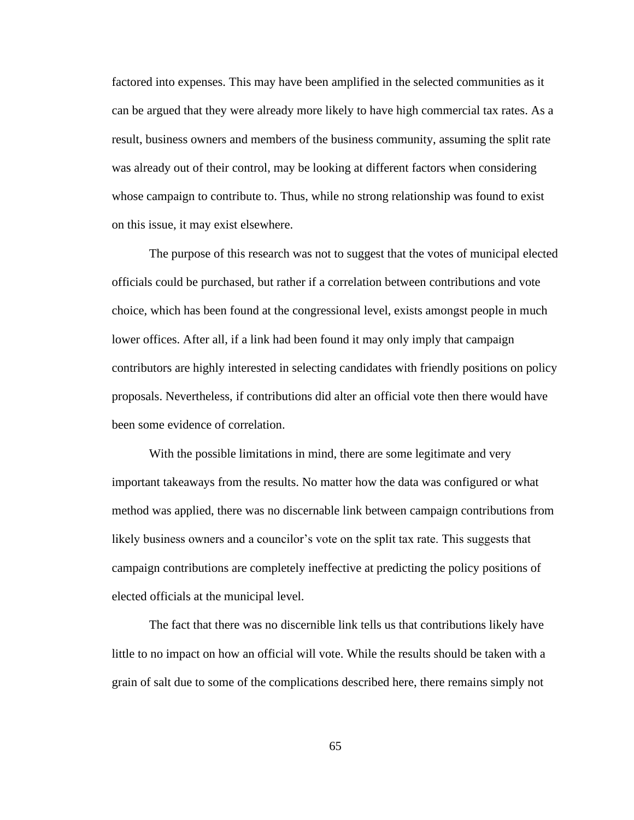factored into expenses. This may have been amplified in the selected communities as it can be argued that they were already more likely to have high commercial tax rates. As a result, business owners and members of the business community, assuming the split rate was already out of their control, may be looking at different factors when considering whose campaign to contribute to. Thus, while no strong relationship was found to exist on this issue, it may exist elsewhere.

The purpose of this research was not to suggest that the votes of municipal elected officials could be purchased, but rather if a correlation between contributions and vote choice, which has been found at the congressional level, exists amongst people in much lower offices. After all, if a link had been found it may only imply that campaign contributors are highly interested in selecting candidates with friendly positions on policy proposals. Nevertheless, if contributions did alter an official vote then there would have been some evidence of correlation.

 With the possible limitations in mind, there are some legitimate and very important takeaways from the results. No matter how the data was configured or what method was applied, there was no discernable link between campaign contributions from likely business owners and a councilor's vote on the split tax rate. This suggests that campaign contributions are completely ineffective at predicting the policy positions of elected officials at the municipal level.

The fact that there was no discernible link tells us that contributions likely have little to no impact on how an official will vote. While the results should be taken with a grain of salt due to some of the complications described here, there remains simply not

65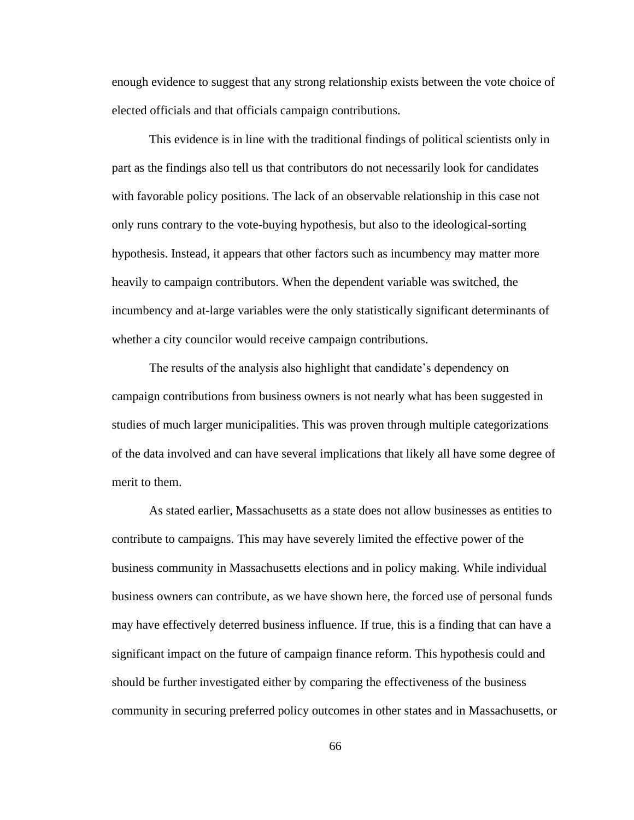enough evidence to suggest that any strong relationship exists between the vote choice of elected officials and that officials campaign contributions.

This evidence is in line with the traditional findings of political scientists only in part as the findings also tell us that contributors do not necessarily look for candidates with favorable policy positions. The lack of an observable relationship in this case not only runs contrary to the vote-buying hypothesis, but also to the ideological-sorting hypothesis. Instead, it appears that other factors such as incumbency may matter more heavily to campaign contributors. When the dependent variable was switched, the incumbency and at-large variables were the only statistically significant determinants of whether a city councilor would receive campaign contributions.

The results of the analysis also highlight that candidate's dependency on campaign contributions from business owners is not nearly what has been suggested in studies of much larger municipalities. This was proven through multiple categorizations of the data involved and can have several implications that likely all have some degree of merit to them.

As stated earlier, Massachusetts as a state does not allow businesses as entities to contribute to campaigns. This may have severely limited the effective power of the business community in Massachusetts elections and in policy making. While individual business owners can contribute, as we have shown here, the forced use of personal funds may have effectively deterred business influence. If true, this is a finding that can have a significant impact on the future of campaign finance reform. This hypothesis could and should be further investigated either by comparing the effectiveness of the business community in securing preferred policy outcomes in other states and in Massachusetts, or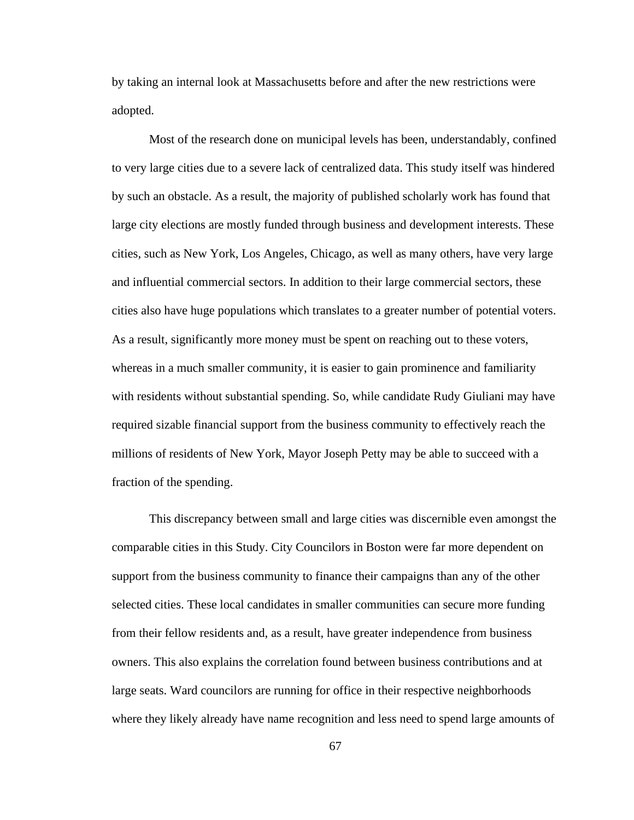by taking an internal look at Massachusetts before and after the new restrictions were adopted.

Most of the research done on municipal levels has been, understandably, confined to very large cities due to a severe lack of centralized data. This study itself was hindered by such an obstacle. As a result, the majority of published scholarly work has found that large city elections are mostly funded through business and development interests. These cities, such as New York, Los Angeles, Chicago, as well as many others, have very large and influential commercial sectors. In addition to their large commercial sectors, these cities also have huge populations which translates to a greater number of potential voters. As a result, significantly more money must be spent on reaching out to these voters, whereas in a much smaller community, it is easier to gain prominence and familiarity with residents without substantial spending. So, while candidate Rudy Giuliani may have required sizable financial support from the business community to effectively reach the millions of residents of New York, Mayor Joseph Petty may be able to succeed with a fraction of the spending.

This discrepancy between small and large cities was discernible even amongst the comparable cities in this Study. City Councilors in Boston were far more dependent on support from the business community to finance their campaigns than any of the other selected cities. These local candidates in smaller communities can secure more funding from their fellow residents and, as a result, have greater independence from business owners. This also explains the correlation found between business contributions and at large seats. Ward councilors are running for office in their respective neighborhoods where they likely already have name recognition and less need to spend large amounts of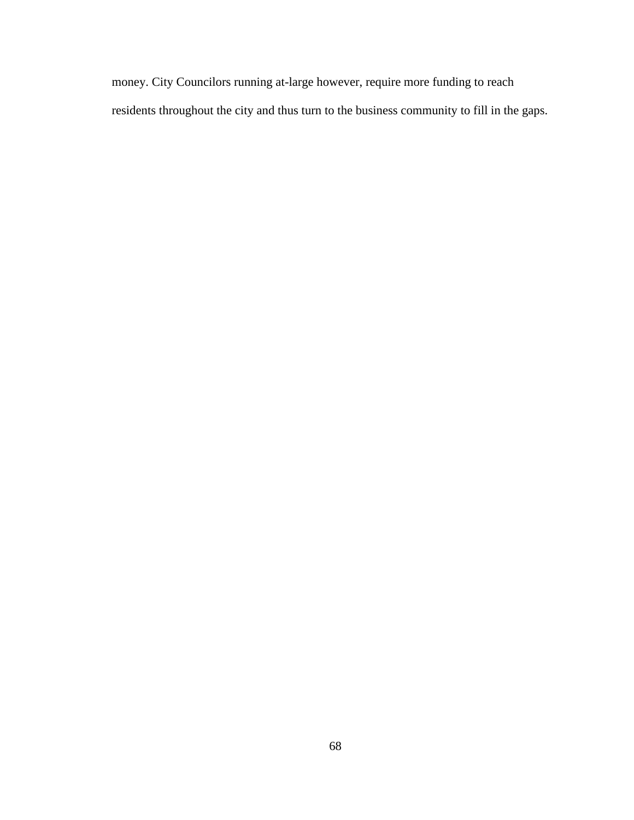money. City Councilors running at-large however, require more funding to reach residents throughout the city and thus turn to the business community to fill in the gaps.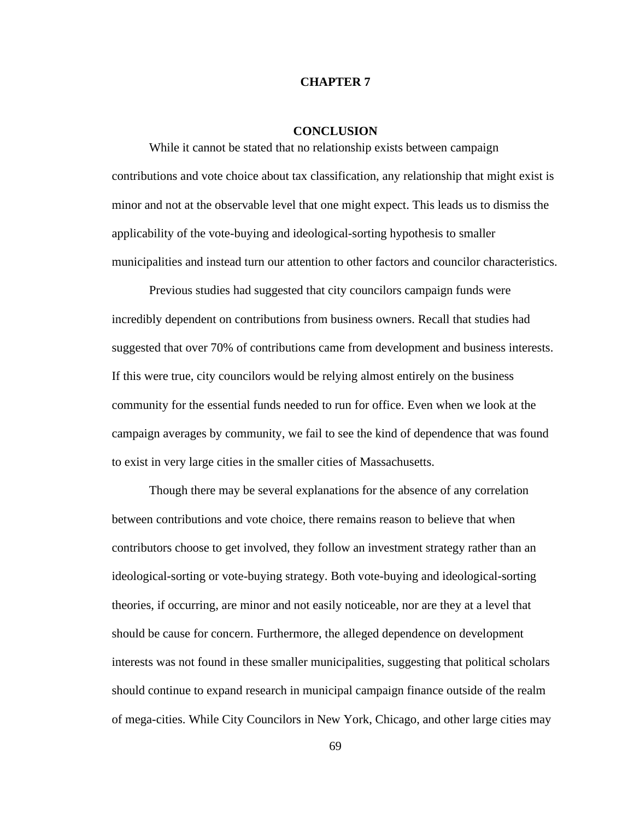#### **CHAPTER 7**

#### **CONCLUSION**

While it cannot be stated that no relationship exists between campaign contributions and vote choice about tax classification, any relationship that might exist is minor and not at the observable level that one might expect. This leads us to dismiss the applicability of the vote-buying and ideological-sorting hypothesis to smaller municipalities and instead turn our attention to other factors and councilor characteristics.

Previous studies had suggested that city councilors campaign funds were incredibly dependent on contributions from business owners. Recall that studies had suggested that over 70% of contributions came from development and business interests. If this were true, city councilors would be relying almost entirely on the business community for the essential funds needed to run for office. Even when we look at the campaign averages by community, we fail to see the kind of dependence that was found to exist in very large cities in the smaller cities of Massachusetts.

Though there may be several explanations for the absence of any correlation between contributions and vote choice, there remains reason to believe that when contributors choose to get involved, they follow an investment strategy rather than an ideological-sorting or vote-buying strategy. Both vote-buying and ideological-sorting theories, if occurring, are minor and not easily noticeable, nor are they at a level that should be cause for concern. Furthermore, the alleged dependence on development interests was not found in these smaller municipalities, suggesting that political scholars should continue to expand research in municipal campaign finance outside of the realm of mega-cities. While City Councilors in New York, Chicago, and other large cities may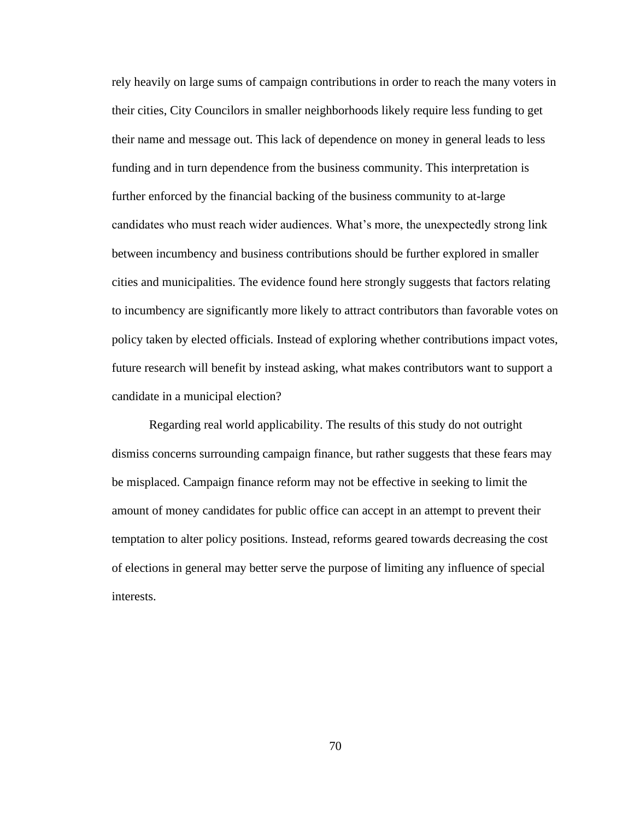rely heavily on large sums of campaign contributions in order to reach the many voters in their cities, City Councilors in smaller neighborhoods likely require less funding to get their name and message out. This lack of dependence on money in general leads to less funding and in turn dependence from the business community. This interpretation is further enforced by the financial backing of the business community to at-large candidates who must reach wider audiences. What's more, the unexpectedly strong link between incumbency and business contributions should be further explored in smaller cities and municipalities. The evidence found here strongly suggests that factors relating to incumbency are significantly more likely to attract contributors than favorable votes on policy taken by elected officials. Instead of exploring whether contributions impact votes, future research will benefit by instead asking, what makes contributors want to support a candidate in a municipal election?

Regarding real world applicability. The results of this study do not outright dismiss concerns surrounding campaign finance, but rather suggests that these fears may be misplaced. Campaign finance reform may not be effective in seeking to limit the amount of money candidates for public office can accept in an attempt to prevent their temptation to alter policy positions. Instead, reforms geared towards decreasing the cost of elections in general may better serve the purpose of limiting any influence of special interests.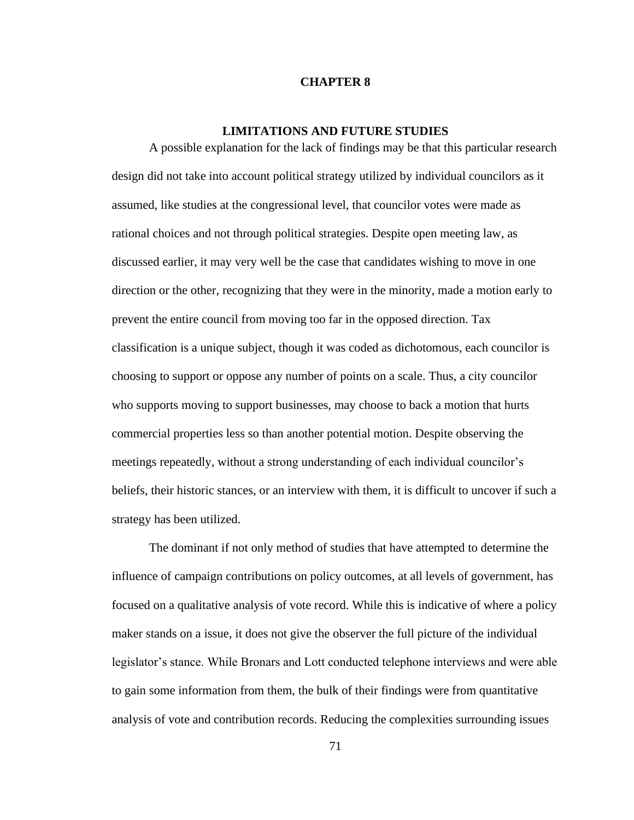#### **CHAPTER 8**

#### **LIMITATIONS AND FUTURE STUDIES**

A possible explanation for the lack of findings may be that this particular research design did not take into account political strategy utilized by individual councilors as it assumed, like studies at the congressional level, that councilor votes were made as rational choices and not through political strategies. Despite open meeting law, as discussed earlier, it may very well be the case that candidates wishing to move in one direction or the other, recognizing that they were in the minority, made a motion early to prevent the entire council from moving too far in the opposed direction. Tax classification is a unique subject, though it was coded as dichotomous, each councilor is choosing to support or oppose any number of points on a scale. Thus, a city councilor who supports moving to support businesses, may choose to back a motion that hurts commercial properties less so than another potential motion. Despite observing the meetings repeatedly, without a strong understanding of each individual councilor's beliefs, their historic stances, or an interview with them, it is difficult to uncover if such a strategy has been utilized.

The dominant if not only method of studies that have attempted to determine the influence of campaign contributions on policy outcomes, at all levels of government, has focused on a qualitative analysis of vote record. While this is indicative of where a policy maker stands on a issue, it does not give the observer the full picture of the individual legislator's stance. While Bronars and Lott conducted telephone interviews and were able to gain some information from them, the bulk of their findings were from quantitative analysis of vote and contribution records. Reducing the complexities surrounding issues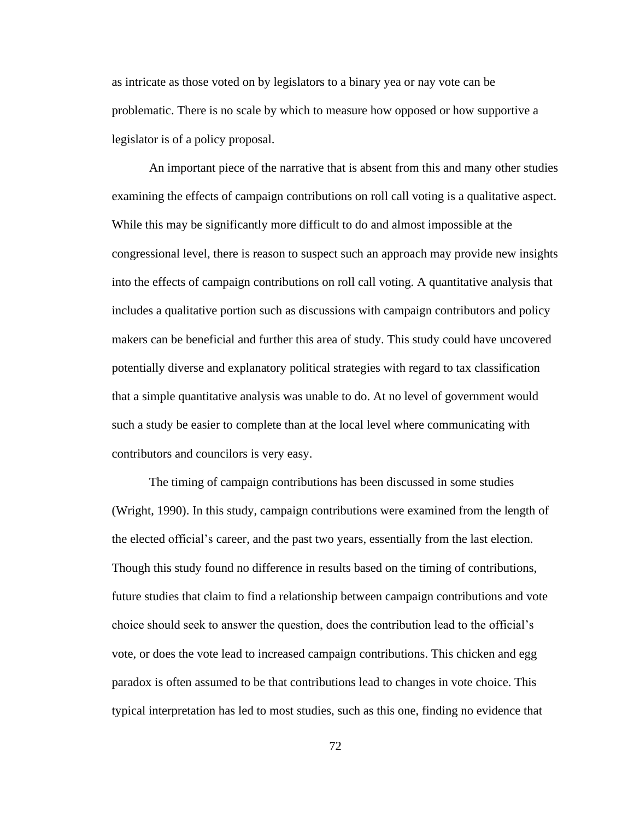as intricate as those voted on by legislators to a binary yea or nay vote can be problematic. There is no scale by which to measure how opposed or how supportive a legislator is of a policy proposal.

An important piece of the narrative that is absent from this and many other studies examining the effects of campaign contributions on roll call voting is a qualitative aspect. While this may be significantly more difficult to do and almost impossible at the congressional level, there is reason to suspect such an approach may provide new insights into the effects of campaign contributions on roll call voting. A quantitative analysis that includes a qualitative portion such as discussions with campaign contributors and policy makers can be beneficial and further this area of study. This study could have uncovered potentially diverse and explanatory political strategies with regard to tax classification that a simple quantitative analysis was unable to do. At no level of government would such a study be easier to complete than at the local level where communicating with contributors and councilors is very easy.

The timing of campaign contributions has been discussed in some studies (Wright, 1990). In this study, campaign contributions were examined from the length of the elected official's career, and the past two years, essentially from the last election. Though this study found no difference in results based on the timing of contributions, future studies that claim to find a relationship between campaign contributions and vote choice should seek to answer the question, does the contribution lead to the official's vote, or does the vote lead to increased campaign contributions. This chicken and egg paradox is often assumed to be that contributions lead to changes in vote choice. This typical interpretation has led to most studies, such as this one, finding no evidence that

72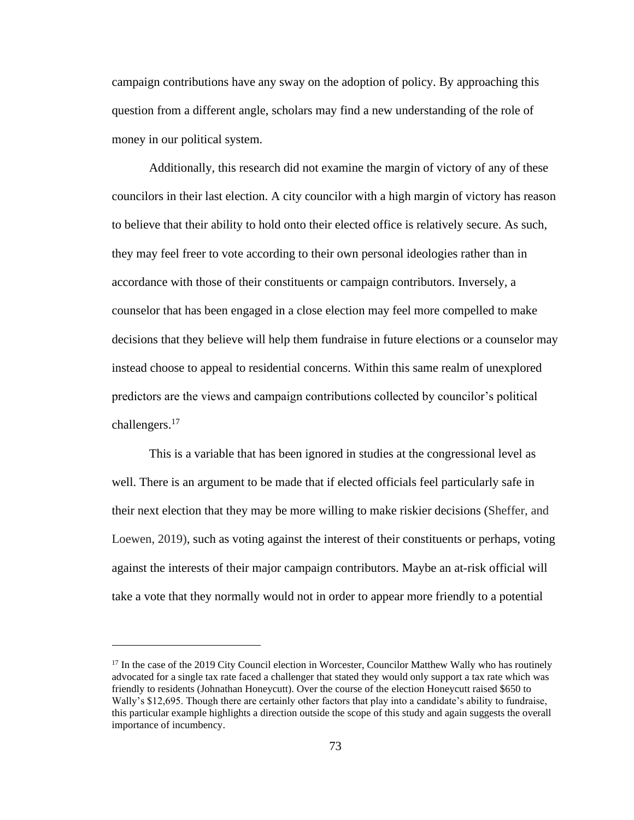campaign contributions have any sway on the adoption of policy. By approaching this question from a different angle, scholars may find a new understanding of the role of money in our political system.

Additionally, this research did not examine the margin of victory of any of these councilors in their last election. A city councilor with a high margin of victory has reason to believe that their ability to hold onto their elected office is relatively secure. As such, they may feel freer to vote according to their own personal ideologies rather than in accordance with those of their constituents or campaign contributors. Inversely, a counselor that has been engaged in a close election may feel more compelled to make decisions that they believe will help them fundraise in future elections or a counselor may instead choose to appeal to residential concerns. Within this same realm of unexplored predictors are the views and campaign contributions collected by councilor's political challengers.<sup>17</sup>

This is a variable that has been ignored in studies at the congressional level as well. There is an argument to be made that if elected officials feel particularly safe in their next election that they may be more willing to make riskier decisions (Sheffer, and Loewen, 2019), such as voting against the interest of their constituents or perhaps, voting against the interests of their major campaign contributors. Maybe an at-risk official will take a vote that they normally would not in order to appear more friendly to a potential

<sup>&</sup>lt;sup>17</sup> In the case of the 2019 City Council election in Worcester, Councilor Matthew Wally who has routinely advocated for a single tax rate faced a challenger that stated they would only support a tax rate which was friendly to residents (Johnathan Honeycutt). Over the course of the election Honeycutt raised \$650 to Wally's \$12,695. Though there are certainly other factors that play into a candidate's ability to fundraise, this particular example highlights a direction outside the scope of this study and again suggests the overall importance of incumbency.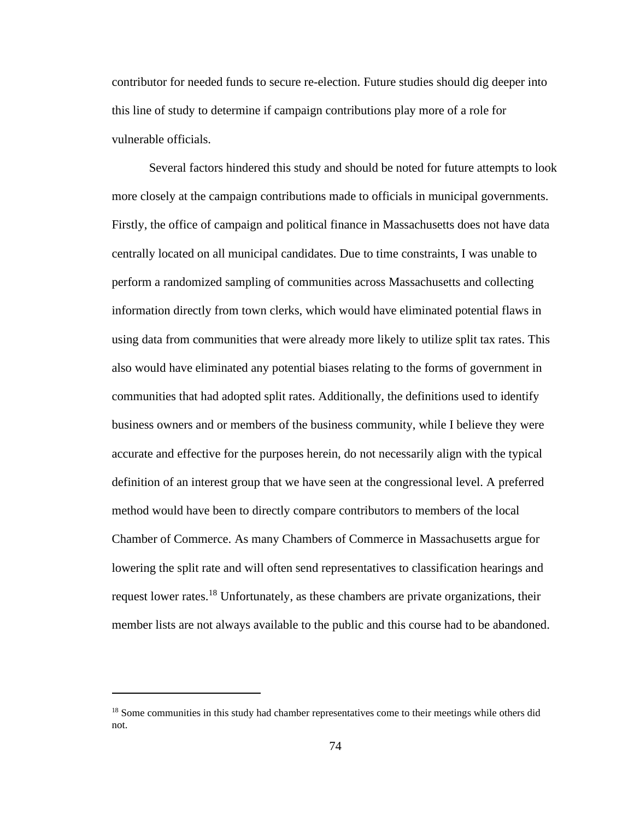contributor for needed funds to secure re-election. Future studies should dig deeper into this line of study to determine if campaign contributions play more of a role for vulnerable officials.

Several factors hindered this study and should be noted for future attempts to look more closely at the campaign contributions made to officials in municipal governments. Firstly, the office of campaign and political finance in Massachusetts does not have data centrally located on all municipal candidates. Due to time constraints, I was unable to perform a randomized sampling of communities across Massachusetts and collecting information directly from town clerks, which would have eliminated potential flaws in using data from communities that were already more likely to utilize split tax rates. This also would have eliminated any potential biases relating to the forms of government in communities that had adopted split rates. Additionally, the definitions used to identify business owners and or members of the business community, while I believe they were accurate and effective for the purposes herein, do not necessarily align with the typical definition of an interest group that we have seen at the congressional level. A preferred method would have been to directly compare contributors to members of the local Chamber of Commerce. As many Chambers of Commerce in Massachusetts argue for lowering the split rate and will often send representatives to classification hearings and request lower rates.<sup>18</sup> Unfortunately, as these chambers are private organizations, their member lists are not always available to the public and this course had to be abandoned.

<sup>&</sup>lt;sup>18</sup> Some communities in this study had chamber representatives come to their meetings while others did not.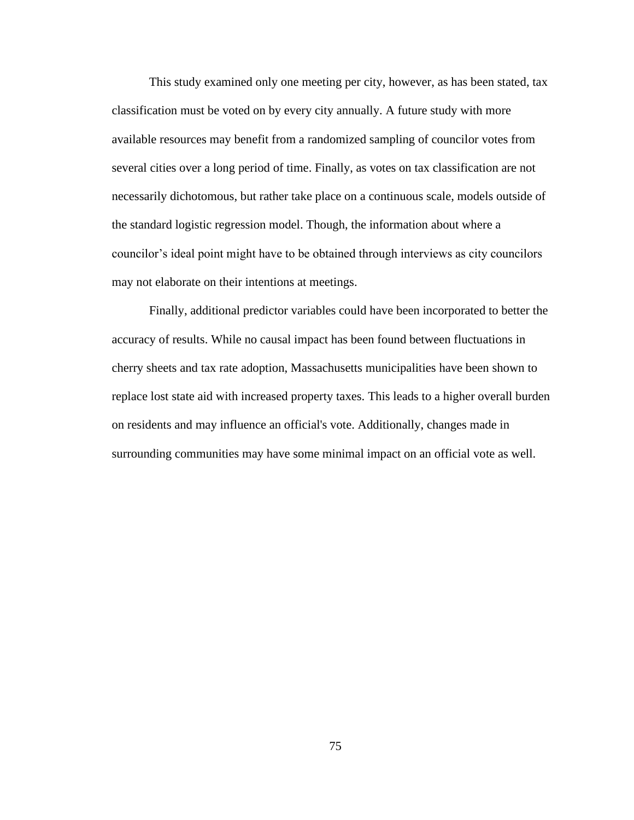This study examined only one meeting per city, however, as has been stated, tax classification must be voted on by every city annually. A future study with more available resources may benefit from a randomized sampling of councilor votes from several cities over a long period of time. Finally, as votes on tax classification are not necessarily dichotomous, but rather take place on a continuous scale, models outside of the standard logistic regression model. Though, the information about where a councilor's ideal point might have to be obtained through interviews as city councilors may not elaborate on their intentions at meetings.

Finally, additional predictor variables could have been incorporated to better the accuracy of results. While no causal impact has been found between fluctuations in cherry sheets and tax rate adoption, Massachusetts municipalities have been shown to replace lost state aid with increased property taxes. This leads to a higher overall burden on residents and may influence an official's vote. Additionally, changes made in surrounding communities may have some minimal impact on an official vote as well.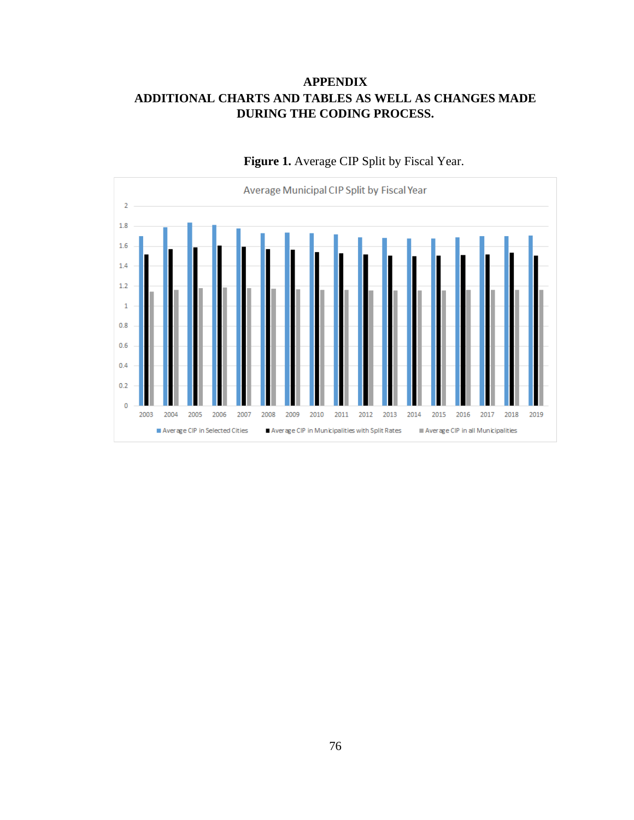# **APPENDIX ADDITIONAL CHARTS AND TABLES AS WELL AS CHANGES MADE DURING THE CODING PROCESS.**



**Figure 1.** Average CIP Split by Fiscal Year.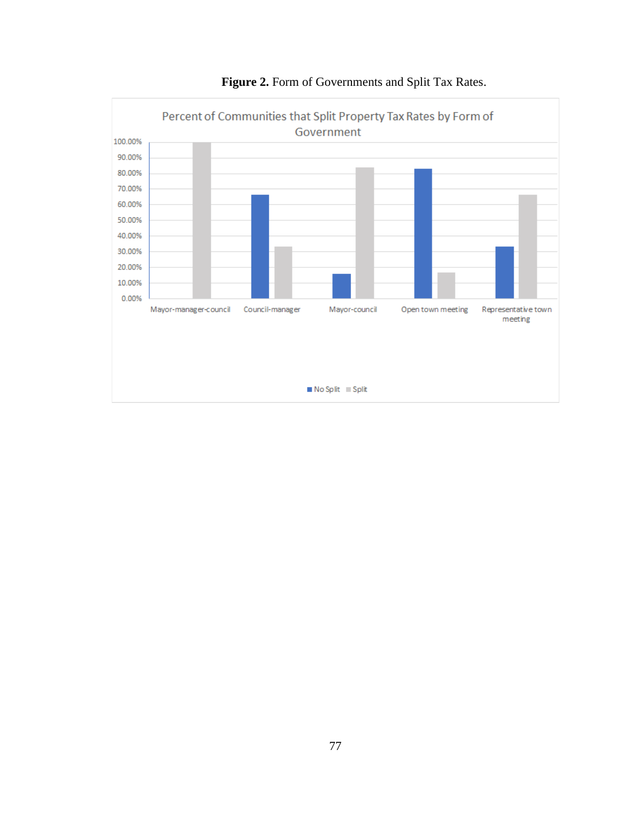

**Figure 2.** Form of Governments and Split Tax Rates.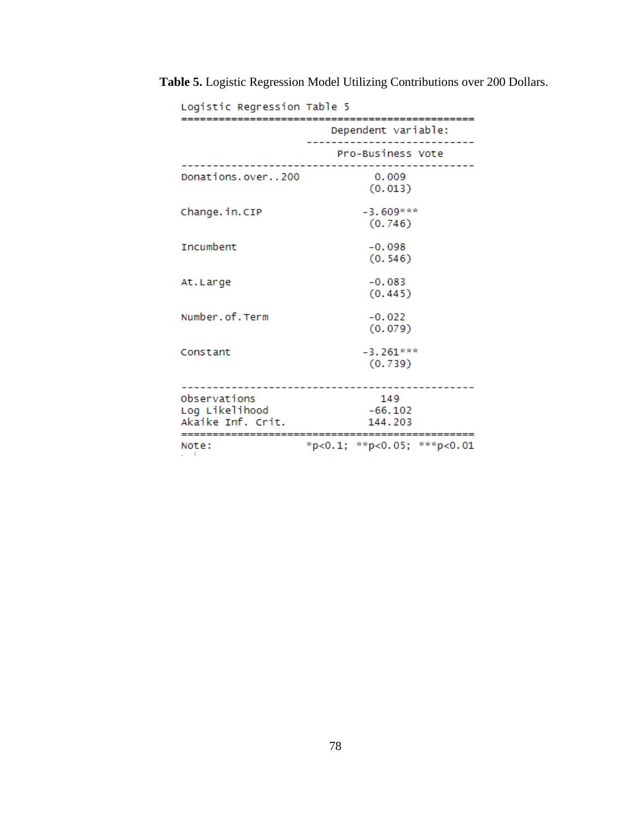| Logistic Regression Table 5                         |                                  |  |  |  |
|-----------------------------------------------------|----------------------------------|--|--|--|
|                                                     | Dependent variable:              |  |  |  |
|                                                     | Pro-Business Vote                |  |  |  |
| Donations.over200                                   | 0.009<br>(0.013)                 |  |  |  |
| Change.in.CIP                                       | $-3.609***$<br>(0.746)           |  |  |  |
| Incumbent                                           | $-0.098$<br>(0.546)              |  |  |  |
| At.Large                                            | $-0.083$<br>(0.445)              |  |  |  |
| Number.of.Term                                      | $-0.022$<br>(0.079)              |  |  |  |
| Constant                                            | $-3.261***$<br>(0.739)           |  |  |  |
| Observations<br>Log Likelihood<br>Akaike Inf. Crit. | 149<br>$-66.102$<br>144.203      |  |  |  |
| Note:                                               | $*p<0.1$ ; $*p<0.05$ ; $*p<0.01$ |  |  |  |

**Table 5.** Logistic Regression Model Utilizing Contributions over 200 Dollars.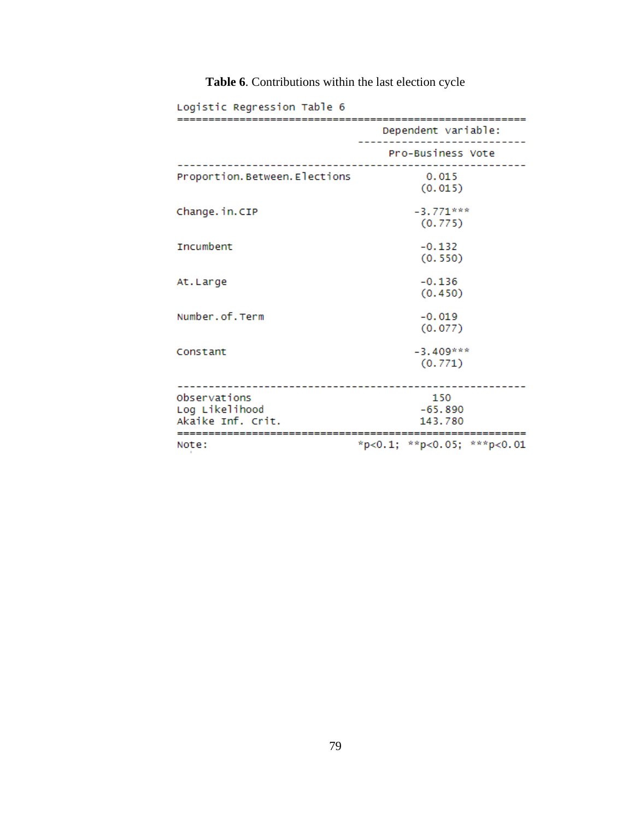| Logistic Regression Table 6                         |                             |  |  |  |
|-----------------------------------------------------|-----------------------------|--|--|--|
|                                                     | Dependent variable:         |  |  |  |
|                                                     | Pro-Business Vote           |  |  |  |
| Proportion. Between. Elections                      | 0.015<br>(0.015)            |  |  |  |
| Change.in.CIP                                       | $-3.771***$<br>(0.775)      |  |  |  |
| Incumbent                                           | $-0.132$<br>(0.550)         |  |  |  |
| At.Large                                            | $-0.136$<br>(0.450)         |  |  |  |
| Number.of.Term                                      | $-0.019$<br>(0.077)         |  |  |  |
| Constant                                            | $-3.409***$<br>(0.771)      |  |  |  |
| Observations<br>Log Likelihood<br>Akaike Inf. Crit. | 150<br>$-65.890$<br>143.780 |  |  |  |
| Note:                                               | *p<0.1; **p<0.05; ***p<0.01 |  |  |  |

# **Table 6**. Contributions within the last election cycle

79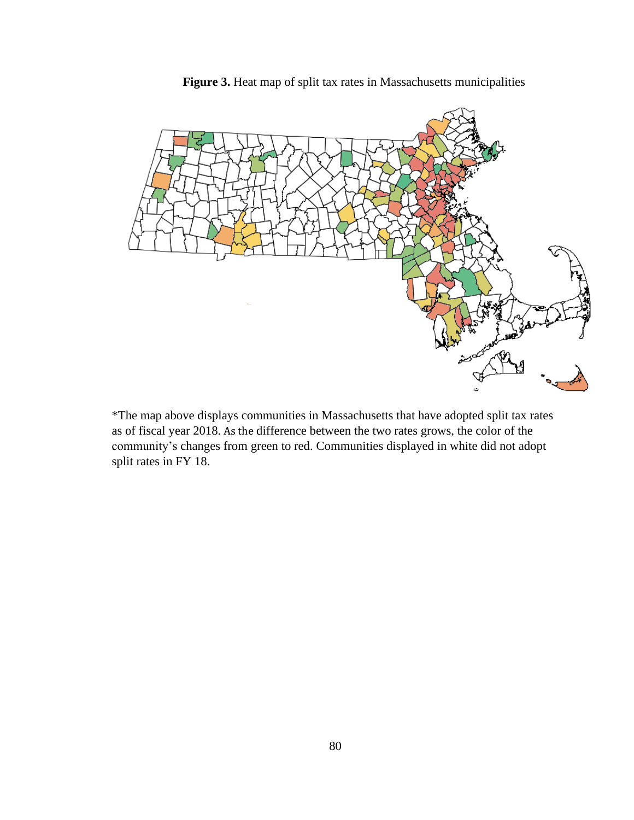

**Figure 3.** Heat map of split tax rates in Massachusetts municipalities

\*The map above displays communities in Massachusetts that have adopted split tax rates as of fiscal year 2018. As the difference between the two rates grows, the color of the community's changes from green to red. Communities displayed in white did not adopt split rates in FY 18.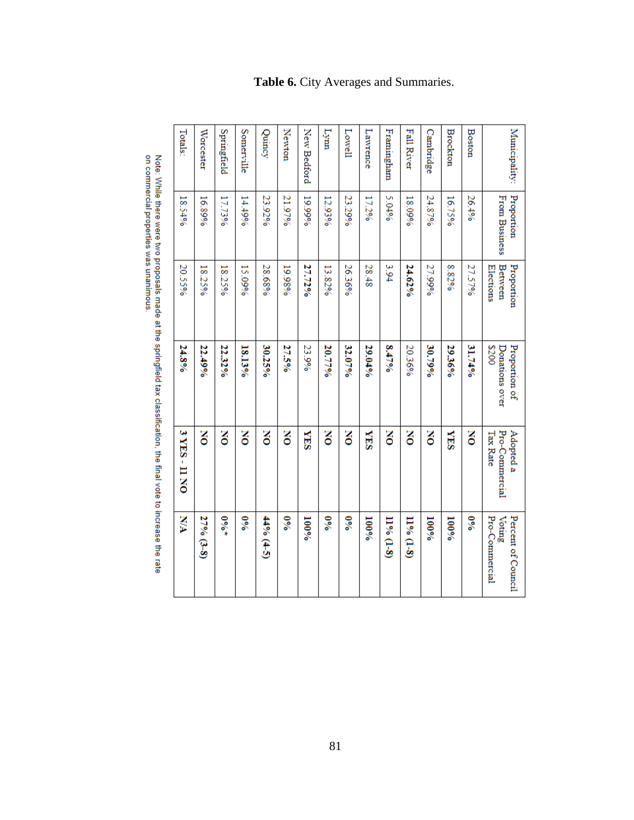| XIA                                            | 3 YES-11 NO                             | 24.8%                                   | 20.55%                             | 18.54%                             | Totals:           |
|------------------------------------------------|-----------------------------------------|-----------------------------------------|------------------------------------|------------------------------------|-------------------|
| 27% (3.8)                                      | ă                                       | 22.49%                                  | 18.25%                             | 16.89%                             | Worcester         |
| $^{9/0*}$                                      | š                                       | 22.32%                                  | 18.25%                             | 17.73%                             | Springfield       |
| $\frac{60}{3}$                                 | ă                                       | 13.13%                                  | 15.09%                             | 14.49%                             | Somerville        |
| 44% (4-5)                                      | š                                       | 30.25%                                  | 28.68%                             | 23.92%                             | Quincy            |
| $\%0$                                          | š                                       | 27.5%                                   | 19.98%                             | 21.97%                             | Newton            |
| $100\%$                                        | <b>SEA</b>                              | 23.9%                                   | 27.72%                             | 19.99%                             | New Bedford       |
| $\frac{60}{6}$                                 | š                                       | 20.77%                                  | 13.82%                             | 12.93%                             | Lynn              |
| $\frac{60}{3}$                                 | š                                       | 32.07%                                  | 26.36%                             | 23.29%                             | Lowell            |
| $100\%$                                        | <b>SHA</b>                              | 29.04%                                  | 28.48                              | 17.2%                              | Lawrence          |
| $11% (1-8)$                                    | ă                                       | 8.4796                                  | 3.94                               | 5.04%                              | Framingham        |
| $11\% (1-8)$                                   | š                                       | 20.36%                                  | 24.62%                             | 18.09%                             | <b>Fall River</b> |
| $100\%$                                        | š                                       | 30.79%                                  | 27.99%                             | 24.87%                             | Cambridge         |
| $100\%$                                        | <b>NES</b>                              | 29.36%                                  | 8.82%                              | 16.75%                             | Brockton          |
| $\delta_{\rm e}$                               | š                                       | 31.74%                                  | 27.57%                             | 26.4%                              | <b>Boston</b>     |
| Pro-Commercial<br>Percent of Council<br>Voting | Pro-Commercial<br>Adopted a<br>Tax Rate | 2200<br>Proportion of<br>Donations over | Between<br>Proportion<br>Elections | Proportion<br><b>From Business</b> | Municipality:     |

**Table 6.** City Averages and Summaries.

Note: While there were two proposals made at the springfield tax classification, the final vote to increase the rate<br>on commercial properties was unanimous.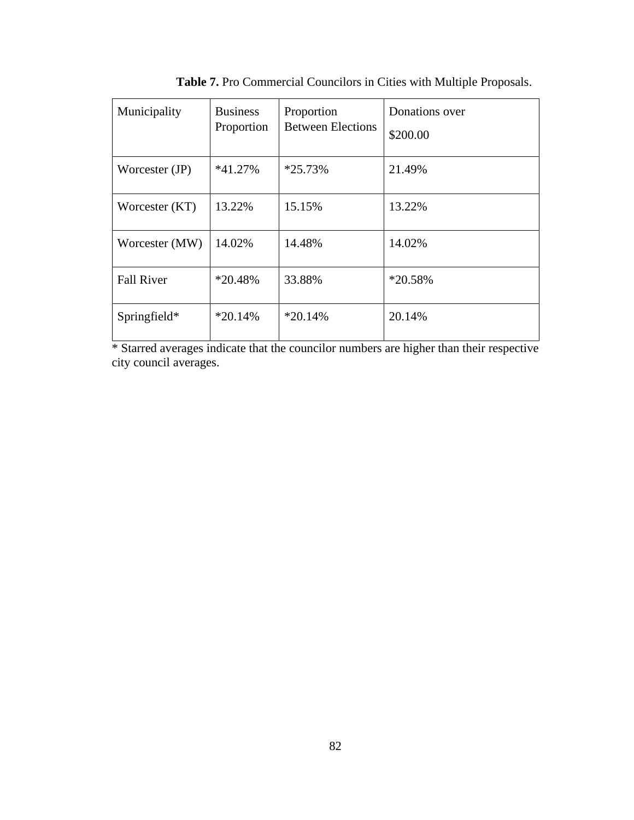| Municipality      | <b>Business</b><br>Proportion | Proportion<br><b>Between Elections</b> | Donations over<br>\$200.00 |
|-------------------|-------------------------------|----------------------------------------|----------------------------|
| Worcester (JP)    | $*41.27\%$                    | $*25.73%$                              | 21.49%                     |
| Worcester (KT)    | 13.22\%                       | 15.15%                                 | 13.22%                     |
| Worcester (MW)    | 14.02%                        | 14.48%                                 | 14.02%                     |
| <b>Fall River</b> | $*20.48%$                     | 33.88%                                 | $*20.58%$                  |
| Springfield*      | $*20.14%$                     | $*20.14%$                              | 20.14%                     |

**Table 7.** Pro Commercial Councilors in Cities with Multiple Proposals.

\* Starred averages indicate that the councilor numbers are higher than their respective city council averages.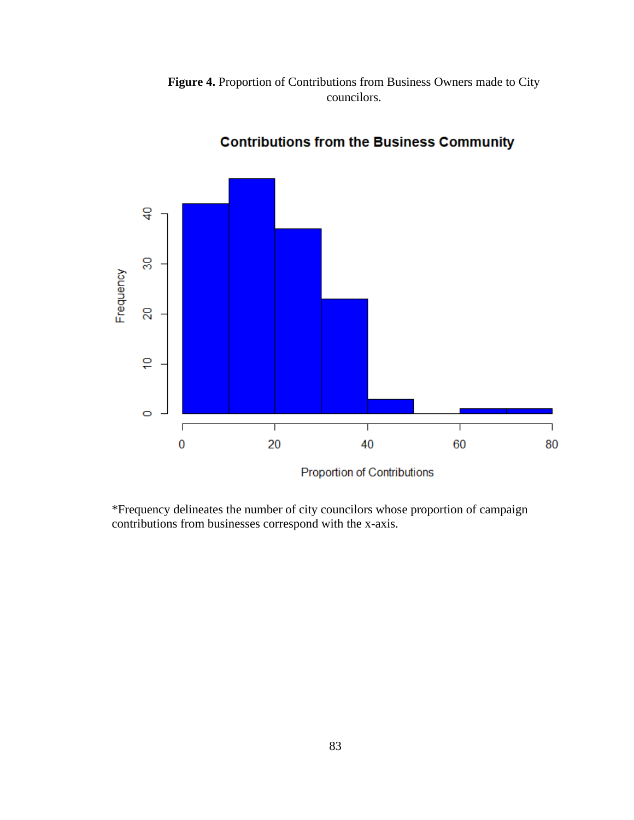



**Contributions from the Business Community** 

\*Frequency delineates the number of city councilors whose proportion of campaign contributions from businesses correspond with the x-axis.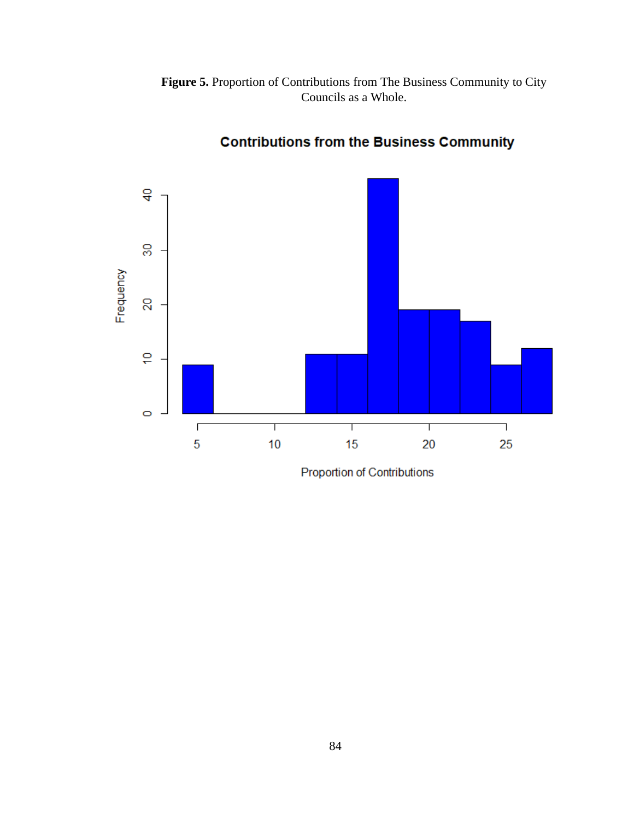**Figure 5.** Proportion of Contributions from The Business Community to City Councils as a Whole.



**Contributions from the Business Community** 

Proportion of Contributions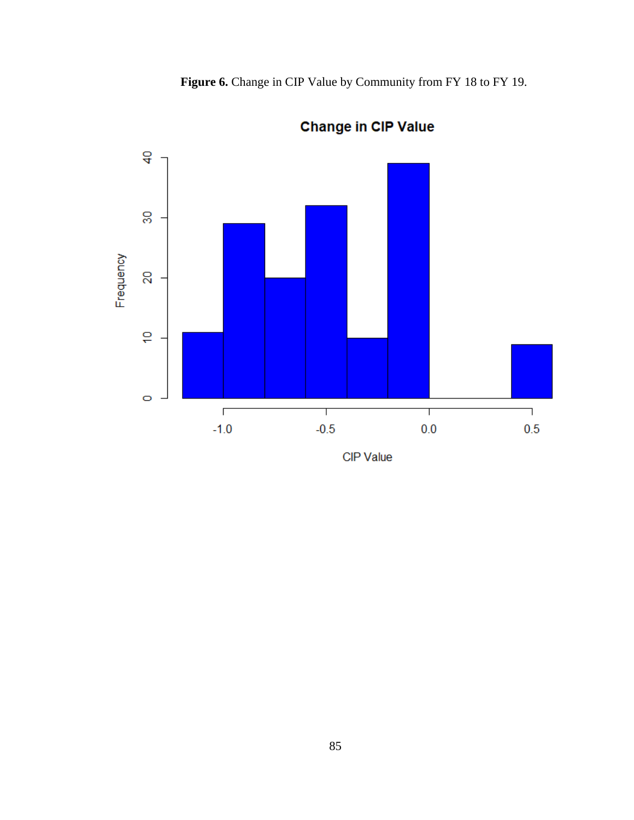**Figure 6.** Change in CIP Value by Community from FY 18 to FY 19.



**Change in CIP Value** 

**CIP** Value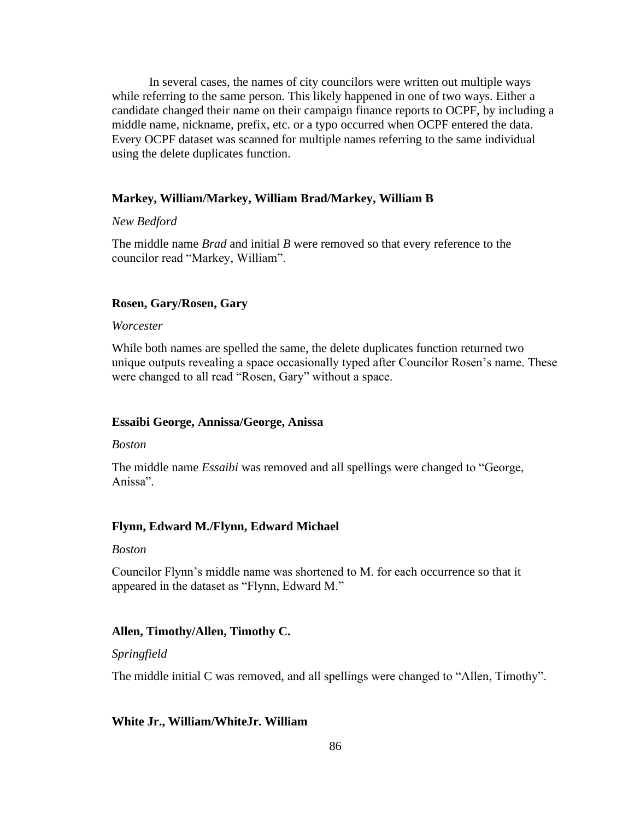In several cases, the names of city councilors were written out multiple ways while referring to the same person. This likely happened in one of two ways. Either a candidate changed their name on their campaign finance reports to OCPF, by including a middle name, nickname, prefix, etc. or a typo occurred when OCPF entered the data. Every OCPF dataset was scanned for multiple names referring to the same individual using the delete duplicates function.

#### **Markey, William/Markey, William Brad/Markey, William B**

#### *New Bedford*

The middle name *Brad* and initial *B* were removed so that every reference to the councilor read "Markey, William".

### **Rosen, Gary/Rosen, Gary**

#### *Worcester*

While both names are spelled the same, the delete duplicates function returned two unique outputs revealing a space occasionally typed after Councilor Rosen's name. These were changed to all read "Rosen, Gary" without a space.

#### **Essaibi George, Annissa/George, Anissa**

#### *Boston*

The middle name *Essaibi* was removed and all spellings were changed to "George, Anissa".

#### **Flynn, Edward M./Flynn, Edward Michael**

#### *Boston*

Councilor Flynn's middle name was shortened to M. for each occurrence so that it appeared in the dataset as "Flynn, Edward M."

#### **Allen, Timothy/Allen, Timothy C.**

#### *Springfield*

The middle initial C was removed, and all spellings were changed to "Allen, Timothy".

#### **White Jr., William/WhiteJr. William**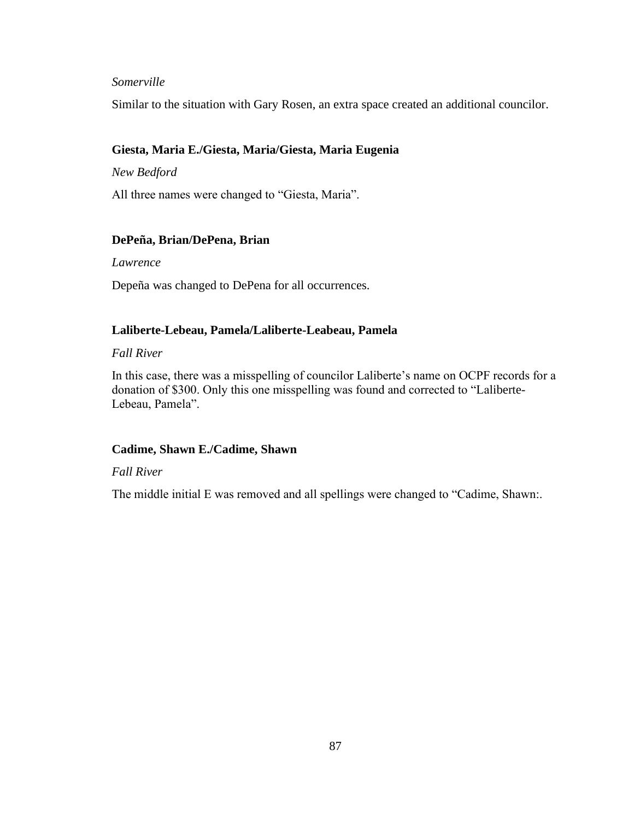## *Somerville*

Similar to the situation with Gary Rosen, an extra space created an additional councilor.

#### **Giesta, Maria E./Giesta, Maria/Giesta, Maria Eugenia**

*New Bedford*

All three names were changed to "Giesta, Maria".

#### **DePeña, Brian/DePena, Brian**

*Lawrence*

Depeña was changed to DePena for all occurrences.

#### **Laliberte-Lebeau, Pamela/Laliberte-Leabeau, Pamela**

#### *Fall River*

In this case, there was a misspelling of councilor Laliberte's name on OCPF records for a donation of \$300. Only this one misspelling was found and corrected to "Laliberte-Lebeau, Pamela".

#### **Cadime, Shawn E./Cadime, Shawn**

#### *Fall River*

The middle initial E was removed and all spellings were changed to "Cadime, Shawn:.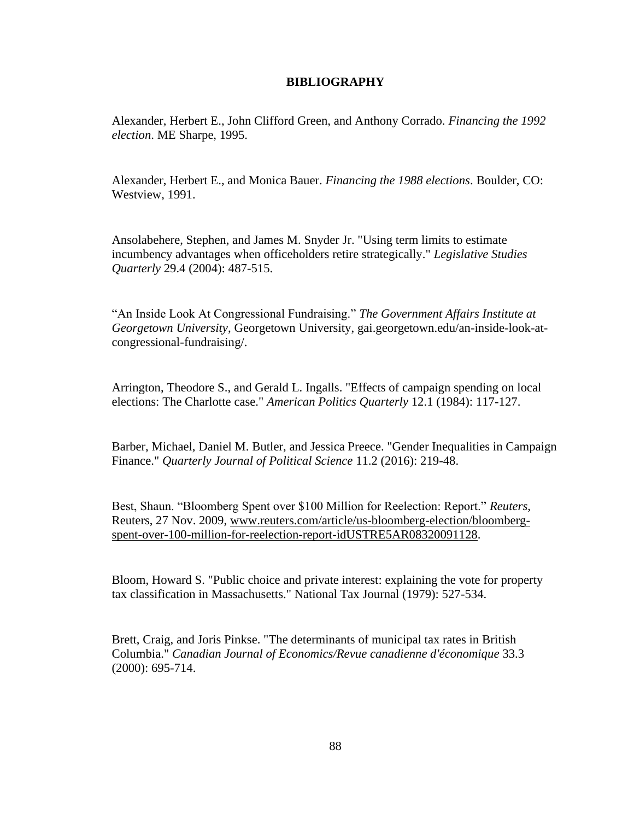#### **BIBLIOGRAPHY**

Alexander, Herbert E., John Clifford Green, and Anthony Corrado. *Financing the 1992 election*. ME Sharpe, 1995.

Alexander, Herbert E., and Monica Bauer. *Financing the 1988 elections*. Boulder, CO: Westview, 1991.

Ansolabehere, Stephen, and James M. Snyder Jr. "Using term limits to estimate incumbency advantages when officeholders retire strategically." *Legislative Studies Quarterly* 29.4 (2004): 487-515.

"An Inside Look At Congressional Fundraising." *The Government Affairs Institute at Georgetown University*, Georgetown University, gai.georgetown.edu/an-inside-look-atcongressional-fundraising/.

Arrington, Theodore S., and Gerald L. Ingalls. "Effects of campaign spending on local elections: The Charlotte case." *American Politics Quarterly* 12.1 (1984): 117-127.

Barber, Michael, Daniel M. Butler, and Jessica Preece. "Gender Inequalities in Campaign Finance." *Quarterly Journal of Political Science* 11.2 (2016): 219-48.

Best, Shaun. "Bloomberg Spent over \$100 Million for Reelection: Report." *Reuters*, Reuters, 27 Nov. 2009, [www.reuters.com/article/us-bloomberg-election/bloomberg](http://www.reuters.com/article/us-bloomberg-election/bloomberg-spent-over-100-million-for-reelection-report-idUSTRE5AR08320091128)[spent-over-100-million-for-reelection-report-idUSTRE5AR08320091128.](http://www.reuters.com/article/us-bloomberg-election/bloomberg-spent-over-100-million-for-reelection-report-idUSTRE5AR08320091128)

Bloom, Howard S. "Public choice and private interest: explaining the vote for property tax classification in Massachusetts." National Tax Journal (1979): 527-534.

Brett, Craig, and Joris Pinkse. "The determinants of municipal tax rates in British Columbia." *Canadian Journal of Economics/Revue canadienne d'économique* 33.3 (2000): 695-714.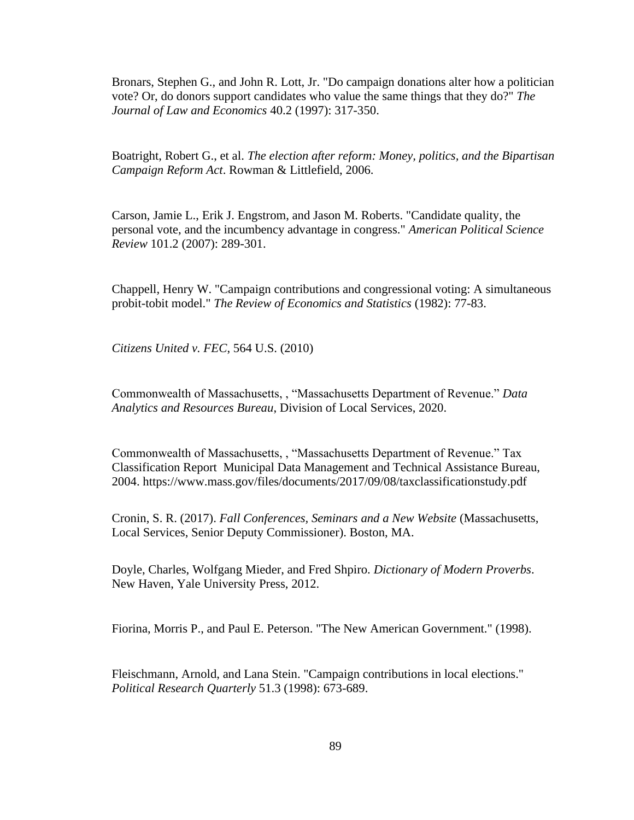Bronars, Stephen G., and John R. Lott, Jr. "Do campaign donations alter how a politician vote? Or, do donors support candidates who value the same things that they do?" *The Journal of Law and Economics* 40.2 (1997): 317-350.

Boatright, Robert G., et al. *The election after reform: Money, politics, and the Bipartisan Campaign Reform Act*. Rowman & Littlefield, 2006.

Carson, Jamie L., Erik J. Engstrom, and Jason M. Roberts. "Candidate quality, the personal vote, and the incumbency advantage in congress." *American Political Science Review* 101.2 (2007): 289-301.

Chappell, Henry W. "Campaign contributions and congressional voting: A simultaneous probit-tobit model." *The Review of Economics and Statistics* (1982): 77-83.

*Citizens United v. FEC*, 564 U.S. (2010)

Commonwealth of Massachusetts, , "Massachusetts Department of Revenue." *Data Analytics and Resources Bureau*, Division of Local Services, 2020.

Commonwealth of Massachusetts, , "Massachusetts Department of Revenue." Tax Classification Report Municipal Data Management and Technical Assistance Bureau, 2004. https://www.mass.gov/files/documents/2017/09/08/taxclassificationstudy.pdf

Cronin, S. R. (2017). *Fall Conferences, Seminars and a New Website* (Massachusetts, Local Services, Senior Deputy Commissioner). Boston, MA.

Doyle, Charles, Wolfgang Mieder, and Fred Shpiro. *Dictionary of Modern Proverbs*. New Haven, Yale University Press, 2012.

Fiorina, Morris P., and Paul E. Peterson. "The New American Government." (1998).

Fleischmann, Arnold, and Lana Stein. "Campaign contributions in local elections." *Political Research Quarterly* 51.3 (1998): 673-689.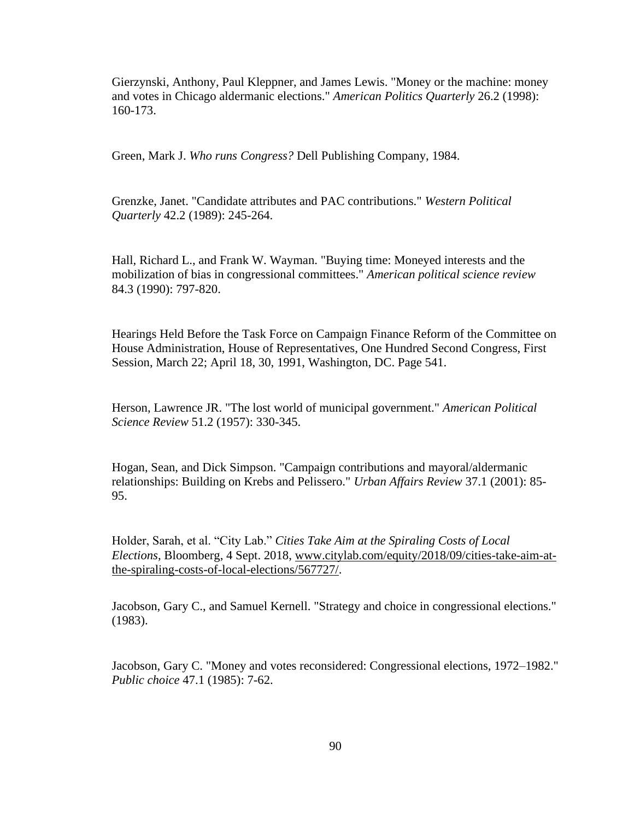Gierzynski, Anthony, Paul Kleppner, and James Lewis. "Money or the machine: money and votes in Chicago aldermanic elections." *American Politics Quarterly* 26.2 (1998): 160-173.

Green, Mark J. *Who runs Congress?* Dell Publishing Company, 1984.

Grenzke, Janet. "Candidate attributes and PAC contributions." *Western Political Quarterly* 42.2 (1989): 245-264.

Hall, Richard L., and Frank W. Wayman. "Buying time: Moneyed interests and the mobilization of bias in congressional committees." *American political science review* 84.3 (1990): 797-820.

Hearings Held Before the Task Force on Campaign Finance Reform of the Committee on House Administration, House of Representatives, One Hundred Second Congress, First Session, March 22; April 18, 30, 1991, Washington, DC. Page 541.

Herson, Lawrence JR. "The lost world of municipal government." *American Political Science Review* 51.2 (1957): 330-345.

Hogan, Sean, and Dick Simpson. "Campaign contributions and mayoral/aldermanic relationships: Building on Krebs and Pelissero." *Urban Affairs Review* 37.1 (2001): 85- 95.

Holder, Sarah, et al. "City Lab." *Cities Take Aim at the Spiraling Costs of Local Elections*, Bloomberg, 4 Sept. 2018, [www.citylab.com/equity/2018/09/cities-take-aim-at](http://www.citylab.com/equity/2018/09/cities-take-aim-at-the-spiraling-costs-of-local-elections/567727/)[the-spiraling-costs-of-local-elections/567727/.](http://www.citylab.com/equity/2018/09/cities-take-aim-at-the-spiraling-costs-of-local-elections/567727/)

Jacobson, Gary C., and Samuel Kernell. "Strategy and choice in congressional elections." (1983).

Jacobson, Gary C. "Money and votes reconsidered: Congressional elections, 1972–1982." *Public choice* 47.1 (1985): 7-62.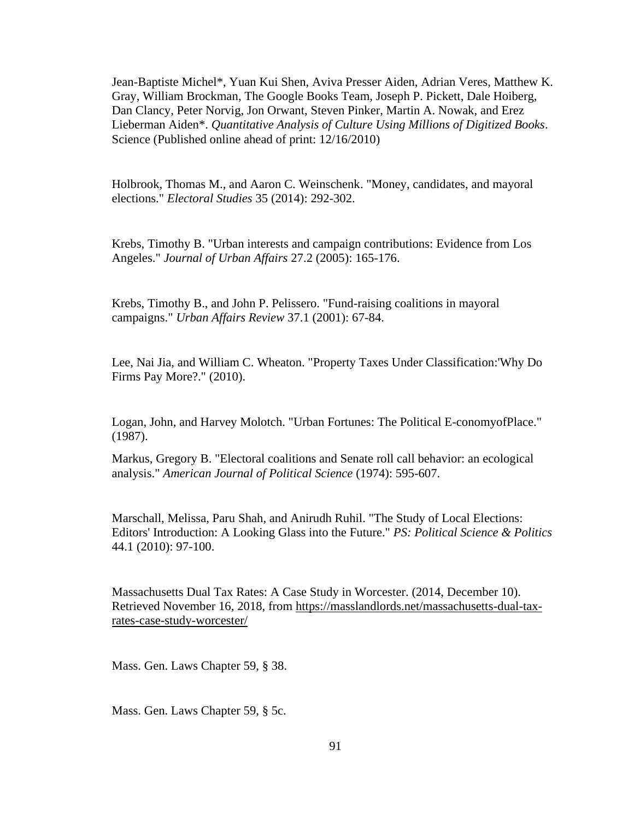Jean-Baptiste Michel\*, Yuan Kui Shen, Aviva Presser Aiden, Adrian Veres, Matthew K. Gray, William Brockman, The Google Books Team, Joseph P. Pickett, Dale Hoiberg, Dan Clancy, Peter Norvig, Jon Orwant, Steven Pinker, Martin A. Nowak, and Erez Lieberman Aiden\*. *Quantitative Analysis of Culture Using Millions of Digitized Books*. Science (Published online ahead of print: 12/16/2010)

Holbrook, Thomas M., and Aaron C. Weinschenk. "Money, candidates, and mayoral elections." *Electoral Studies* 35 (2014): 292-302.

Krebs, Timothy B. "Urban interests and campaign contributions: Evidence from Los Angeles." *Journal of Urban Affairs* 27.2 (2005): 165-176.

Krebs, Timothy B., and John P. Pelissero. "Fund-raising coalitions in mayoral campaigns." *Urban Affairs Review* 37.1 (2001): 67-84.

Lee, Nai Jia, and William C. Wheaton. "Property Taxes Under Classification:'Why Do Firms Pay More?." (2010).

Logan, John, and Harvey Molotch. "Urban Fortunes: The Political E-conomyofPlace." (1987).

Markus, Gregory B. "Electoral coalitions and Senate roll call behavior: an ecological analysis." *American Journal of Political Science* (1974): 595-607.

Marschall, Melissa, Paru Shah, and Anirudh Ruhil. "The Study of Local Elections: Editors' Introduction: A Looking Glass into the Future." *PS: Political Science & Politics* 44.1 (2010): 97-100.

Massachusetts Dual Tax Rates: A Case Study in Worcester. (2014, December 10). Retrieved November 16, 2018, from [https://masslandlords.net/massachusetts-dual-tax](https://masslandlords.net/massachusetts-dual-tax-rates-case-study-worcester/)[rates-case-study-worcester/](https://masslandlords.net/massachusetts-dual-tax-rates-case-study-worcester/)

Mass. Gen. Laws Chapter 59, § 38.

Mass. Gen. Laws Chapter 59, § 5c.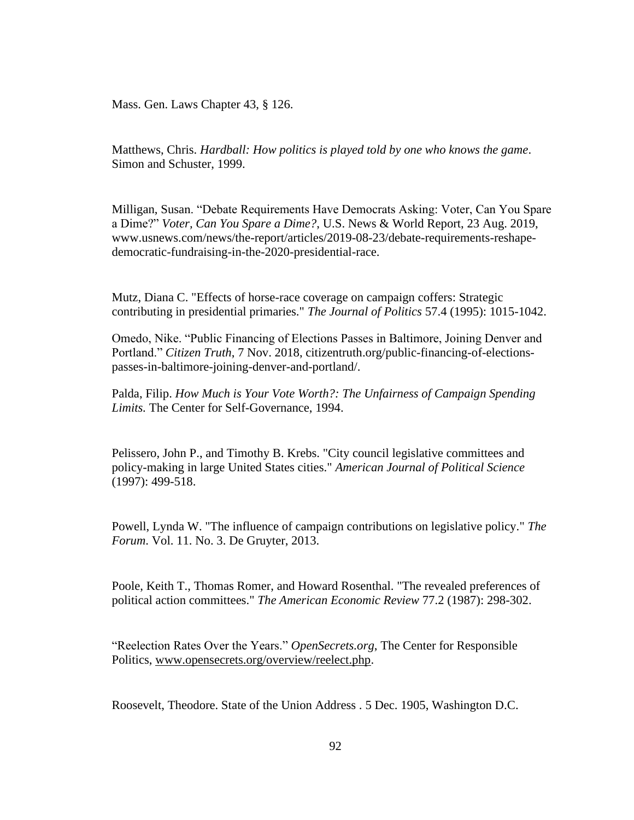Mass. Gen. Laws Chapter 43, § 126.

Matthews, Chris. *Hardball: How politics is played told by one who knows the game*. Simon and Schuster, 1999.

Milligan, Susan. "Debate Requirements Have Democrats Asking: Voter, Can You Spare a Dime?" *Voter, Can You Spare a Dime?*, U.S. News & World Report, 23 Aug. 2019, www.usnews.com/news/the-report/articles/2019-08-23/debate-requirements-reshapedemocratic-fundraising-in-the-2020-presidential-race.

Mutz, Diana C. "Effects of horse-race coverage on campaign coffers: Strategic contributing in presidential primaries." *The Journal of Politics* 57.4 (1995): 1015-1042.

Omedo, Nike. "Public Financing of Elections Passes in Baltimore, Joining Denver and Portland." *Citizen Truth*, 7 Nov. 2018, citizentruth.org/public-financing-of-electionspasses-in-baltimore-joining-denver-and-portland/.

Palda, Filip. *How Much is Your Vote Worth?: The Unfairness of Campaign Spending Limits.* The Center for Self-Governance, 1994.

Pelissero, John P., and Timothy B. Krebs. "City council legislative committees and policy-making in large United States cities." *American Journal of Political Science* (1997): 499-518.

Powell, Lynda W. "The influence of campaign contributions on legislative policy." *The Forum*. Vol. 11. No. 3. De Gruyter, 2013.

Poole, Keith T., Thomas Romer, and Howard Rosenthal. "The revealed preferences of political action committees." *The American Economic Review* 77.2 (1987): 298-302.

"Reelection Rates Over the Years." *OpenSecrets.org*, The Center for Responsible Politics, [www.opensecrets.org/overview/reelect.php.](http://www.opensecrets.org/overview/reelect.php)

Roosevelt, Theodore. State of the Union Address . 5 Dec. 1905, Washington D.C.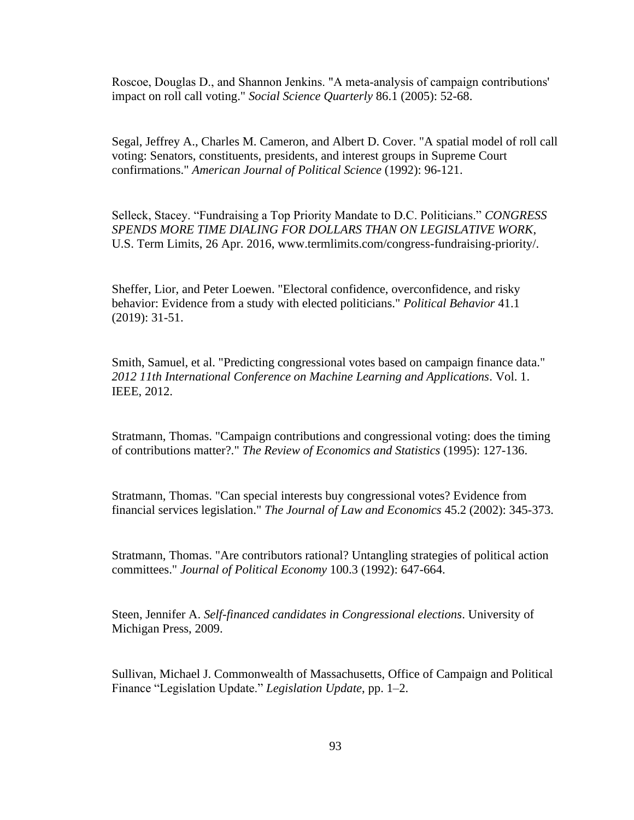Roscoe, Douglas D., and Shannon Jenkins. "A meta‐analysis of campaign contributions' impact on roll call voting." *Social Science Quarterly* 86.1 (2005): 52-68.

Segal, Jeffrey A., Charles M. Cameron, and Albert D. Cover. "A spatial model of roll call voting: Senators, constituents, presidents, and interest groups in Supreme Court confirmations." *American Journal of Political Science* (1992): 96-121.

Selleck, Stacey. "Fundraising a Top Priority Mandate to D.C. Politicians." *CONGRESS SPENDS MORE TIME DIALING FOR DOLLARS THAN ON LEGISLATIVE WORK*, U.S. Term Limits, 26 Apr. 2016, www.termlimits.com/congress-fundraising-priority/.

Sheffer, Lior, and Peter Loewen. "Electoral confidence, overconfidence, and risky behavior: Evidence from a study with elected politicians." *Political Behavior* 41.1 (2019): 31-51.

Smith, Samuel, et al. "Predicting congressional votes based on campaign finance data." *2012 11th International Conference on Machine Learning and Applications*. Vol. 1. IEEE, 2012.

Stratmann, Thomas. "Campaign contributions and congressional voting: does the timing of contributions matter?." *The Review of Economics and Statistics* (1995): 127-136.

Stratmann, Thomas. "Can special interests buy congressional votes? Evidence from financial services legislation." *The Journal of Law and Economics* 45.2 (2002): 345-373.

Stratmann, Thomas. "Are contributors rational? Untangling strategies of political action committees." *Journal of Political Economy* 100.3 (1992): 647-664.

Steen, Jennifer A. *Self-financed candidates in Congressional elections*. University of Michigan Press, 2009.

Sullivan, Michael J. Commonwealth of Massachusetts, Office of Campaign and Political Finance "Legislation Update." *Legislation Update*, pp. 1–2.